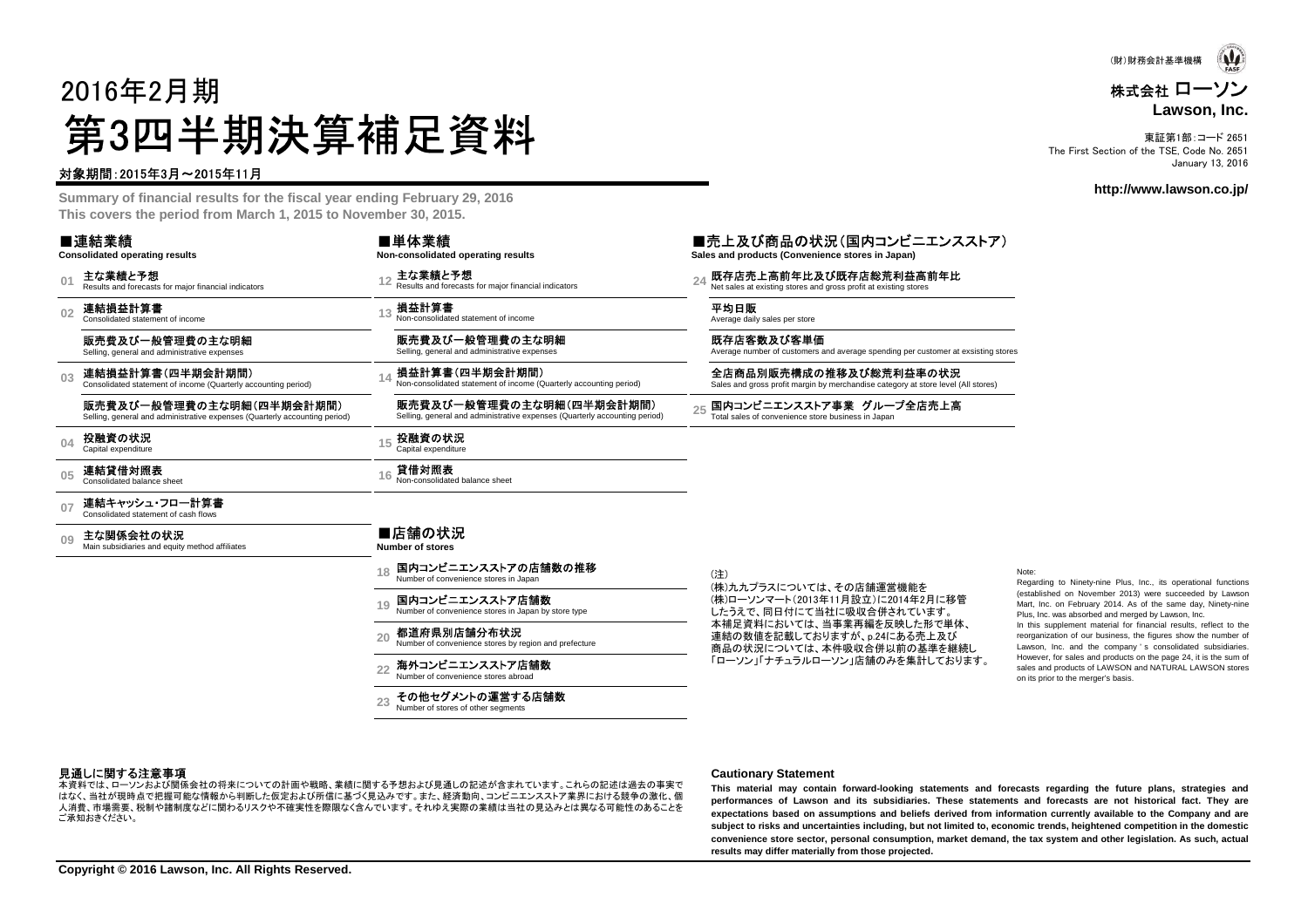

#### 株式会社 ローソン**Lawson, Inc.**

東証第1部:コード 2651 The First Section of the TSE, Code No. 2651January 13, 2016

**http://www.lawson.co.jp/**

# 2016年2月期第3四半期決算補足資料

#### 対象期間:2015年3月~2015年11月

 **Summary of financial results for the fiscal year ending February 29, 2016This covers the period from March 1, 2015 to November 30, 2015.**

| ■連結業績<br><b>Consolidated operating results</b>                                                         | ■単体業績<br>Non-consolidated operating results                                                            | ■売上及び商品の状況(国内コンビニエンスストア)<br>Sales and products (Convenience stores in Japan)                                |                                                                                                                                                                                                 |
|--------------------------------------------------------------------------------------------------------|--------------------------------------------------------------------------------------------------------|-------------------------------------------------------------------------------------------------------------|-------------------------------------------------------------------------------------------------------------------------------------------------------------------------------------------------|
| 主な業績と予想<br>Results and forecasts for major financial indicators                                        | 主な業績と予想<br>Results and forecasts for major financial indicators                                        | 既存店売上高前年比及び既存店総荒利益高前年比<br>Net sales at existing stores and gross profit at existing stores                  |                                                                                                                                                                                                 |
| 連結損益計算書<br>Consolidated statement of income                                                            | 損益計算書<br>Non-consolidated statement of income                                                          | 平均日販<br>Average daily sales per store                                                                       |                                                                                                                                                                                                 |
| 販売費及び一般管理費の主な明細<br>Selling, general and administrative expenses                                        | 販売費及び一般管理費の主な明細<br>Selling, general and administrative expenses                                        | 既存店客数及び客単価                                                                                                  |                                                                                                                                                                                                 |
| 連結損益計算書(四半期会計期間)<br>Consolidated statement of income (Quarterly accounting period)                     | 損益計算書(四半期会計期間)<br>Non-consolidated statement of income (Quarterly accounting period)                   | 全店商品別販売構成の推移及び総荒利益率の状況<br>Sales and gross profit margin by merchandise category at store level (All stores) |                                                                                                                                                                                                 |
| 販売費及び一般管理費の主な明細(四半期会計期間)<br>Selling, general and administrative expenses (Quarterly accounting period) | 販売費及び一般管理費の主な明細(四半期会計期間)<br>Selling, general and administrative expenses (Quarterly accounting period) | 国内コンビニエンスストア事業 グループ全店売上高<br>Total sales of convenience store business in Japan                              |                                                                                                                                                                                                 |
| 投融資の状況<br>Capital expenditure                                                                          | 投融資の状況<br>Capital expenditure                                                                          |                                                                                                             |                                                                                                                                                                                                 |
| 連結貸借対照表<br>Consolidated balance sheet                                                                  | 貸借対照表<br>Non-consolidated balance sheet                                                                |                                                                                                             |                                                                                                                                                                                                 |
| 連結キャッシュ・フロー計算書<br>Consolidated statement of cash flows                                                 |                                                                                                        |                                                                                                             |                                                                                                                                                                                                 |
| 主な関係会社の状況<br>Main subsidiaries and equity method affiliates                                            | ■店舗の状況<br><b>Number of stores</b>                                                                      |                                                                                                             |                                                                                                                                                                                                 |
|                                                                                                        | 国内コンビニエンスストアの店舗数の推移<br>Number of convenience stores in Japan                                           | (注)                                                                                                         | Note:<br>Regarding to Ninety-nine Plus, Inc., its operational functions                                                                                                                         |
|                                                                                                        | 国内コンビニエンスストア店舗数<br>19<br>Number of convenience stores in Japan by store type                           | (株)ローソンマート(2013年11月設立)に2014年2月に移管<br>したうえで、同日付にて当社に吸収合併されています。                                              | (established on November 2013) were succeeded by Lawsor<br>Mart, Inc. on February 2014. As of the same day, Ninety-nine<br>Plus, Inc. was absorbed and merged by Lawson, Inc.                   |
|                                                                                                        | 都道府県別店舗分布状況<br>20<br>Number of convenience stores by region and prefecture                             | 連結の数値を記載しておりますが、p.24にある売上及び                                                                                 | In this supplement material for financial results, reflect to the<br>reorganization of our business, the figures show the number of<br>Lawson, Inc. and the company's consolidated subsidiaries |
|                                                                                                        | 海外コンビニエンスストア店舗数<br>22<br>Number of convenience stores abroad                                           | 「ローソン」「ナチュラルローソン」店舗のみを集計しております。                                                                             | However, for sales and products on the page 24, it is the sum of<br>sales and products of LAWSON and NATURAL LAWSON stores<br>on its prior to the merger's basis.                               |
|                                                                                                        | その他セグメントの運営する店舗数<br>Number of stores of other seaments                                                 |                                                                                                             |                                                                                                                                                                                                 |
|                                                                                                        |                                                                                                        |                                                                                                             | Average number of customers and average spending per customer at exsisting stores<br>(株)九九プラスについては、その店舗運営機能を<br>本補足資料においては、当事業再編を反映した形で単体、<br>商品の状況については、本件吸収合併以前の基準を継続し                        |

#### 見通しに関する注意事項

 はなく、当社が現時点で把握可能な情報から判断した仮定および所信に基づく見込みです。また、経済動向、コンビニエンスストア業界における競争の激化、個本資料では、ローソンおよび関係会社の将来についての計画や戦略、業績に関する予想および見通しの記述が含まれています。これらの記述は過去の事実で 人消費、市場需要、税制や諸制度などに関わるリスクや不確実性を際限なく含んでいます。それゆえ実際の業績は当社の見込みとは異なる可能性のあることをご承知おきください。

#### **Cautionary Statement**

This material may contain forward-looking statements and forecasts regarding the future plans, strategies and performances of Lawson and its subsidiaries. These statements and forecasts are not historical fact. They are expectations based on assumptions and beliefs derived from information currently available to the Company and are<br>subject to side and uncertainties including het not limited to account teamed belaktaned compatition in the subject to risks and uncertainties including, but not limited to, economic trends, heightened competition in the domestic convenience store sector, personal consumption, market demand, the tax system and other legislation. As such, actual **results may differ materially from those projected.**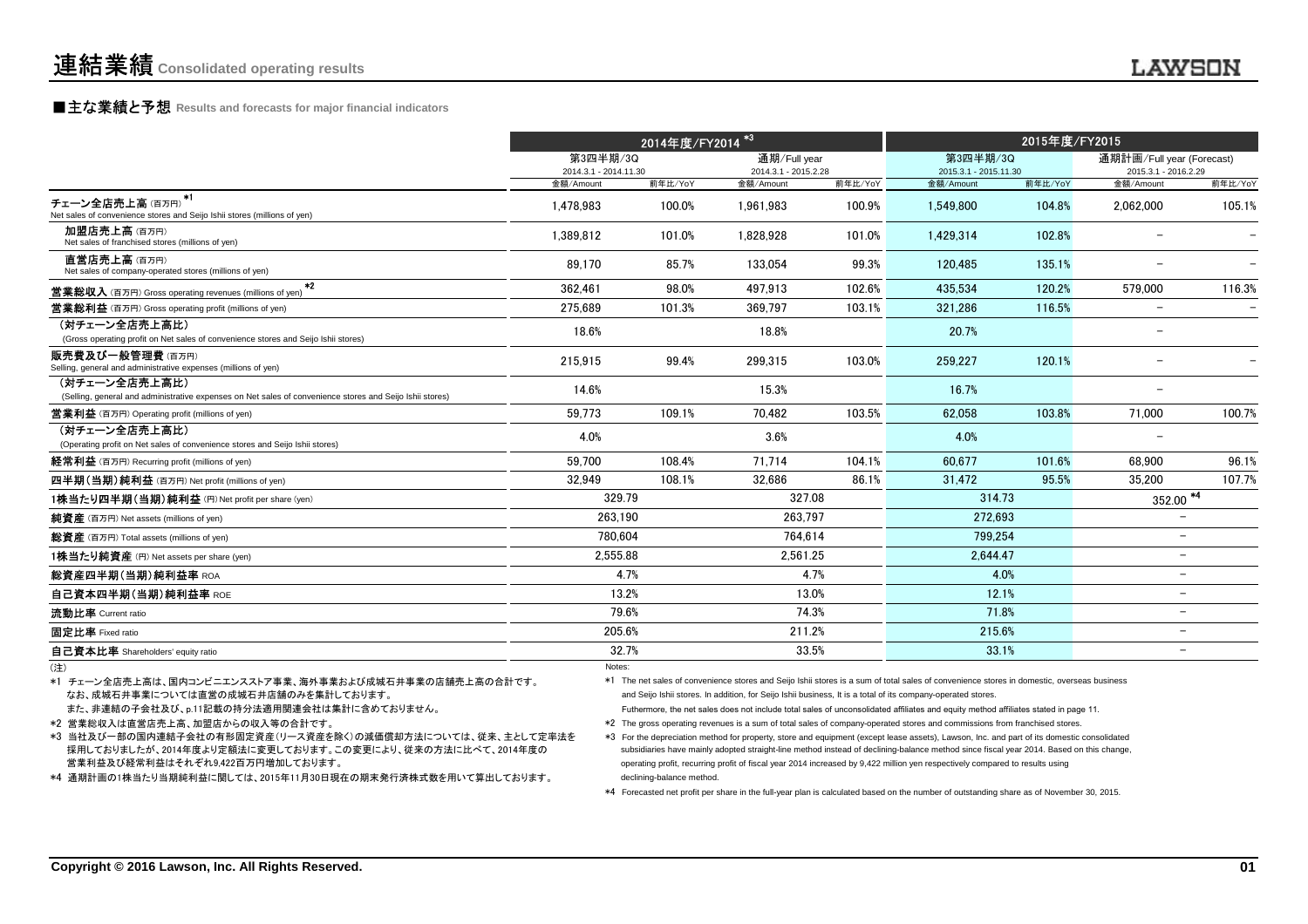# **■主な業績と予想** Results and forecasts for major financial indicators<br>
————————————————————

|                                                                                                                           |                                   | 2014年度/FY2014 <sup>*3</sup> |                                      |         | 2015年度/FY2015                     |         |                                                   |         |
|---------------------------------------------------------------------------------------------------------------------------|-----------------------------------|-----------------------------|--------------------------------------|---------|-----------------------------------|---------|---------------------------------------------------|---------|
|                                                                                                                           | 第3四半期/3Q<br>2014.3.1 - 2014.11.30 |                             | 通期/Full year<br>2014.3.1 - 2015.2.28 |         | 第3四半期/3Q<br>2015.3.1 - 2015.11.30 |         | 通期計画/Full year (Forecast)<br>2015.3.1 - 2016.2.29 |         |
|                                                                                                                           | 金額/Amount                         | 前年比/YoY                     | 金額/Amount                            | 前年比/YoY | 金額/Amount                         | 前年比/YoY | 金額/Amount                                         | 前年比/YoY |
| チェーン全店売上高(百万円) <sup>*1</sup><br>Net sales of convenience stores and Seijo Ishii stores (millions of yen)                  | 1,478,983                         | 100.0%                      | 1,961,983                            | 100.9%  | 1,549,800                         | 104.8%  | 2,062,000                                         | 105.1%  |
| 加盟店売上高(百万円)<br>Net sales of franchised stores (millions of yen)                                                           | 1.389.812                         | 101.0%                      | 1.828.928                            | 101.0%  | 1.429.314                         | 102.8%  |                                                   |         |
| 直営店売上高(百万円)<br>Net sales of company-operated stores (millions of yen)                                                     | 89.170                            | 85.7%                       | 133,054                              | 99.3%   | 120.485                           | 135.1%  |                                                   |         |
| $*2$<br><b>営業総収入</b> (百万円) Gross operating revenues (millions of yen)                                                     | 362.461                           | 98.0%                       | 497.913                              | 102.6%  | 435.534                           | 120.2%  | 579.000                                           | 116.3%  |
| <b>営業総利益</b> (百万円) Gross operating profit (millions of yen)                                                               | 275.689                           | 101.3%                      | 369.797                              | 103.1%  | 321.286                           | 116.5%  |                                                   |         |
| (対チェーン全店売上高比)<br>(Gross operating profit on Net sales of convenience stores and Seijo Ishii stores)                       | 18.6%                             |                             | 18.8%                                |         | 20.7%                             |         | $\overline{\phantom{m}}$                          |         |
| 販売費及び一般管理費(百万円)<br>Selling, general and administrative expenses (millions of yen)                                         | 215,915                           | 99.4%                       | 299,315                              | 103.0%  | 259,227                           | 120.1%  |                                                   |         |
| (対チェーン全店売上高比)<br>(Selling, general and administrative expenses on Net sales of convenience stores and Seijo Ishii stores) | 14.6%                             |                             | 15.3%                                |         | 16.7%                             |         |                                                   |         |
| <b>営業利益</b> (百万円) Operating profit (millions of yen)                                                                      | 59.773                            | 109.1%                      | 70.482                               | 103.5%  | 62.058                            | 103.8%  | 71.000                                            | 100.7%  |
| (対チェーン全店売上高比)<br>(Operating profit on Net sales of convenience stores and Seijo Ishii stores)                             | 4.0%                              |                             | 3.6%                                 |         | 4.0%                              |         |                                                   |         |
| 経常利益 (百万円) Recurring profit (millions of yen)                                                                             | 59.700                            | 108.4%                      | 71.714                               | 104.1%  | 60.677                            | 101.6%  | 68.900                                            | 96.1%   |
| 四半期(当期)純利益 (百万円) Net profit (millions of yen)                                                                             | 32.949                            | 108.1%                      | 32.686                               | 86.1%   | 31.472                            | 95.5%   | 35.200                                            | 107.7%  |
| 1株当たり四半期(当期)純利益 (円) Net profit per share (yen)                                                                            | 329.79                            |                             | 327.08                               |         | 314.73                            |         | $\frac{352.00}{4}$                                |         |
| 純資産 (百万円) Net assets (millions of yen)                                                                                    | 263.190                           |                             | 263.797                              |         | 272,693                           |         | $\overline{\phantom{0}}$                          |         |
| 総資産 (百万円) Total assets (millions of yen)                                                                                  | 780.604                           |                             | 764.614                              |         | 799.254                           |         | $\overline{\phantom{0}}$                          |         |
| 1株当たり純資産 (円) Net assets per share (ven)                                                                                   | 2.555.88                          |                             | 2.561.25                             |         | 2.644.47                          |         | -                                                 |         |
| 総資産四半期(当期)純利益率 ROA                                                                                                        | 4.7%                              |                             |                                      | 4.7%    |                                   | 4.0%    | $\overline{\phantom{0}}$                          |         |
| 自己資本四半期(当期)純利益率 ROE                                                                                                       | 13.2%                             |                             | 13.0%                                |         | 12.1%                             |         | $\overline{\phantom{0}}$                          |         |
| 流動比率 Current ratio                                                                                                        | 79.6%                             |                             |                                      | 74.3%   | 71.8%                             |         | $\overline{\phantom{0}}$                          |         |
| 固定比率 Fixed ratio                                                                                                          | 205.6%                            |                             | 211.2%                               |         | 215.6%                            |         | $\overline{\phantom{0}}$                          |         |
| 自己資本比率 Shareholders' equity ratio                                                                                         | 32.7%                             |                             |                                      | 33.5%   | 33.1%                             |         | -                                                 |         |
|                                                                                                                           | Notes:                            |                             |                                      |         |                                   |         |                                                   |         |

(注)Notes:  $\blacksquare$ )

なお、成城石井事業については直営の成城石井店舗のみを集計しております。\*1 チェーン全店売上高は、国内コンビニエンスストア事業、海外事業および成城石井事業の店舗売上高の合計です。

また、非連結の子会社及び、p.11記載の持分法適用関連会社は集計に含めておりません。

\*2 営業総収入は直営店売上高、加盟店からの収入等の合計です。

\*3 当社及び一部の国内連結子会社の有形固定資産(リース資産を除く)の減価償却方法については、従来、主として定率法を 採用しておりましたが、2014年度より定額法に変更しております。この変更により、従来の方法に比べて、2014年度の営業利益及び経常利益はそれぞれ9,422百万円増加しております。

\*4 通期計画の1株当たり当期純利益に関しては、2015年11月30日現在の期末発行済株式数を用いて算出しております。

and Seijo Ishii stores. In addition, for Seijo Ishii business, It is a total of its company-operated stores. \*1 The net sales of convenience stores and Seijo Ishii stores is a sum of total sales of convenience stores in domestic, overseas business

Futhermore, the net sales does not include total sales of unconsolidated affiliates and equity method affiliates stated in page 11.

\*2 The gross operating revenues is a sum of total sales of company-operated stores and commissions from franchised stores.

\*3 For the depreciation method for property, store and equipment (except lease assets), Lawson, Inc. and part of its domestic consolidated subsidiaries have mainly adopted straight-line method instead of declining-balance method since fiscal year 2014. Based on this change,operating profit, recurring profit of fiscal year 2014 increased by 9,422 million yen respectively compared to results usingdeclining-balance method.

\*4 Forecasted net profit per share in the full-year plan is calculated based on the number of outstanding share as of November 30, 2015.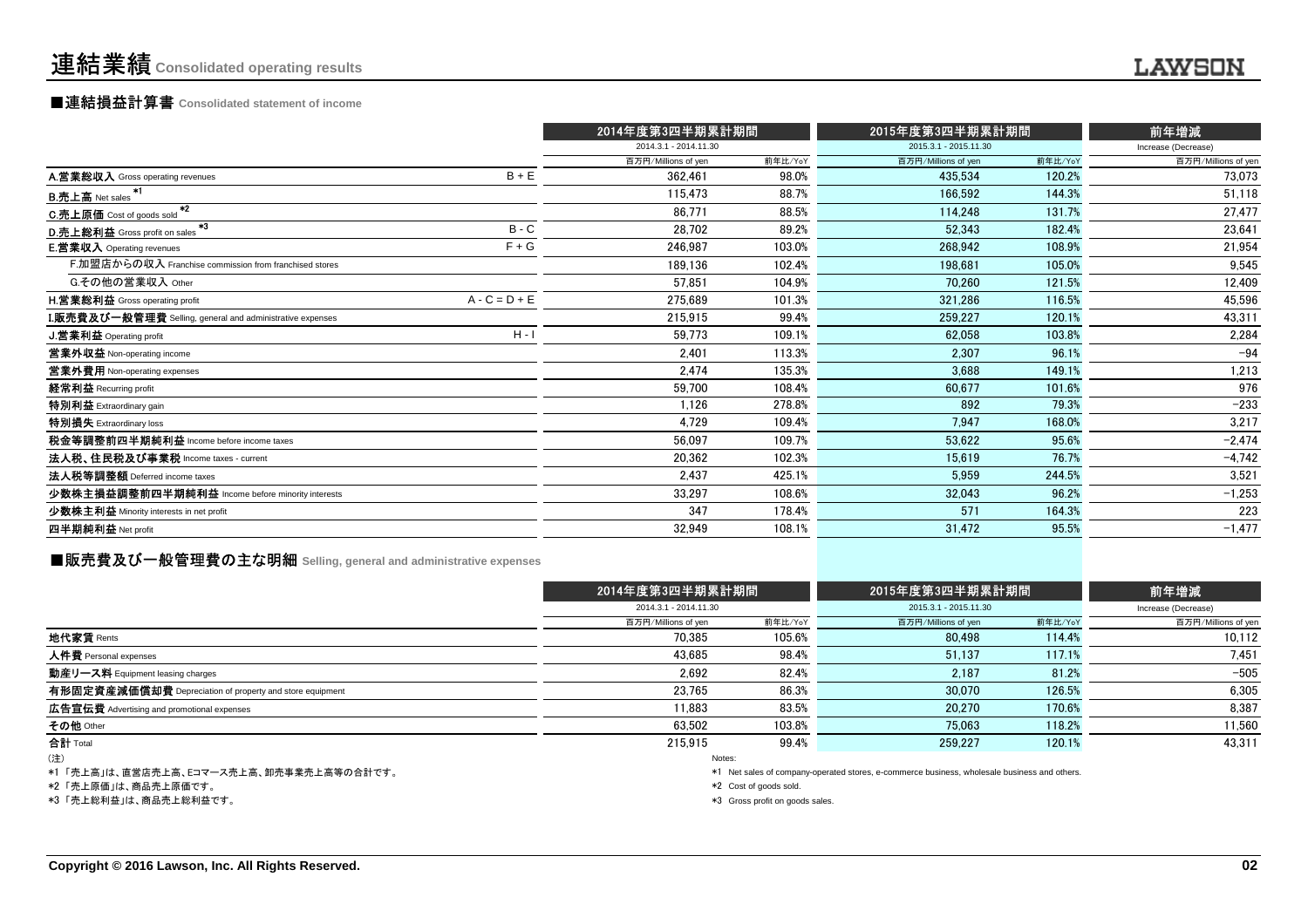### ■連結損益計算書 **Consolidated statement of income**

|                                                           |                 | 2014年度第3四半期累計期間       |         | 2015年度第3四半期累計期間       |         | 前年増減                |
|-----------------------------------------------------------|-----------------|-----------------------|---------|-----------------------|---------|---------------------|
|                                                           |                 | 2014.3.1 - 2014.11.30 |         | 2015.3.1 - 2015.11.30 |         | Increase (Decrease) |
|                                                           |                 | 百万円/Millions of yen   | 前年比/YoY | 百万円/Millions of yen   | 前年比/YoY | 百万円/Millions of yen |
| A.営業総収入 Gross operating revenues                          | $B + E$         | 362.461               | 98.0%   | 435.534               | 120.2%  | 73,073              |
| -*1<br><b>B.売上高</b> Net sales                             |                 | 115.473               | 88.7%   | 166.592               | 144.3%  | 51,118              |
| $*2$<br>C.売上原価 Cost of goods sold                         |                 | 86,771                | 88.5%   | 114,248               | 131.7%  | 27,477              |
| $*3$<br>D.売上総利益 Gross profit on sales                     | $B - C$         | 28,702                | 89.2%   | 52,343                | 182.4%  | 23,641              |
| <b>E.営業収入</b> Operating revenues                          | $F + G$         | 246,987               | 103.0%  | 268.942               | 108.9%  | 21,954              |
| F.加盟店からの収入 Franchise commission from franchised stores    |                 | 189,136               | 102.4%  | 198,681               | 105.0%  | 9,545               |
| G.その他の営業収入 Other                                          |                 | 57,851                | 104.9%  | 70,260                | 121.5%  | 12,409              |
| <b>H.営業総利益</b> Gross operating profit                     | $A - C = D + E$ | 275,689               | 101.3%  | 321,286               | 116.5%  | 45,596              |
| I.販売費及び一般管理費 Selling, general and administrative expenses |                 | 215,915               | 99.4%   | 259,227               | 120.1%  | 43,311              |
| <b>J.営業利益</b> Operating profit                            | $H - I$         | 59,773                | 109.1%  | 62.058                | 103.8%  | 2,284               |
| 営業外収益 Non-operating income                                |                 | 2.401                 | 113.3%  | 2,307                 | 96.1%   | $-94$               |
| 営業外費用 Non-operating expenses                              |                 | 2,474                 | 135.3%  | 3,688                 | 149.1%  | 1,213               |
| 経常利益 Recurring profit                                     |                 | 59,700                | 108.4%  | 60,677                | 101.6%  | 976                 |
| 特別利益 Extraordinary gain                                   |                 | 1.126                 | 278.8%  | 892                   | 79.3%   | $-233$              |
| 特別損失 Extraordinary loss                                   |                 | 4,729                 | 109.4%  | 7,947                 | 168.0%  | 3,217               |
| 税金等調整前四半期純利益 Income before income taxes                   |                 | 56.097                | 109.7%  | 53,622                | 95.6%   | $-2,474$            |
| 法人税、住民税及び事業税 Income taxes - current                       |                 | 20,362                | 102.3%  | 15,619                | 76.7%   | $-4,742$            |
| 法人税等調整額 Deferred income taxes                             |                 | 2.437                 | 425.1%  | 5,959                 | 244.5%  | 3,521               |
| 少数株主損益調整前四半期純利益 Income before minority interests          |                 | 33,297                | 108.6%  | 32,043                | 96.2%   | $-1,253$            |
| 少数株主利益 Minority interests in net profit                   |                 | 347                   | 178.4%  | 571                   | 164.3%  | 223                 |
| 四半期純利益 Net profit                                         |                 | 32,949                | 108.1%  | 31,472                | 95.5%   | $-1,477$            |
|                                                           |                 |                       |         |                       |         |                     |

### **■販売費及び一般管理費の主な明細** Selling, general and administrative expenses

|                                                          | 2014年度第3四半期累計期間       |         | 2015年度第3四半期累計期間       | 前年増減                |                     |
|----------------------------------------------------------|-----------------------|---------|-----------------------|---------------------|---------------------|
|                                                          | 2014.3.1 - 2014.11.30 |         | 2015.3.1 - 2015.11.30 | Increase (Decrease) |                     |
|                                                          | 百万円/Millions of yen   | 前年比/YoY | 百万円/Millions of yen   | 前年比/YoY             | 百万円/Millions of yen |
| 地代家賃 Rents                                               | 70.385                | 105.6%  | 80.498                | 114.4%              | 10,112              |
| 人件費 Personal expenses                                    | 43.685                | 98.4%   | 51,137                | 117.1%              | 7,451               |
| 動産リース料 Equipment leasing charges                         | 2,692                 | 82.4%   | 2.187                 | 81.2%               | $-505$              |
| 有形固定資産減価償却費 Depreciation of property and store equipment | 23,765                | 86.3%   | 30,070                | 126.5%              | 6,305               |
| 広告宣伝費 Advertising and promotional expenses               | 11.883                | 83.5%   | 20,270                | 170.6%              | 8,387               |
| その他 Other                                                | 63.502                | 103.8%  | 75.063                | 118.2%              | 11,560              |
| 合計 Total                                                 | 215.915               | 99.4%   | 259.227               | 120.1%              | 43,311              |
| (注)                                                      | Notes:                |         |                       |                     |                     |

\*1 「売上高」は、直営店売上高、Eコマース売上高、卸売事業売上高等の合計です。

\*2 「売上原価」は、商品売上原価です。

\*3 「売上総利益」は、商品売上総利益です。

\*1 Net sales of company-operated stores, e-commerce business, wholesale business and others.

\*2 Cost of goods sold.

\*3 Gross profit on goods sales.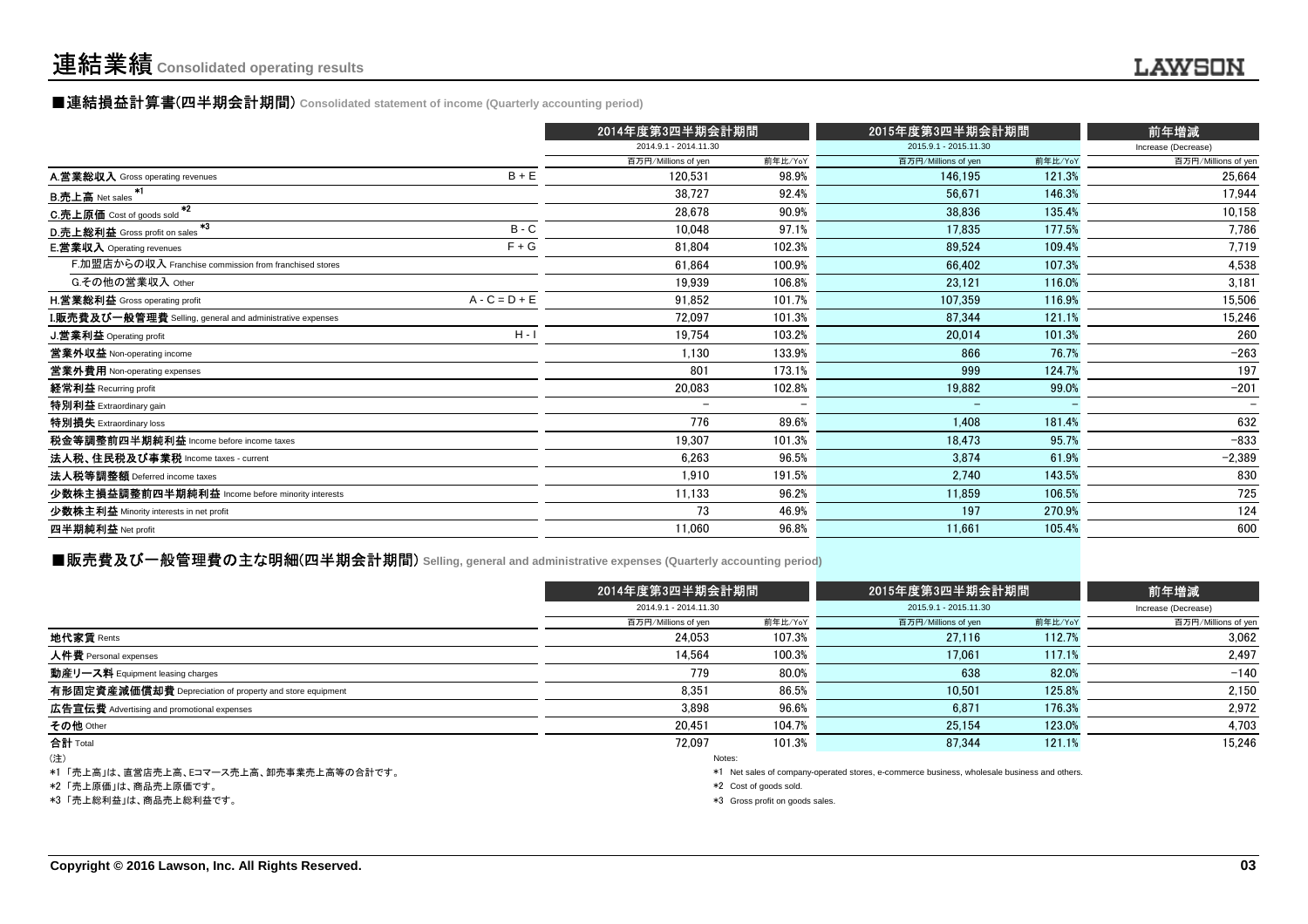### **■連結損益計算書(四半期会計期間)** Consolidated statement of income (Quarterly accounting period)

|                                                           |                 | 2014年度第3四半期会計期間          |         | 2015年度第3四半期会計期間          |         | 前年増減                |
|-----------------------------------------------------------|-----------------|--------------------------|---------|--------------------------|---------|---------------------|
|                                                           |                 | 2014.9.1 - 2014.11.30    |         | 2015.9.1 - 2015.11.30    |         | Increase (Decrease) |
|                                                           |                 | 百万円/Millions of yen      | 前年比/YoY | 百万円/Millions of yen      | 前年比/YoY | 百万円/Millions of yen |
| A.営業総収入 Gross operating revenues                          | $B + E$         | 120.531                  | 98.9%   | 146.195                  | 121.3%  | 25,664              |
| <b>B.売上高</b> Net sales                                    |                 | 38.727                   | 92.4%   | 56,671                   | 146.3%  | 17.944              |
| $*2$<br>C.売上原価 Cost of goods sold                         |                 | 28,678                   | 90.9%   | 38,836                   | 135.4%  | 10,158              |
| $*3$<br>D.売上総利益 Gross profit on sales                     | $B - C$         | 10,048                   | 97.1%   | 17,835                   | 177.5%  | 7,786               |
| <b>E.営業収入</b> Operating revenues                          | $F + G$         | 81.804                   | 102.3%  | 89,524                   | 109.4%  | 7,719               |
| F.加盟店からの収入 Franchise commission from franchised stores    |                 | 61,864                   | 100.9%  | 66,402                   | 107.3%  | 4,538               |
| G.その他の営業収入 Other                                          |                 | 19.939                   | 106.8%  | 23.121                   | 116.0%  | 3,181               |
| H.営業総利益 Gross operating profit                            | $A - C = D + E$ | 91,852                   | 101.7%  | 107,359                  | 116.9%  | 15,506              |
| I.販売費及び一般管理費 Selling, general and administrative expenses |                 | 72,097                   | 101.3%  | 87,344                   | 121.1%  | 15,246              |
| J.営業利益 Operating profit                                   | $H -$           | 19.754                   | 103.2%  | 20,014                   | 101.3%  | 260                 |
| 営業外収益 Non-operating income                                |                 | 1,130                    | 133.9%  | 866                      | 76.7%   | $-263$              |
| 営業外費用 Non-operating expenses                              |                 | 801                      | 173.1%  | 999                      | 124.7%  | 197                 |
| 経常利益 Recurring profit                                     |                 | 20,083                   | 102.8%  | 19,882                   | 99.0%   | $-201$              |
| 特別利益 Extraordinary gain                                   |                 | $\overline{\phantom{a}}$ |         | $\overline{\phantom{0}}$ |         |                     |
| 特別損失 Extraordinary loss                                   |                 | 776                      | 89.6%   | 1,408                    | 181.4%  | 632                 |
| 税金等調整前四半期純利益 Income before income taxes                   |                 | 19,307                   | 101.3%  | 18.473                   | 95.7%   | $-833$              |
| 法人税、住民税及び事業税 Income taxes - current                       |                 | 6,263                    | 96.5%   | 3.874                    | 61.9%   | $-2,389$            |
| 法人税等調整額 Deferred income taxes                             |                 | 1.910                    | 191.5%  | 2,740                    | 143.5%  | 830                 |
| 少数株主損益調整前四半期純利益 Income before minority interests          |                 | 11,133                   | 96.2%   | 11,859                   | 106.5%  | 725                 |
| 少数株主利益 Minority interests in net profit                   |                 | 73                       | 46.9%   | 197                      | 270.9%  | 124                 |
| 四半期純利益 Net profit                                         |                 | 11,060                   | 96.8%   | 11,661                   | 105.4%  | 600                 |
|                                                           |                 |                          |         |                          |         |                     |

#### **■販売費及び一般管理費の主な明細(四半期会計期間)** Selling, general and administrative expenses (Quarterly accounting period<mark>)</mark>

|                                                          | 2014年度第3四半期会計期間       |                                                                                              | 2015年度第3四半期会計期間       | 前年増減    |                     |  |  |
|----------------------------------------------------------|-----------------------|----------------------------------------------------------------------------------------------|-----------------------|---------|---------------------|--|--|
|                                                          | 2014.9.1 - 2014.11.30 |                                                                                              | 2015.9.1 - 2015.11.30 |         | Increase (Decrease) |  |  |
|                                                          | 百万円/Millions of yen   | 前年比/YoY                                                                                      | 百万円/Millions of yen   | 前年比/YoY | 百万円/Millions of yen |  |  |
| 地代家賃 Rents                                               | 24.053                | 107.3%                                                                                       | 27,116                | 112.7%  | 3.062               |  |  |
| 人件費 Personal expenses                                    | 14.564                | 100.3%                                                                                       | 17.061                | 117.1%  | 2.497               |  |  |
| 動産リース料 Equipment leasing charges                         | 779                   | 80.0%                                                                                        | 638                   | 82.0%   | $-140$              |  |  |
| 有形固定資産減価償却費 Depreciation of property and store equipment | 8.351                 | 86.5%                                                                                        | 10.501                | 125.8%  | 2,150               |  |  |
| 広告宣伝費 Advertising and promotional expenses               | 3.898                 | 96.6%                                                                                        | 6.871                 | 176.3%  | 2.972               |  |  |
| その他 Other                                                | 20.451                | 104.7%                                                                                       | 25,154                | 123.0%  | 4,703               |  |  |
| 合計 Total                                                 | 72.097                | 101.3%                                                                                       | 87.344                | 121.1%  | 15.246              |  |  |
| (注)                                                      |                       | Notes:                                                                                       |                       |         |                     |  |  |
| *1「売上高」は、直営店売上高、Eコマース売上高、卸売事業売上高等の合計です。                  |                       | *1 Net sales of company-operated stores, e-commerce business, wholesale business and others. |                       |         |                     |  |  |

\*2 「売上原価」は、商品売上原価です。

\*3 「売上総利益」は、商品売上総利益です。

\*1 Net sales of company-operated stores, e-commerce business, wholesale business and others.

\*2 Cost of goods sold.

\*3 Gross profit on goods sales.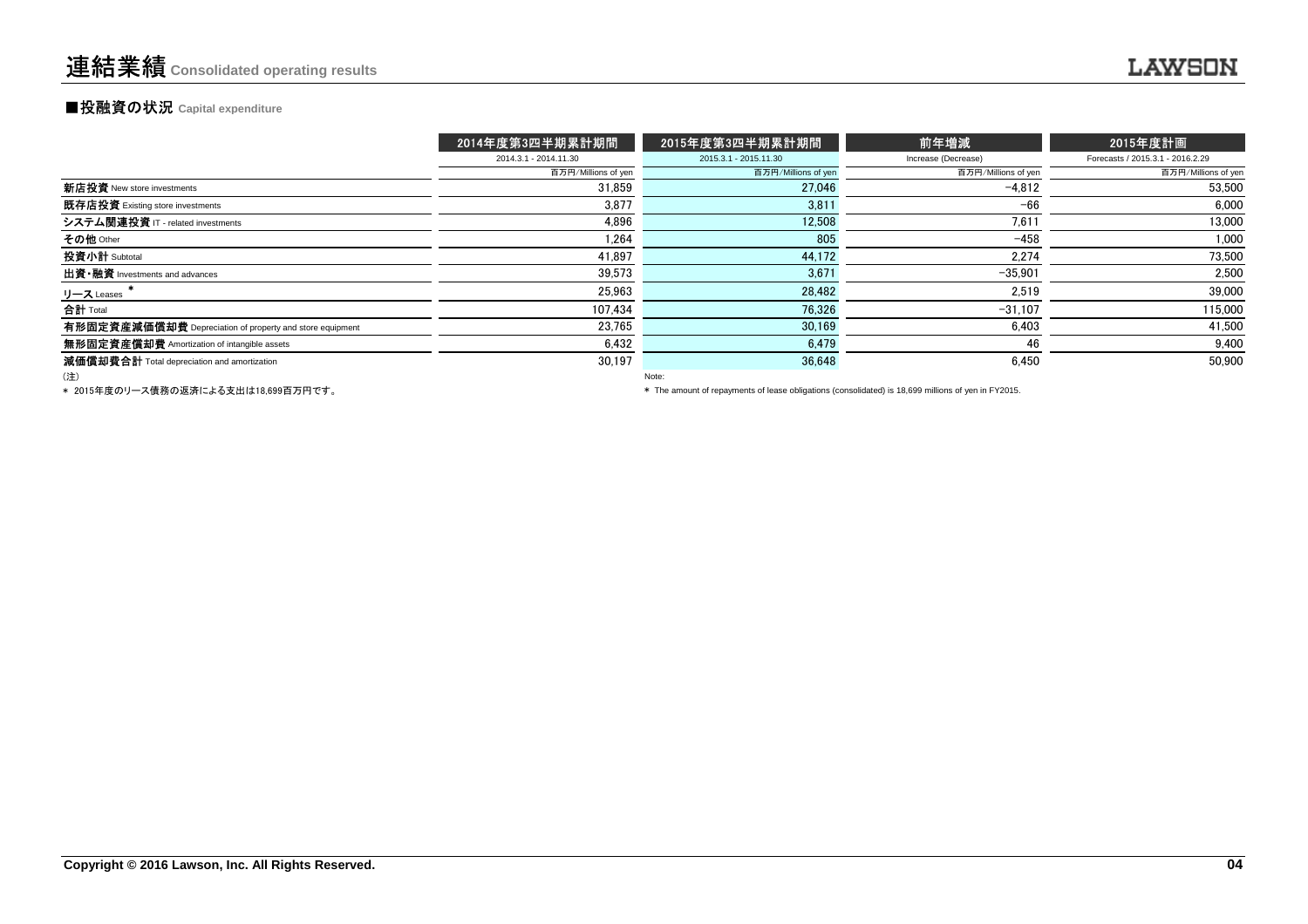#### **■投融資の状況 Capital expenditure**

|                                                          | 2014年度第3四半期累計期間       | 2015年度第3四半期累計期間       | 前年増減                | 2015年度計画                         |
|----------------------------------------------------------|-----------------------|-----------------------|---------------------|----------------------------------|
|                                                          | 2014.3.1 - 2014.11.30 | 2015.3.1 - 2015.11.30 | Increase (Decrease) | Forecasts / 2015.3.1 - 2016.2.29 |
|                                                          | 百万円/Millions of yen   | 百万円/Millions of yen   | 百万円/Millions of yen | 百万円/Millions of yen              |
| 新店投資 New store investments                               | 31.859                | 27.046                | $-4.812$            | 53,500                           |
| 既存店投資 Existing store investments                         | 3,877                 | 3,811                 | $-66$               | 6.000                            |
| システム関連投資 IT - related investments                        | 4.896                 | 12.508                | 7,611               | 13,000                           |
| その他 Other                                                | 1,264                 | 805                   | $-458$              | 1,000                            |
| 投資小計 Subtotal                                            | 41,897                | 44,172                | 2,274               | 73,500                           |
| 出資·融資 Investments and advances                           | 39,573                | 3,671                 | $-35.901$           | 2.500                            |
| リース Leases                                               | 25,963                | 28.482                | 2,519               | 39,000                           |
| 合計 Total                                                 | 107.434               | 76.326                | $-31.107$           | 115,000                          |
| 有形固定資産減価償却費 Depreciation of property and store equipment | 23.765                | 30.169                | 6,403               | 41,500                           |
| 無形固定資産償却費 Amortization of intangible assets              | 6,432                 | 6,479                 | 46                  | 9,400                            |
| 減価償却費合計 Total depreciation and amortization              | 30.197                | 36.648                | 6.450               | 50.900                           |
| (注)                                                      |                       | Note:                 |                     |                                  |

\* 2015年度のリース債務の返済による支出は18,699百万円です。

\* The amount of repayments of lease obligations (consolidated) is 18,699 millions of yen in FY2015.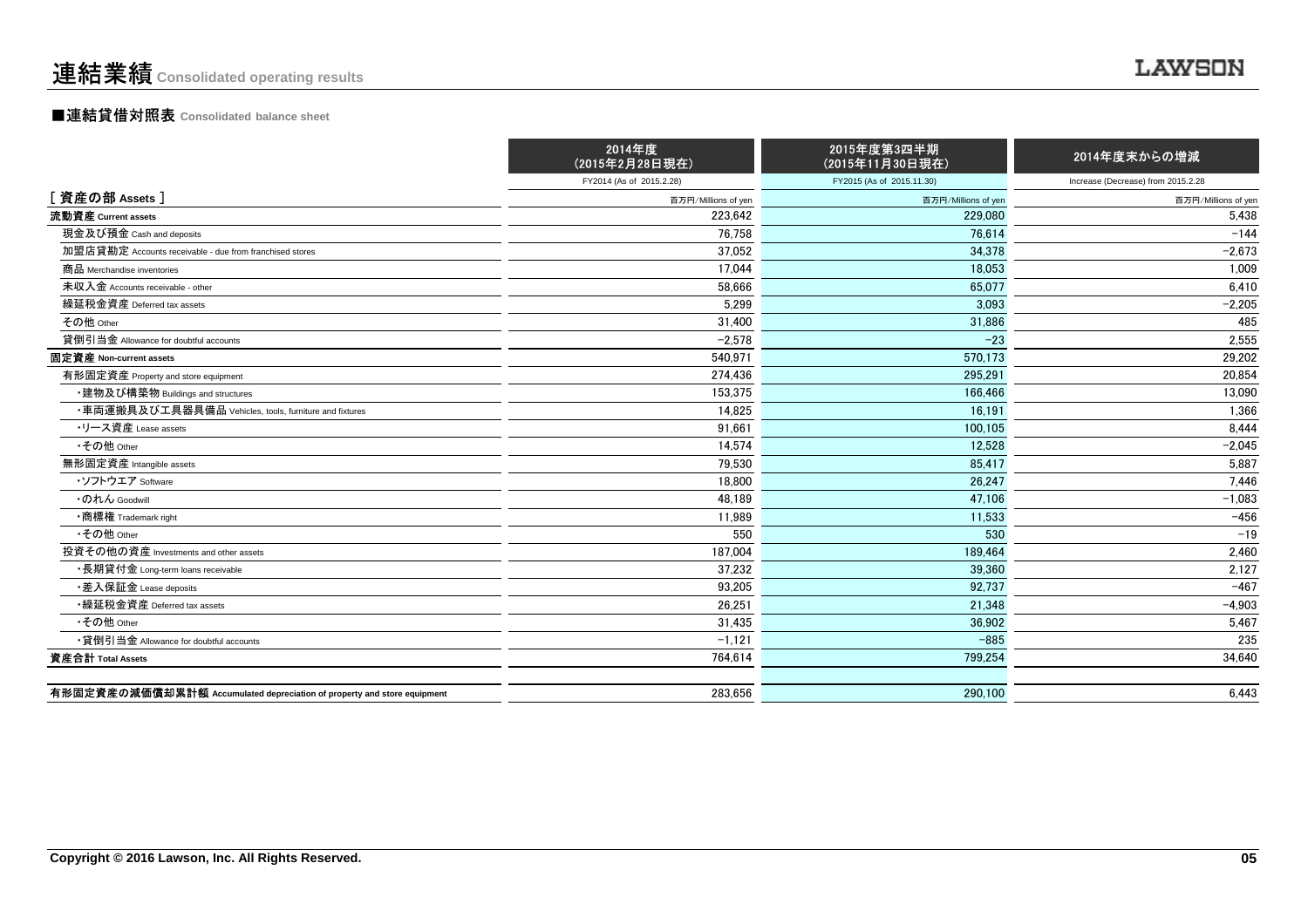#### ■連結貸借対照表 **Consolidated balance sheet**

|                                                                         | 2014年度<br>(2015年2月28日現在) | 2015年度第3四半期<br>(2015年11月30日現在) | 2014年度末からの増減                       |
|-------------------------------------------------------------------------|--------------------------|--------------------------------|------------------------------------|
|                                                                         | FY2014 (As of 2015.2.28) | FY2015 (As of 2015.11.30)      | Increase (Decrease) from 2015.2.28 |
| [資産の部 Assets]                                                           | 百万円/Millions of yen      | 百万円/Millions of yen            | 百万円/Millions of yen                |
| 流動資産 Current assets                                                     | 223.642                  | 229,080                        | 5.438                              |
| 現金及び預金 Cash and deposits                                                | 76.758                   | 76.614                         | $-144$                             |
| 加盟店貸勘定 Accounts receivable - due from franchised stores                 | 37,052                   | 34.378                         | $-2,673$                           |
| 商品 Merchandise inventories                                              | 17,044                   | 18.053                         | 1,009                              |
| 未収入金 Accounts receivable - other                                        | 58,666                   | 65.077                         | 6.410                              |
| 繰延税金資産 Deferred tax assets                                              | 5,299                    | 3.093                          | $-2,205$                           |
| その他 Other                                                               | 31,400                   | 31,886                         | 485                                |
| 貸倒引当金 Allowance for doubtful accounts                                   | $-2,578$                 | $-23$                          | 2,555                              |
| 固定資産 Non-current assets                                                 | 540.971                  | 570.173                        | 29,202                             |
| 有形固定資産 Property and store equipment                                     | 274.436                  | 295.291                        | 20,854                             |
| ・建物及び構築物 Buildings and structures                                       | 153,375                  | 166.466                        | 13,090                             |
| ・車両運搬具及び工具器具備品 Vehicles, tools, furniture and fixtures                  | 14,825                   | 16,191                         | 1,366                              |
| ・リース資産 Lease assets                                                     | 91,661                   | 100.105                        | 8,444                              |
| •その他 Other                                                              | 14,574                   | 12.528                         | $-2.045$                           |
| 無形固定資産 Intangible assets                                                | 79,530                   | 85,417                         | 5,887                              |
| ・ソフトウエア Software                                                        | 18,800                   | 26.247                         | 7,446                              |
| ・のれん Goodwill                                                           | 48.189                   | 47.106                         | $-1.083$                           |
| •商標権 Trademark right                                                    | 11,989                   | 11,533                         | $-456$                             |
| •その他 Other                                                              | 550                      | 530                            | $-19$                              |
| 投資その他の資産 Investments and other assets                                   | 187,004                  | 189.464                        | 2,460                              |
| ・長期貸付金 Long-term loans receivable                                       | 37,232                   | 39.360                         | 2,127                              |
| •差入保証金 Lease deposits                                                   | 93,205                   | 92,737                         | $-467$                             |
| •繰延税金資産 Deferred tax assets                                             | 26.251                   | 21.348                         | $-4,903$                           |
| •その他 Other                                                              | 31,435                   | 36.902                         | 5.467                              |
| •貸倒引当金 Allowance for doubtful accounts                                  | $-1,121$                 | $-885$                         | 235                                |
| 資産合計 Total Assets                                                       | 764,614                  | 799,254                        | 34,640                             |
|                                                                         |                          |                                |                                    |
| 有形固定資産の減価償却累計額 Accumulated depreciation of property and store equipment | 283,656                  | 290.100                        | 6,443                              |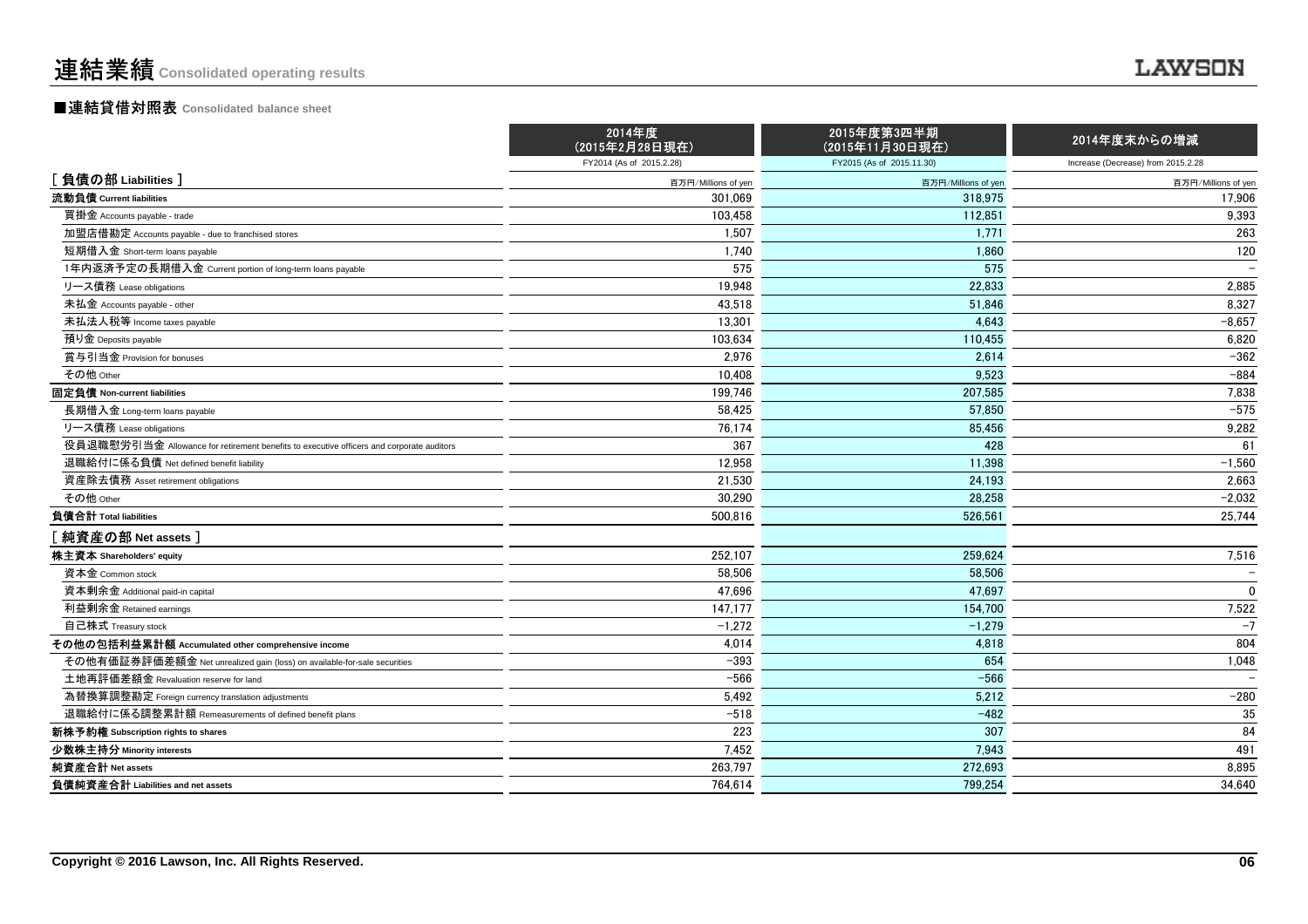#### ■連結貸借対照表 **Consolidated balance sheet**

|                                                                                          | 2014年度<br>(2015年2月28日現在) | 2015年度第3四半期<br>(2015年11月30日現在) | 2014年度末からの増減                       |
|------------------------------------------------------------------------------------------|--------------------------|--------------------------------|------------------------------------|
|                                                                                          | FY2014 (As of 2015.2.28) | FY2015 (As of 2015.11.30)      | Increase (Decrease) from 2015.2.28 |
| [負債の部 Liabilities]                                                                       | 百万円/Millions of yen      | 百万円/Millions of yen            | 百万円/Millions of yen                |
| 流動負債 Current liabilities                                                                 | 301.069                  | 318,975                        | 17,906                             |
| 買掛金 Accounts payable - trade                                                             | 103,458                  | 112,851                        | 9,393                              |
| 加盟店借勘定 Accounts payable - due to franchised stores                                       | 1,507                    | 1.771                          | 263                                |
| 短期借入金 Short-term loans payable                                                           | 1,740                    | 1,860                          | 120                                |
| 1年内返済予定の長期借入金 Current portion of long-term loans payable                                 | 575                      | 575                            |                                    |
| リース債務 Lease obligations                                                                  | 19,948                   | 22,833                         | 2,885                              |
| 未払金 Accounts payable - other                                                             | 43.518                   | 51.846                         | 8,327                              |
| 未払法人税等 Income taxes payable                                                              | 13,301                   | 4.643                          | $-8.657$                           |
| 預り金 Deposits payable                                                                     | 103,634                  | 110,455                        | 6,820                              |
| 賞与引当金 Provision for bonuses                                                              | 2,976                    | 2,614                          | $-362$                             |
| その他 Other                                                                                | 10.408                   | 9.523                          | $-884$                             |
| 固定負債 Non-current liabilities                                                             | 199,746                  | 207.585                        | 7,838                              |
| 長期借入金 Long-term loans payable                                                            | 58,425                   | 57,850                         | $-575$                             |
| リース債務 Lease obligations                                                                  | 76,174                   | 85.456                         | 9,282                              |
| 役員退職慰労引当金 Allowance for retirement benefits to executive officers and corporate auditors | 367                      | 428                            | 61                                 |
| 退職給付に係る負債 Net defined benefit liability                                                  | 12,958                   | 11.398                         | $-1,560$                           |
| 資産除去債務 Asset retirement obligations                                                      | 21,530                   | 24,193                         | 2,663                              |
| その他 Other                                                                                | 30.290                   | 28.258                         | $-2,032$                           |
| 負債合計 Total liabilities                                                                   | 500.816                  | 526.561                        | 25,744                             |
| [純資産の部 Net assets]                                                                       |                          |                                |                                    |
| 株主資本 Shareholders' equity                                                                | 252,107                  | 259.624                        | 7,516                              |
| 資本金 Common stock                                                                         | 58,506                   | 58,506                         |                                    |
| 資本剰余金 Additional paid-in capital                                                         | 47,696                   | 47,697                         | $\mathbf{0}$                       |
| 利益剰余金 Retained earnings                                                                  | 147,177                  | 154,700                        | 7,522                              |
| 自己株式 Treasury stock                                                                      | $-1,272$                 | $-1,279$                       | $-7$                               |
| その他の包括利益累計額 Accumulated other comprehensive income                                       | 4,014                    | 4.818                          | 804                                |
| その他有価証券評価差額金 Net unrealized gain (loss) on available-for-sale securities                 | $-393$                   | 654                            | 1,048                              |
| 土地再評価差額金 Revaluation reserve for land                                                    | $-566$                   | $-566$                         |                                    |
| 為替換算調整勘定 Foreign currency translation adjustments                                        | 5,492                    | 5,212                          | $-280$                             |
| 退職給付に係る調整累計額 Remeasurements of defined benefit plans                                     | $-518$                   | $-482$                         | 35                                 |
| 新株予約権 Subscription rights to shares                                                      | 223                      | 307                            | 84                                 |
| 少数株主持分 Minority interests                                                                | 7.452                    | 7.943                          | 491                                |
| 純資産合計 Net assets                                                                         | 263,797                  | 272,693                        | 8,895                              |
| 負債純資産合計 Liabilities and net assets                                                       | 764,614                  | 799.254                        | 34,640                             |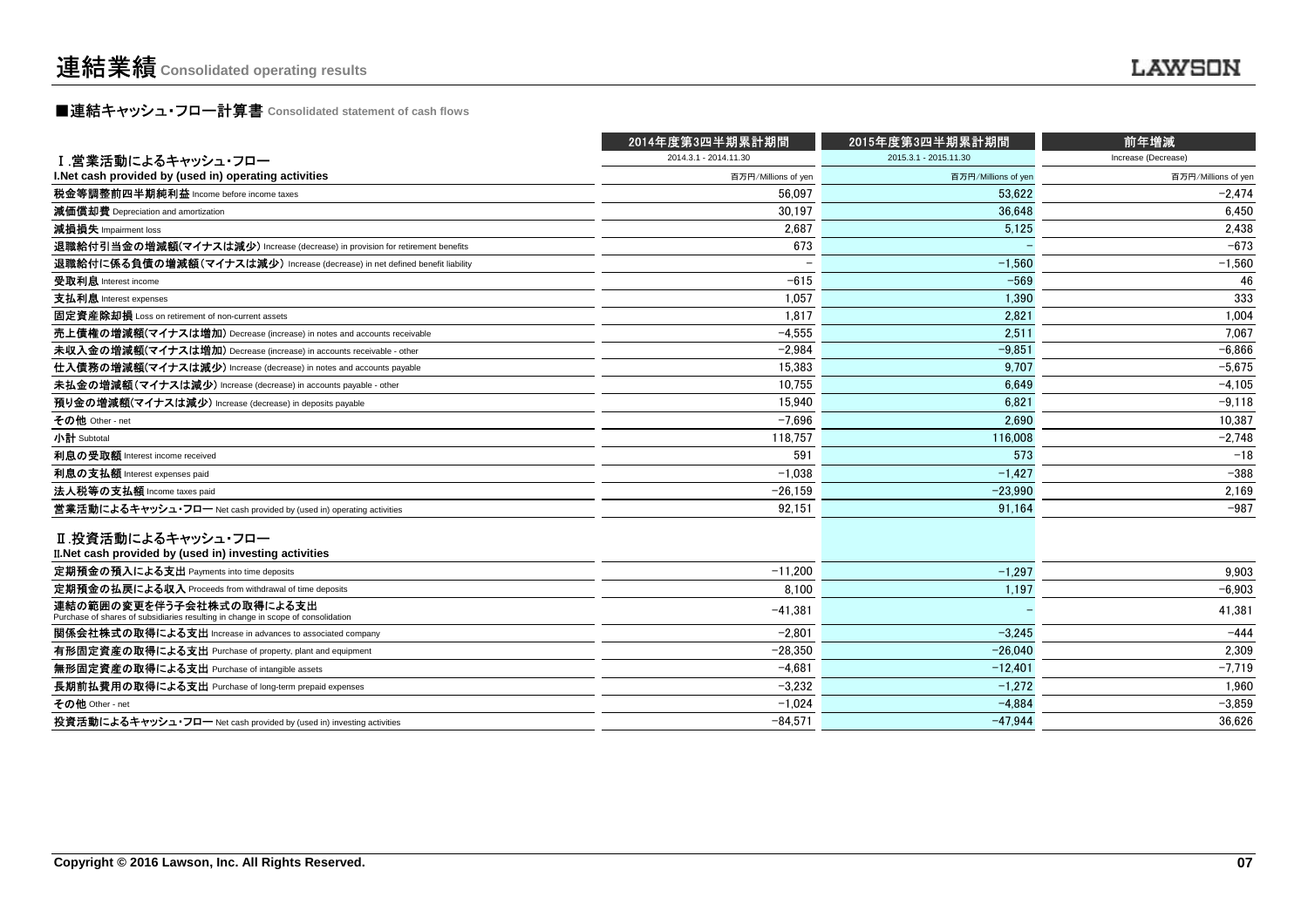### **■連結キャッシュ・フロー計算書** Consolidated statement of cash flows<br>■

|                                                                                                              | 2014年度第3四半期累計期間       | 2015年度第3四半期累計期間       | 前年増減                |
|--------------------------------------------------------------------------------------------------------------|-----------------------|-----------------------|---------------------|
| Ⅰ 営業活動によるキャッシュ・フロー                                                                                           | 2014.3.1 - 2014.11.30 | 2015.3.1 - 2015.11.30 | Increase (Decrease) |
| I. Net cash provided by (used in) operating activities                                                       | 百万円/Millions of yen   | 百万円/Millions of yen   | 百万円/Millions of yen |
| 税金等調整前四半期純利益 Income before income taxes                                                                      | 56.097                | 53.622                | $-2.474$            |
| 減価償却費 Depreciation and amortization                                                                          | 30.197                | 36.648                | 6.450               |
| 減損損失 Impairment loss                                                                                         | 2.687                 | 5,125                 | 2,438               |
| 退職給付引当金の増減額(マイナスは減少) Increase (decrease) in provision for retirement benefits                                | 673                   |                       | $-673$              |
| 退職給付に係る負債の増減額(マイナスは減少) Increase (decrease) in net defined benefit liability                                  |                       | $-1,560$              | $-1,560$            |
| 受取利息 Interest income                                                                                         | $-615$                | $-569$                | 46                  |
| 支払利息 Interest expenses                                                                                       | 1,057                 | 1,390                 | 333                 |
| 固定資産除却損 Loss on retirement of non-current assets                                                             | 1.817                 | 2.821                 | 1.004               |
| 売上債権の増減額(マイナスは増加) Decrease (increase) in notes and accounts receivable                                       | $-4.555$              | 2.511                 | 7.067               |
| 未収入金の増減額(マイナスは増加) Decrease (increase) in accounts receivable - other                                         | $-2.984$              | $-9.851$              | $-6,866$            |
| 仕入債務の増減額(マイナスは減少) Increase (decrease) in notes and accounts payable                                          | 15.383                | 9.707                 | $-5,675$            |
| 未払金の増減額(マイナスは減少) Increase (decrease) in accounts payable - other                                             | 10,755                | 6,649                 | $-4,105$            |
| 預り金の増減額(マイナスは減少) Increase (decrease) in deposits payable                                                     | 15.940                | 6.821                 | $-9,118$            |
| その他 Other - net                                                                                              | $-7.696$              | 2.690                 | 10.387              |
| 小計 Subtotal                                                                                                  | 118,757               | 116,008               | $-2,748$            |
| 利息の受取額 Interest income received                                                                              | 591                   | 573                   | $-18$               |
| 利息の支払額 Interest expenses paid                                                                                | $-1,038$              | $-1,427$              | $-388$              |
| 法人税等の支払額 Income taxes paid                                                                                   | $-26,159$             | $-23,990$             | 2,169               |
| 営業活動によるキャッシュ・フロー Net cash provided by (used in) operating activities                                         | 92,151                | 91.164                | $-987$              |
| Ⅱ.投資活動によるキャッシュ・フロー<br>II. Net cash provided by (used in) investing activities                                |                       |                       |                     |
| 定期預金の預入による支出 Payments into time deposits                                                                     | $-11,200$             | $-1.297$              | 9.903               |
| 定期預金の払戻による収入 Proceeds from withdrawal of time deposits                                                       | 8,100                 | 1,197                 | $-6,903$            |
| 連結の範囲の変更を伴う子会社株式の取得による支出<br>Purchase of shares of subsidiaries resulting in change in scope of consolidation | $-41,381$             |                       | 41,381              |
| 関係会社株式の取得による支出 Increase in advances to associated company                                                    | $-2.801$              | $-3.245$              | $-444$              |
| 有形固定資産の取得による支出 Purchase of property, plant and equipment                                                     | $-28,350$             | $-26.040$             | 2,309               |
| 無形固定資産の取得による支出 Purchase of intangible assets                                                                 | $-4,681$              | $-12.401$             | $-7,719$            |
| 長期前払費用の取得による支出 Purchase of long-term prepaid expenses                                                        | $-3.232$              | $-1.272$              | 1.960               |
| その他 Other - net                                                                                              | $-1.024$              | $-4.884$              | $-3.859$            |
| 投資活動によるキャッシュ・フロー Net cash provided by (used in) investing activities                                         | $-84.571$             | $-47.944$             | 36.626              |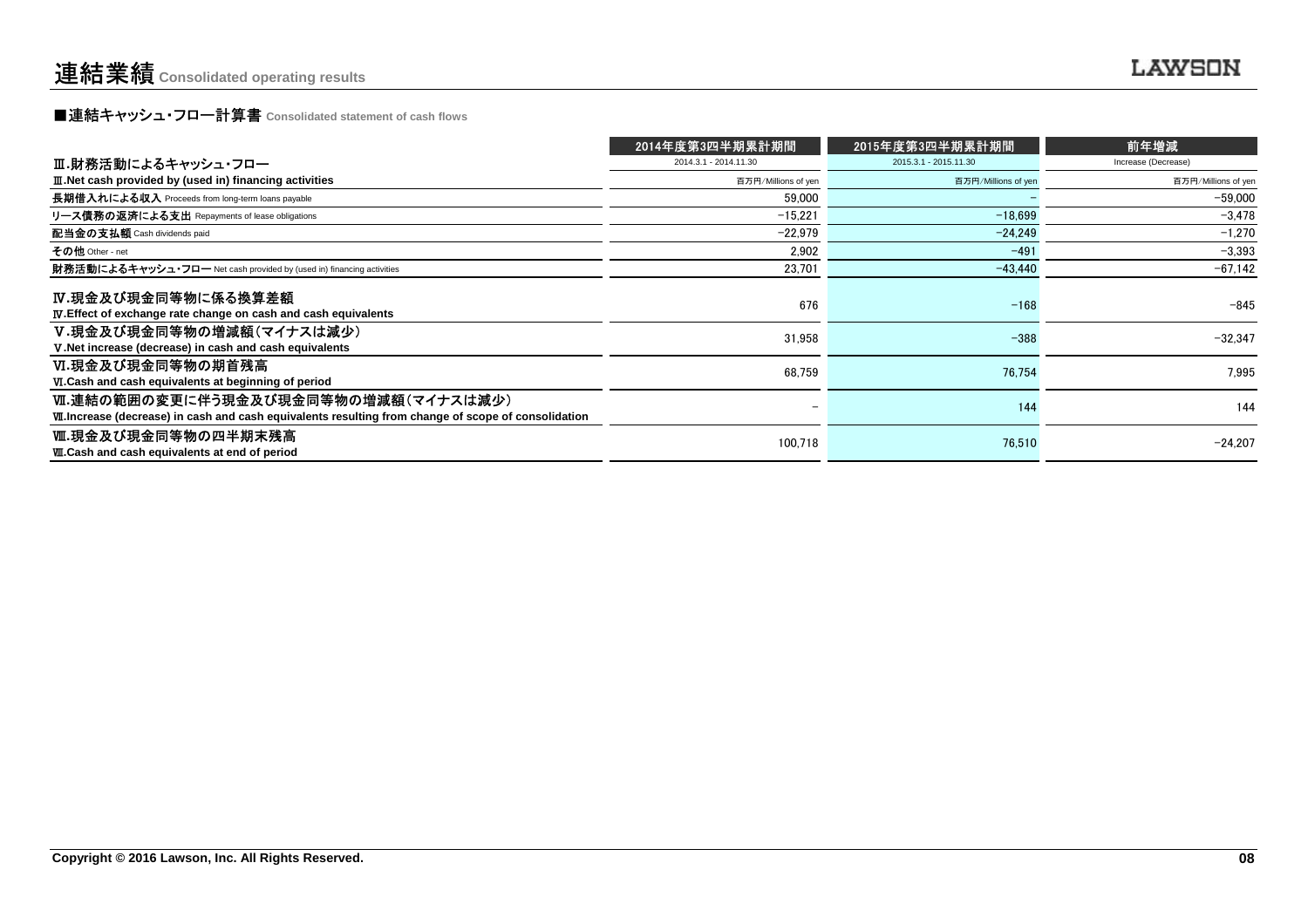**■連結キャッシュ・フロー計算書** Consolidated statement of cash flows<br>■

|                                                                                                       | 2014年度第3四半期累計期間       | 2015年度第3四半期累計期間       | 前年増減                |
|-------------------------------------------------------------------------------------------------------|-----------------------|-----------------------|---------------------|
| Ⅲ.財務活動によるキャッシュ・フロー                                                                                    | 2014.3.1 - 2014.11.30 | 2015.3.1 - 2015.11.30 | Increase (Decrease) |
| III. Net cash provided by (used in) financing activities                                              | 百万円/Millions of yen   | 百万円/Millions of yen   | 百万円/Millions of yen |
| 長期借入れによる収入 Proceeds from long-term loans payable                                                      | 59,000                |                       | $-59.000$           |
| リース債務の返済による支出 Repayments of lease obligations                                                         | $-15.221$             | $-18.699$             | $-3,478$            |
| 配当金の支払額 Cash dividends paid                                                                           | $-22.979$             | $-24.249$             | $-1.270$            |
| その他 Other - net                                                                                       | 2.902                 | $-491$                | $-3,393$            |
| 財務活動によるキャッシュ・フロー Net cash provided by (used in) financing activities                                  | 23,701                | $-43.440$             | $-67,142$           |
| IV.現金及び現金同等物に係る換算差額                                                                                   | 676                   | $-168$                | $-845$              |
| <b>IV.</b> Effect of exchange rate change on cash and cash equivalents<br>V.現金及び現金同等物の増減額(マイナスは減少)    |                       |                       |                     |
| V. Net increase (decrease) in cash and cash equivalents                                               | 31,958                | $-388$                | $-32.347$           |
| Ⅵ.現金及び現金同等物の期首残高                                                                                      | 68,759                | 76.754                | 7.995               |
| VI.Cash and cash equivalents at beginning of period                                                   |                       |                       |                     |
| Ⅵ.連結の範囲の変更に伴う現金及び現金同等物の増減額(マイナスは減少)                                                                   |                       | 144                   | 144                 |
| VII. Increase (decrease) in cash and cash equivalents resulting from change of scope of consolidation |                       |                       |                     |
| Ⅷ.現金及び現金同等物の四半期末残高                                                                                    | 100.718               | 76.510                | $-24.207$           |
| WI.Cash and cash equivalents at end of period                                                         |                       |                       |                     |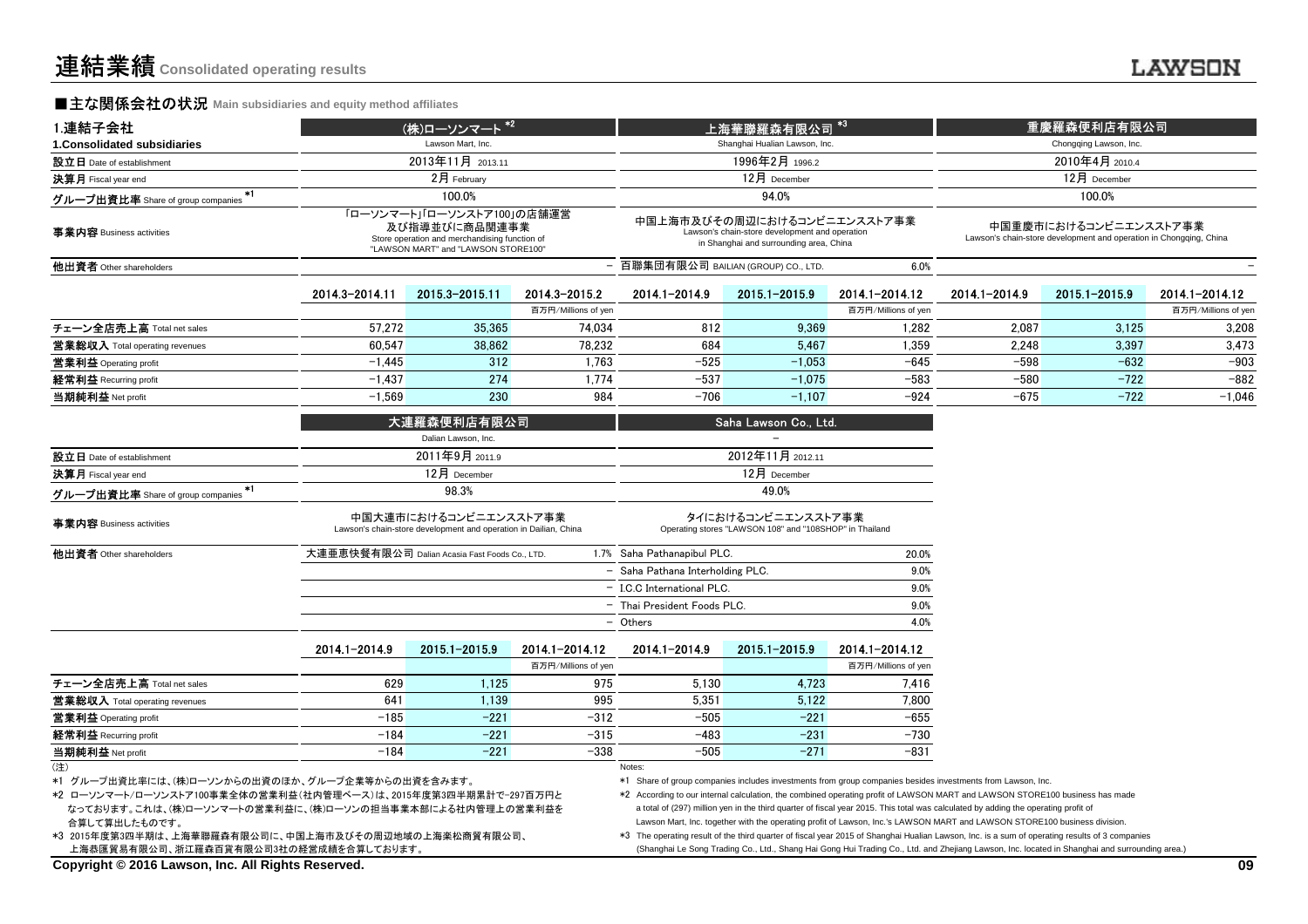#### **■主な関係会社の状況** Main subsidiaries and equity method affiliates

| 1.連結子会社                                   |                                                                                                                                     | (株)ローソンマート <sup>*2</sup>                                                                  |                     |                                                                                                                          |                                                                               |                     | 重慶羅森便利店有限公司   |                                                                                             |                     |
|-------------------------------------------|-------------------------------------------------------------------------------------------------------------------------------------|-------------------------------------------------------------------------------------------|---------------------|--------------------------------------------------------------------------------------------------------------------------|-------------------------------------------------------------------------------|---------------------|---------------|---------------------------------------------------------------------------------------------|---------------------|
| 1. Consolidated subsidiaries              |                                                                                                                                     | Lawson Mart. Inc.                                                                         |                     |                                                                                                                          | Shanghai Hualian Lawson, Inc.                                                 |                     |               | Chongqing Lawson, Inc.                                                                      |                     |
| 設立日 Date of establishment                 |                                                                                                                                     | 2013年11月 2013.11                                                                          |                     |                                                                                                                          | 1996年2月 1996.2                                                                |                     |               | 2010年4月 2010.4                                                                              |                     |
| 決算月 Fiscal year end                       |                                                                                                                                     | 2月 February                                                                               |                     |                                                                                                                          | 12月 December                                                                  |                     |               | 12月 December                                                                                |                     |
| $*1$<br>グループ出資比率 Share of group companies |                                                                                                                                     | 100.0%                                                                                    |                     |                                                                                                                          | 94.0%                                                                         |                     |               | 100.0%                                                                                      |                     |
| 事業内容 Business activities                  | 「ローソンマート」「ローソンストア100」の店舗運営<br>及び指導並びに商品関連事業<br>Store operation and merchandising function of<br>"LAWSON MART" and "LAWSON STORE100" |                                                                                           |                     | 中国上海市及びその周辺におけるコンビニエンスストア事業<br>Lawson's chain-store development and operation<br>in Shanghai and surrounding area, China |                                                                               |                     |               | 中国重慶市におけるコンビニエンスストア事業<br>Lawson's chain-store development and operation in Chongqing, China |                     |
| 他出資者 Other shareholders                   |                                                                                                                                     |                                                                                           |                     | 百聯集団有限公司 BAILIAN (GROUP) CO., LTD.                                                                                       |                                                                               | 6.0%                |               |                                                                                             |                     |
|                                           | 2014.3-2014.11                                                                                                                      | 2015.3-2015.11                                                                            | 2014.3-2015.2       | 2014.1-2014.9                                                                                                            | 2015.1-2015.9                                                                 | 2014.1-2014.12      | 2014.1-2014.9 | 2015.1-2015.9                                                                               | 2014.1-2014.12      |
|                                           |                                                                                                                                     |                                                                                           | 百万円/Millions of yen |                                                                                                                          |                                                                               | 百万円/Millions of yen |               |                                                                                             | 百万円/Millions of yer |
| チェーン全店売上高 Total net sales                 | 57.272                                                                                                                              | 35,365                                                                                    | 74.034              | 812                                                                                                                      | 9.369                                                                         | 1.282               | 2.087         | 3,125                                                                                       | 3,208               |
| 営業総収入 Total operating revenues            | 60.547                                                                                                                              | 38,862                                                                                    | 78,232              | 684                                                                                                                      | 5.467                                                                         | 1,359               | 2,248         | 3,397                                                                                       | 3,473               |
| 営業利益 Operating profit                     | $-1.445$                                                                                                                            | 312                                                                                       | 1.763               | $-525$                                                                                                                   | $-1.053$                                                                      | $-645$              | $-598$        | $-632$                                                                                      | $-903$              |
| 経常利益 Recurring profit                     | $-1,437$                                                                                                                            | 274                                                                                       | 1.774               | $-537$                                                                                                                   | $-1.075$                                                                      | $-583$              | $-580$        | $-722$                                                                                      | $-882$              |
| 当期純利益 Net profit                          | $-1,569$                                                                                                                            | 230                                                                                       | 984                 | $-706$                                                                                                                   | $-1,107$                                                                      | $-924$              | $-675$        | $-722$                                                                                      | $-1,046$            |
|                                           |                                                                                                                                     | 大連羅森便利店有限公司                                                                               |                     |                                                                                                                          | Saha Lawson Co., Ltd.                                                         |                     |               |                                                                                             |                     |
|                                           |                                                                                                                                     | Dalian Lawson, Inc.                                                                       |                     |                                                                                                                          |                                                                               |                     |               |                                                                                             |                     |
| 設立日 Date of establishment                 |                                                                                                                                     | 2011年9月 2011.9                                                                            |                     |                                                                                                                          | 2012年11月2012.11                                                               |                     |               |                                                                                             |                     |
| 決算月 Fiscal year end                       |                                                                                                                                     | $12月$ December                                                                            |                     |                                                                                                                          | 12月 December                                                                  |                     |               |                                                                                             |                     |
| $*1$<br>グループ出資比率 Share of group companies |                                                                                                                                     | 98.3%                                                                                     |                     |                                                                                                                          | 49.0%                                                                         |                     |               |                                                                                             |                     |
| 事業内容 Business activities                  |                                                                                                                                     | 中国大連市におけるコンビニエンスストア事業<br>Lawson's chain-store development and operation in Dailian, China |                     |                                                                                                                          | タイにおけるコンビニエンスストア事業<br>Operating stores "LAWSON 108" and "108SHOP" in Thailand |                     |               |                                                                                             |                     |
| 他出資者 Other shareholders                   |                                                                                                                                     | 大連亜恵快餐有限公司 Dalian Acasia Fast Foods Co., LTD.                                             |                     | 1.7% Saha Pathanapibul PLC.                                                                                              |                                                                               | 20.0%               |               |                                                                                             |                     |
|                                           |                                                                                                                                     |                                                                                           |                     | - Saha Pathana Interholding PLC.                                                                                         |                                                                               | 9.0%                |               |                                                                                             |                     |
|                                           |                                                                                                                                     |                                                                                           |                     | - I.C.C International PLC.                                                                                               |                                                                               | 9.0%                |               |                                                                                             |                     |
|                                           |                                                                                                                                     |                                                                                           |                     | - Thai President Foods PLC.                                                                                              |                                                                               | 9.0%                |               |                                                                                             |                     |
|                                           |                                                                                                                                     |                                                                                           |                     | - Others                                                                                                                 |                                                                               | 4.0%                |               |                                                                                             |                     |
|                                           | 2014.1-2014.9                                                                                                                       | 2015.1-2015.9                                                                             | 2014.1-2014.12      | 2014.1-2014.9                                                                                                            | 2015.1-2015.9                                                                 | 2014.1-2014.12      |               |                                                                                             |                     |
|                                           |                                                                                                                                     |                                                                                           | 否正甲/Millione of von |                                                                                                                          |                                                                               | 否正甲/Millione of von |               |                                                                                             |                     |

|                                |        |        | 百万円/Millions of yen |        |        | 百万円/Millions of yen |
|--------------------------------|--------|--------|---------------------|--------|--------|---------------------|
| チェーン全店売上高 Total net sales      | 629    | .125   | 975                 | 5.130  | 4.723  | 7.416               |
| 営業総収入 Total operating revenues | 641    | .139   | 995                 | 5.351  | 5.122  | 7.800               |
| 営業利益 Operating profit          | $-185$ | $-221$ | $-312$              | $-505$ | $-221$ | -655                |
| 経常利益 Recurring profit          | $-184$ | $-221$ | $-315$              | $-483$ | $-231$ | $-730$              |
| 当期純利益 Net profit               | $-184$ | $-221$ | $-338$              | $-505$ | $-271$ | $-831$              |
| (注)                            |        |        |                     | Notes: |        |                     |

\*1 グループ出資比率には、(株)ローソンからの出資のほか、グループ企業等からの出資を含みます。

合算して算出したものです。 \*2 ローソンマート/ローソンストア100事業全体の営業利益(社内管理ベース)は、2015年度第3四半期累計で-297百万円となっております。これは、(株)ローソンマートの営業利益に、(株)ローソンの担当事業本部による社内管理上の営業利益を

 \*3 2015年度第3四半期は、上海華聯羅森有限公司に、中国上海市及びその周辺地域の上海楽松商貿有限公司、上海恭匯貿易有限公司、浙江羅森百貨有限公司3社の経営成績を合算しております。

\*1 Share of group companies includes investments from group companies besides investments from Lawson, Inc.

 \*2 According to our internal calculation, the combined operating profit of LAWSON MART and LAWSON STORE100 business has madea total of (297) million yen in the third quarter of fiscal year 2015. This total was calculated by adding the operating profit ofLawson Mart, Inc. together with the operating profit of Lawson, Inc.'s LAWSON MART and LAWSON STORE100 business division.

 \*3 The operating result of the third quarter of fiscal year 2015 of Shanghai Hualian Lawson, Inc. is a sum of operating results of 3 companies(Shanghai Le Song Trading Co., Ltd., Shang Hai Gong Hui Trading Co., Ltd. and Zhejiang Lawson, Inc. located in Shanghai and surrounding area.)

**Copyright © 2016 Lawson, Inc. All Rights Reserved.**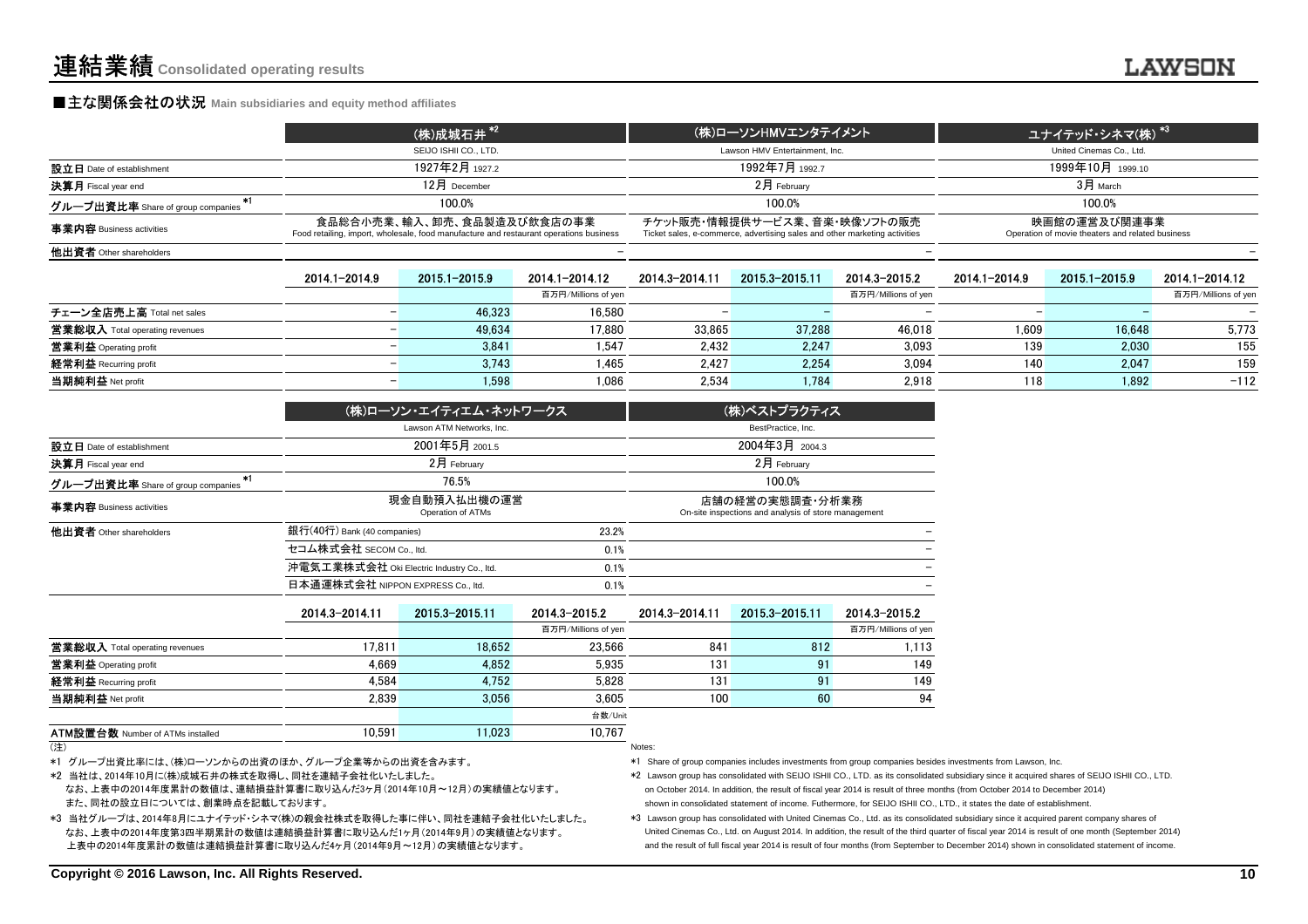#### **■主な関係会社の状況 Main subsidiaries and equity method affiliates**

|                                   | (株)成城石井 *2                                                                                                           | (株)ローソンHMVエンタテイメント                                                                                         | ユナイテッド・シネマ(株) <sup>*3</sup>                                      |
|-----------------------------------|----------------------------------------------------------------------------------------------------------------------|------------------------------------------------------------------------------------------------------------|------------------------------------------------------------------|
|                                   | SEIJO ISHII CO., LTD.                                                                                                | Lawson HMV Entertainment, Inc.                                                                             | United Cinemas Co., Ltd.                                         |
| 設立日 Date of establishment         | 1927年2月 1927.2                                                                                                       | 1992年7月 1992.7                                                                                             | 1999年10月 1999.10                                                 |
| 決算月 Fiscal year end               | $12$ 月 December                                                                                                      | $2$ 月 February                                                                                             | $3H$ March                                                       |
| グループ出資比率 Share of group companies | 100.0%                                                                                                               | 100.0%                                                                                                     | 100.0%                                                           |
| 事業内容 Business activities          | 食品総合小売業、輸入、卸売、食品製造及び飲食店の事業<br>Food retailing, import, wholesale, food manufacture and restaurant operations business | チケット販売・情報提供サービス業、音楽・映像ソフトの販売<br>Ticket sales, e-commerce, advertising sales and other marketing activities | 映画館の運営及び関連事業<br>Operation of movie theaters and related business |
| 他出資者 Other shareholders           |                                                                                                                      | -                                                                                                          |                                                                  |
|                                   |                                                                                                                      |                                                                                                            |                                                                  |

|                                          |                     |        | 2015 3-2015 11 | 2014.3-2015.2            | 2014.1-2014.9 | 2015 1-2015 9 | 2014.1-2014.12      |
|------------------------------------------|---------------------|--------|----------------|--------------------------|---------------|---------------|---------------------|
|                                          | 百万円/Millions of yen |        |                | 百万円/Millions of yen      |               |               | 百万円/Millions of yen |
| チェーン全店売上高 Total net sales<br>46.323      | 16,580              |        |                | $\overline{\phantom{0}}$ |               |               |                     |
| 営業総収入 Total operating revenues<br>49,634 | 17,880              | 33.865 | 37.288         | 46,018                   | 1.609         | 16.648        | 5,773               |
| 営業利益 Operating profit<br>3.841           | 1.547               | 2.432  | 2.247          | 3,093                    | 139           | 2.030         | 155                 |
| 経常利益 Recurring profit                    | 3.743<br>1.465      | 2.427  | 2.254          | 3.094                    | 140           | 2.047         | 159                 |
| 当期純利益 Net profit                         | 1,598<br>1.086      | 2.534  | 1.784          | 2,918                    | 118           | 1.892         | $-112$              |

|                                         | (株)ローソン・エイティエム・ネットワークス                    |       | (株)ベストプラクティス                                                            |
|-----------------------------------------|-------------------------------------------|-------|-------------------------------------------------------------------------|
|                                         | Lawson ATM Networks, Inc.                 |       | BestPractice, Inc.                                                      |
| 設立日 Date of establishment               | 2001年5月 2001.5                            |       | 2004年3月 2004.3                                                          |
| 決算月 Fiscal year end                     | $2月$ February                             |       | $2月$ February                                                           |
| *1<br>グループ出資比率 Share of group companies | 76.5%                                     |       | 100.0%                                                                  |
| 事業内容 Business activities                | 現金自動預入払出機の運営<br>Operation of ATMs         |       | 店舗の経営の実態調査・分析業務<br>On-site inspections and analysis of store management |
| 他出資者 Other shareholders                 | 銀行(40行) Bank (40 companies)               | 23.2% |                                                                         |
|                                         | セコム株式会社 SECOM Co., ltd.                   | 0.1%  |                                                                         |
|                                         | 沖電気工業株式会社 Oki Electric Industry Co., Itd. | 0.1%  |                                                                         |
|                                         | 日本通運株式会社 NIPPON EXPRESS Co., ltd.         | 0.1%  |                                                                         |

|                                         | 2014.3-2014.11 | 2015.3-2015.11 | 2014.3-2015.2       | 2014.3-2014.11 | 2015.3-2015.11 | 2014.3-2015.2       |
|-----------------------------------------|----------------|----------------|---------------------|----------------|----------------|---------------------|
|                                         |                |                | 百万円/Millions of yen |                |                | 百万円/Millions of yen |
| 営業総収入 Total operating revenues          | 17.811         | 18.652         | 23.566              | 841            | 812            | 1,113               |
| 営業利益 Operating profit                   | 4.669          | 4.852          | 5.935               | 131            | 91             | 149                 |
| 経常利益 Recurring profit                   | 4.584          | 4,752          | 5.828               | 131            | 91             | 149                 |
| 当期純利益 Net profit                        | 2.839          | 3.056          | 3.605               | 100            | 60             | 94                  |
|                                         |                |                | 台数/Unit             |                |                |                     |
| <b>ATM設置台数 Number of ATMs installed</b> | 10.591         | 11.023         | 10,767              |                |                |                     |
| (注)                                     |                |                |                     | Notes:         |                |                     |

#### (注)

\*1 グループ出資比率には、(株)ローソンからの出資のほか、グループ企業等からの出資を含みます。

\*2 当社は、2014年10月に(株)成城石井の株式を取得し、同社を連結子会社化いたしました。

 なお、上表中の2014年度累計の数値は、連結損益計算書に取り込んだ3ヶ月(2014年10月~12月)の実績値となります。また、同社の設立日については、創業時点を記載しております。

\*3 当社グループは、2014年8月にユナイテッド・シネマ(株)の親会社株式を取得した事に伴い、同社を連結子会社化いたしました。 なお、上表中の2014年度第3四半期累計の数値は連結損益計算書に取り込んだ1ヶ月(2014年9月)の実績値となります。上表中の2014年度累計の数値は連結損益計算書に取り込んだ4ヶ月(2014年9月~12月)の実績値となります。

\*1 Share of group companies includes investments from group companies besides investments from Lawson, Inc.

- \*2 Lawson group has consolidated with SEIJO ISHII CO., LTD. as its consolidated subsidiary since it acquired shares of SEIJO ISHII CO., LTD.on October 2014. In addition, the result of fiscal year 2014 is result of three months (from October 2014 to December 2014)shown in consolidated statement of income. Futhermore, for SEIJO ISHII CO., LTD., it states the date of establishment.
- \*3 Lawson group has consolidated with United Cinemas Co., Ltd. as its consolidated subsidiary since it acquired parent company shares of United Cinemas Co., Ltd. on August 2014. In addition, the result of the third quarter of fiscal year 2014 is result of one month (September 2014) and the result of full fiscal year 2014 is result of four months (from September to December 2014) shown in consolidated statement of income.

) and the contract of the contract of the contract of the contract of the contract of the contract of the contract of the contract of the contract of the contract of the contract of the contract of the contract of the cont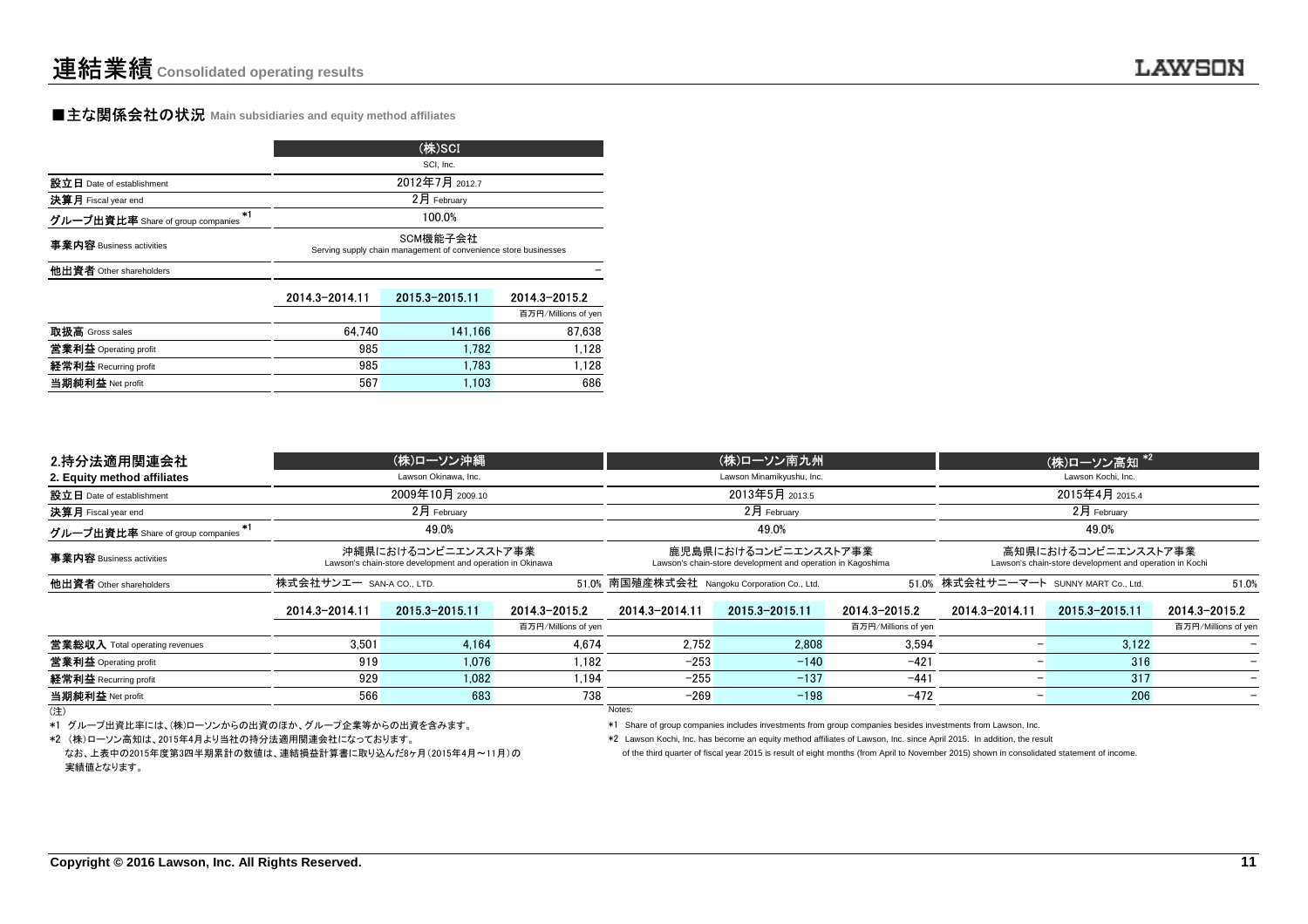当期純利益 Net profit

#### **■主な関係会社の状況 Main subsidiaries and equity method affiliates**

|                                           | (株)SCI<br>SCI, Inc.                                                         |                |                     |  |  |  |  |  |
|-------------------------------------------|-----------------------------------------------------------------------------|----------------|---------------------|--|--|--|--|--|
|                                           |                                                                             |                |                     |  |  |  |  |  |
| 設立日 Date of establishment                 |                                                                             | 2012年7月 2012.7 |                     |  |  |  |  |  |
| 決算月 Fiscal year end                       |                                                                             | 2月 February    |                     |  |  |  |  |  |
| $+1$<br>グループ出資比率 Share of group companies | 100.0%                                                                      |                |                     |  |  |  |  |  |
| 事業内容 Business activities                  | SCM機能子会社<br>Serving supply chain management of convenience store businesses |                |                     |  |  |  |  |  |
| 他出資者 Other shareholders                   |                                                                             |                |                     |  |  |  |  |  |
|                                           | 2014.3-2014.11                                                              | 2015.3-2015.11 | 2014.3-2015.2       |  |  |  |  |  |
|                                           |                                                                             |                | 百万円/Millions of yen |  |  |  |  |  |
| 取扱高 Gross sales                           | 64.740                                                                      | 141,166        | 87.638              |  |  |  |  |  |
| 営業利益 Operating profit                     | 985                                                                         | 1.782          | 1.128               |  |  |  |  |  |
| 経常利益 Recurring profit                     | 985                                                                         | 1.783          | 1.128               |  |  |  |  |  |
| all the empty of the company              | 567                                                                         | 1.102          | <b>COC</b>          |  |  |  |  |  |

t 567 1,103 686

| 2.持分法適用関連会社                       | (株)ローソン沖縄                |                                                                                  |                     | (株)ローソン南九州                                                                          |                           |                                      | (株)ローソン高知 *2   |                                                                                |                     |  |
|-----------------------------------|--------------------------|----------------------------------------------------------------------------------|---------------------|-------------------------------------------------------------------------------------|---------------------------|--------------------------------------|----------------|--------------------------------------------------------------------------------|---------------------|--|
| 2. Equity method affiliates       |                          | Lawson Okinawa, Inc.                                                             |                     |                                                                                     | Lawson Minamikyushu, Inc. |                                      |                | Lawson Kochi, Inc.                                                             |                     |  |
| 設立日 Date of establishment         |                          | 2009年10月 2009.10                                                                 |                     | 2013年5月 2013.5                                                                      |                           |                                      | 2015年4月 2015.4 |                                                                                |                     |  |
| 決算月 Fiscal year end               |                          | $2月$ February                                                                    |                     | $2月$ February                                                                       |                           |                                      | $2$ 月 February |                                                                                |                     |  |
| グループ出資比率 Share of group companies |                          | 49.0%                                                                            |                     | 49.0%                                                                               |                           |                                      | 49.0%          |                                                                                |                     |  |
| 事業内容 Business activities          |                          | 沖縄県におけるコンビニエンスストア事業<br>Lawson's chain-store development and operation in Okinawa |                     | 鹿児島県におけるコンビニエンスストア事業<br>Lawson's chain-store development and operation in Kagoshima |                           |                                      |                | 高知県におけるコンビニエンスストア事業<br>Lawson's chain-store development and operation in Kochi |                     |  |
| 他出資者 Other shareholders           | 株式会社サンエー SAN-A CO., LTD. |                                                                                  |                     | 51.0% 南国殖産株式会社 Nangoku Corporation Co., Ltd.                                        |                           | 51.0% 株式会社サニーマート SUNNY MART Co. Ltd. |                | 51.0%                                                                          |                     |  |
|                                   | 2014.3-2014.11           | 2015.3-2015.11                                                                   | 2014.3-2015.2       | 2014.3-2014.11                                                                      | 2015.3-2015.11            | 2014.3-2015.2                        | 2014.3-2014.11 | 2015.3-2015.11                                                                 | 2014.3-2015.2       |  |
|                                   |                          |                                                                                  | 百万円/Millions of yen |                                                                                     |                           | 百万円/Millions of yen                  |                |                                                                                | 百万円/Millions of yen |  |
| 営業総収入 Total operating revenues    | 3.501                    | 4.164                                                                            | 4.674               | 2.752                                                                               | 2.808                     | 3.594                                |                | 3.122                                                                          |                     |  |
| 営業利益 Operating profit             | 919                      | 1.076                                                                            | 1.182               | $-253$                                                                              | $-140$                    | $-421$                               |                | 316                                                                            |                     |  |
| 経常利益 Recurring profit             | 929                      | 1.082                                                                            | 1.194               | $-255$                                                                              | $-137$                    | $-441$                               |                | 317                                                                            |                     |  |
| 当期純利益 Net profit                  | 566                      | 683                                                                              | 738                 | $-269$                                                                              | $-198$                    | $-472$                               |                | 206                                                                            |                     |  |
| (注)                               |                          |                                                                                  |                     | Notes:                                                                              |                           |                                      |                |                                                                                |                     |  |

\*1 グループ出資比率には、(株)ローソンからの出資のほか、グループ企業等からの出資を含みます。

\*2 (株)ローソン高知は、2015年4月より当社の持分法適用関連会社になっております。

 \*1 Share of group companies includes investments from group companies besides investments from Lawson, Inc. \*2 Lawson Kochi, Inc. has become an equity method affiliates of Lawson, Inc. since April 2015. In addition, the result

なお、上表中の2015年度第3四半期累計の数値は、連結損益計算書に取り込んだ8ヶ月(2015年4月~11月)の実績値となります。

of the third quarter of fiscal year 2015 is result of eight months (from April to November 2015) shown in consolidated statement of income.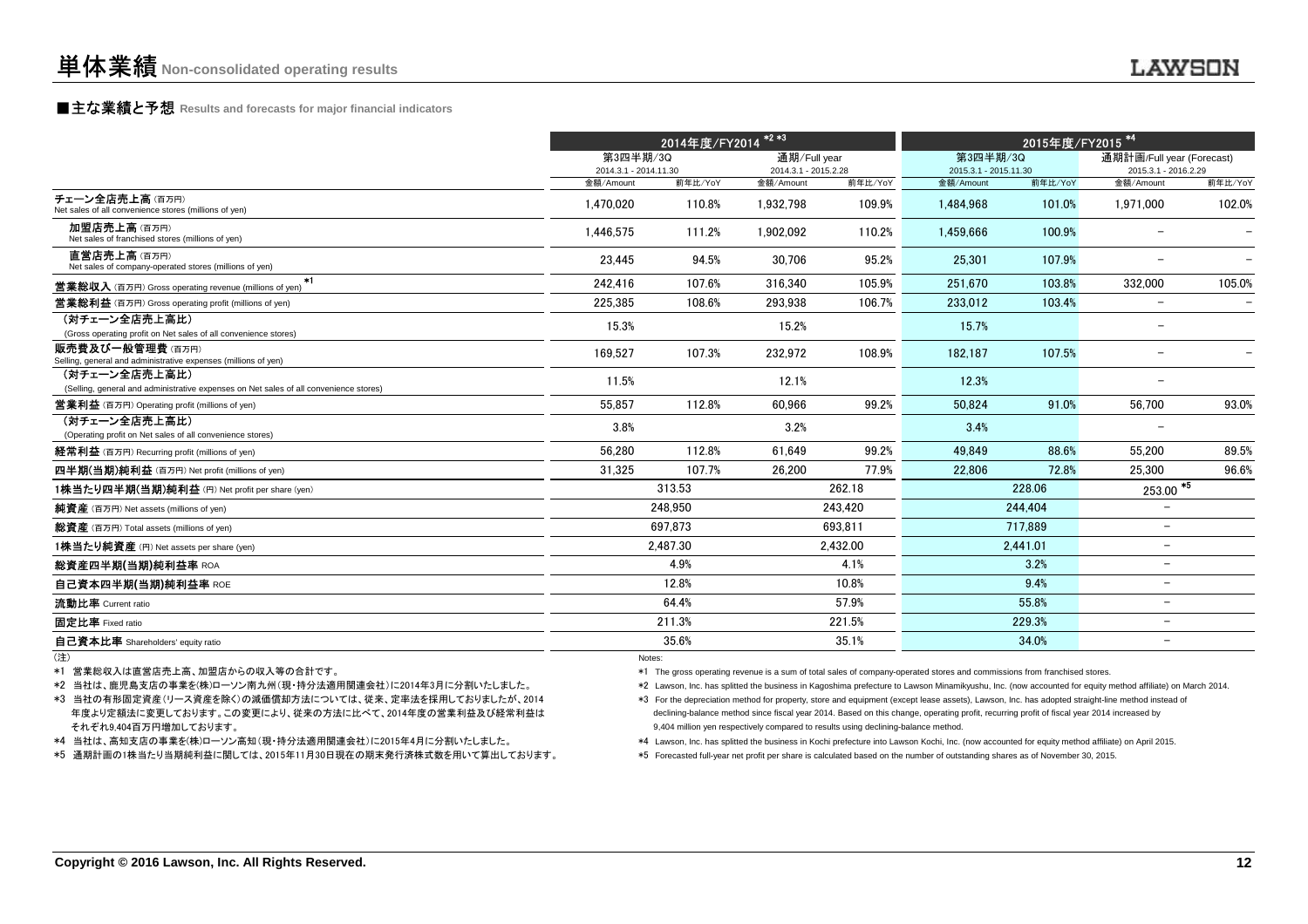# **■主な業績と予想** Results and forecasts for major financial indicators<br>
————————————————————

|                                                                                                                                                                                                          | 2014年度/FY2014 <sup>*2*3</sup><br>2015年度/FY2015 <sup>*4</sup>                                                                                                                                                                                                                                                                                                                                                                                                                                                                                      |          |                                      |          |                                                                                                                                                                                                                                                                                   |          |                                                   |         |
|----------------------------------------------------------------------------------------------------------------------------------------------------------------------------------------------------------|---------------------------------------------------------------------------------------------------------------------------------------------------------------------------------------------------------------------------------------------------------------------------------------------------------------------------------------------------------------------------------------------------------------------------------------------------------------------------------------------------------------------------------------------------|----------|--------------------------------------|----------|-----------------------------------------------------------------------------------------------------------------------------------------------------------------------------------------------------------------------------------------------------------------------------------|----------|---------------------------------------------------|---------|
|                                                                                                                                                                                                          | 第3四半期/3Q<br>2014.3.1 - 2014.11.30                                                                                                                                                                                                                                                                                                                                                                                                                                                                                                                 |          | 通期/Full year<br>2014.3.1 - 2015.2.28 |          | 第3四半期/3Q<br>2015.3.1 - 2015.11.30                                                                                                                                                                                                                                                 |          | 通期計画/Full year (Forecast)<br>2015.3.1 - 2016.2.29 |         |
|                                                                                                                                                                                                          | 金額/Amount                                                                                                                                                                                                                                                                                                                                                                                                                                                                                                                                         | 前年比/YoY  | 金額/Amount                            | 前年比/YoY  | 金額/Amount                                                                                                                                                                                                                                                                         | 前年比/YoY  | 金額/Amount                                         | 前年比/YoY |
| チェーン全店売上高(百万円)<br>Net sales of all convenience stores (millions of yen)                                                                                                                                  | 1.470.020                                                                                                                                                                                                                                                                                                                                                                                                                                                                                                                                         | 110.8%   | 1,932,798                            | 109.9%   | 1,484,968                                                                                                                                                                                                                                                                         | 101.0%   | 1,971,000                                         | 102.0%  |
| 加盟店売上高(百万円)<br>Net sales of franchised stores (millions of yen)                                                                                                                                          | 1.446.575                                                                                                                                                                                                                                                                                                                                                                                                                                                                                                                                         | 111.2%   | 1.902.092                            | 110.2%   | 1.459.666                                                                                                                                                                                                                                                                         | 100.9%   | $\overline{\phantom{0}}$                          |         |
| 直営店売上高(百万円)<br>Net sales of company-operated stores (millions of yen)                                                                                                                                    | 23.445                                                                                                                                                                                                                                                                                                                                                                                                                                                                                                                                            | 94.5%    | 30.706                               | 95.2%    | 25.301                                                                                                                                                                                                                                                                            | 107.9%   | $\overline{\phantom{0}}$                          |         |
| <b>営業総収入</b> (百万円) Gross operating revenue (millions of yen) *1                                                                                                                                          | 242,416                                                                                                                                                                                                                                                                                                                                                                                                                                                                                                                                           | 107.6%   | 316,340                              | 105.9%   | 251.670                                                                                                                                                                                                                                                                           | 103.8%   | 332,000                                           | 105.0%  |
| <b>営業総利益</b> (百万円) Gross operating profit (millions of yen)                                                                                                                                              | 225,385                                                                                                                                                                                                                                                                                                                                                                                                                                                                                                                                           | 108.6%   | 293,938                              | 106.7%   | 233.012                                                                                                                                                                                                                                                                           | 103.4%   | $-$                                               |         |
| (対チェーン全店売上高比)<br>(Gross operating profit on Net sales of all convenience stores)                                                                                                                         | 15.3%                                                                                                                                                                                                                                                                                                                                                                                                                                                                                                                                             |          | 15.2%                                |          | 15.7%                                                                                                                                                                                                                                                                             |          | $\overline{\phantom{0}}$                          |         |
| <b>販売費及び一般管理費</b> (百万円)<br>Selling, general and administrative expenses (millions of yen)                                                                                                                | 169.527                                                                                                                                                                                                                                                                                                                                                                                                                                                                                                                                           | 107.3%   | 232.972                              | 108.9%   | 182.187                                                                                                                                                                                                                                                                           | 107.5%   | $\qquad \qquad -$                                 |         |
| (対チェーン全店売上高比)                                                                                                                                                                                            | 11.5%                                                                                                                                                                                                                                                                                                                                                                                                                                                                                                                                             |          | 12.1%                                |          | 12.3%                                                                                                                                                                                                                                                                             |          |                                                   |         |
| (Selling, general and administrative expenses on Net sales of all convenience stores)                                                                                                                    |                                                                                                                                                                                                                                                                                                                                                                                                                                                                                                                                                   |          |                                      |          |                                                                                                                                                                                                                                                                                   |          |                                                   |         |
| <b>営業利益</b> (百万円) Operating profit (millions of yen)<br>(対チェーン全店売上高比)                                                                                                                                    | 55.857                                                                                                                                                                                                                                                                                                                                                                                                                                                                                                                                            | 112.8%   | 60.966                               | 99.2%    | 50.824                                                                                                                                                                                                                                                                            | 91.0%    | 56.700                                            | 93.0%   |
| (Operating profit on Net sales of all convenience stores)                                                                                                                                                | 3.8%                                                                                                                                                                                                                                                                                                                                                                                                                                                                                                                                              |          | 3.2%                                 |          | 3.4%                                                                                                                                                                                                                                                                              |          |                                                   |         |
| 経常利益 (百万円) Recurring profit (millions of yen)                                                                                                                                                            | 56.280                                                                                                                                                                                                                                                                                                                                                                                                                                                                                                                                            | 112.8%   | 61.649                               | 99.2%    | 49.849                                                                                                                                                                                                                                                                            | 88.6%    | 55.200                                            | 89.5%   |
| 四半期(当期)純利益 (百万円) Net profit (millions of yen)                                                                                                                                                            | 31.325                                                                                                                                                                                                                                                                                                                                                                                                                                                                                                                                            | 107.7%   | 26.200                               | 77.9%    | 22.806                                                                                                                                                                                                                                                                            | 72.8%    | 25.300                                            | 96.6%   |
| 1株当たり四半期(当期)純利益 (円) Net profit per share (yen)                                                                                                                                                           |                                                                                                                                                                                                                                                                                                                                                                                                                                                                                                                                                   | 313.53   |                                      | 262.18   |                                                                                                                                                                                                                                                                                   | 228.06   | $253.00$ <sup>*5</sup>                            |         |
| 純資産 (百万円) Net assets (millions of yen)                                                                                                                                                                   |                                                                                                                                                                                                                                                                                                                                                                                                                                                                                                                                                   | 248.950  |                                      | 243,420  |                                                                                                                                                                                                                                                                                   | 244.404  | $\qquad \qquad -$                                 |         |
| 総資産 (百万円) Total assets (millions of yen)                                                                                                                                                                 |                                                                                                                                                                                                                                                                                                                                                                                                                                                                                                                                                   | 697.873  |                                      | 693.811  |                                                                                                                                                                                                                                                                                   | 717.889  | $\sim$                                            |         |
| 1株当たり純資産 (円) Net assets per share (yen)                                                                                                                                                                  |                                                                                                                                                                                                                                                                                                                                                                                                                                                                                                                                                   | 2.487.30 |                                      | 2.432.00 |                                                                                                                                                                                                                                                                                   | 2.441.01 | $\overline{\phantom{a}}$                          |         |
| <b>総資産四半期(当期)純利益率 ROA</b>                                                                                                                                                                                |                                                                                                                                                                                                                                                                                                                                                                                                                                                                                                                                                   | 4.9%     |                                      | 4.1%     |                                                                                                                                                                                                                                                                                   | 3.2%     | $\equiv$                                          |         |
| 自己資本四半期(当期)純利益率 ROE                                                                                                                                                                                      |                                                                                                                                                                                                                                                                                                                                                                                                                                                                                                                                                   | 12.8%    |                                      | 10.8%    |                                                                                                                                                                                                                                                                                   | 9.4%     | $\overline{\phantom{0}}$                          |         |
| 流動比率 Current ratio                                                                                                                                                                                       |                                                                                                                                                                                                                                                                                                                                                                                                                                                                                                                                                   | 64.4%    |                                      | 57.9%    |                                                                                                                                                                                                                                                                                   | 55.8%    | $\equiv$                                          |         |
| 固定比率 Fixed ratio                                                                                                                                                                                         |                                                                                                                                                                                                                                                                                                                                                                                                                                                                                                                                                   | 211.3%   |                                      | 221.5%   |                                                                                                                                                                                                                                                                                   | 229.3%   | $\qquad \qquad -$                                 |         |
|                                                                                                                                                                                                          |                                                                                                                                                                                                                                                                                                                                                                                                                                                                                                                                                   | 35.6%    |                                      | 35.1%    |                                                                                                                                                                                                                                                                                   | 34.0%    | $\overline{\phantom{m}}$                          |         |
| 自己資本比率 Shareholders' equity ratio<br>(注)<br>*1 営業総収入は直営店売上高、加盟店からの収入等の合計です。                                                                                                                              | Notes:                                                                                                                                                                                                                                                                                                                                                                                                                                                                                                                                            |          |                                      |          | *1 The gross operating revenue is a sum of total sales of company-operated stores and commissions from franchised stores.                                                                                                                                                         |          |                                                   |         |
| *2 当社は、鹿児島支店の事業を(株)ローソン南九州(現・持分法適用関連会社)に2014年3月に分割いたしました。<br>*3 当社の有形固定資産(リース資産を除く)の減価償却方法については、従来、定率法を採用しておりましたが、2014<br>年度より定額法に変更しております。この変更により、従来の方法に比べて、2014年度の営業利益及び経常利益は<br>それぞれ9,404百万円増加しております。 | *2 Lawson, Inc. has splitted the business in Kagoshima prefecture to Lawson Minamikyushu, Inc. (now accounted for equity method affiliate) on March 2014.<br>*3 For the depreciation method for property, store and equipment (except lease assets), Lawson, Inc. has adopted straight-line method instead of<br>declining-balance method since fiscal year 2014. Based on this change, operating profit, recurring profit of fiscal year 2014 increased by<br>9,404 million yen respectively compared to results using declining-balance method. |          |                                      |          |                                                                                                                                                                                                                                                                                   |          |                                                   |         |
| *4 当社は、高知支店の事業を(株)ローソン高知(現・持分法適用関連会社)に2015年4月に分割いたしました。<br>*5 通期計画の1株当たり当期純利益に関しては、2015年11月30日現在の期末発行済株式数を用いて算出しております。                                                                                   |                                                                                                                                                                                                                                                                                                                                                                                                                                                                                                                                                   |          |                                      |          | *4 Lawson, Inc. has splitted the business in Kochi prefecture into Lawson Kochi, Inc. (now accounted for equity method affiliate) on April 2015.<br>*5 Forecasted full-year net profit per share is calculated based on the number of outstanding shares as of November 30, 2015. |          |                                                   |         |
|                                                                                                                                                                                                          |                                                                                                                                                                                                                                                                                                                                                                                                                                                                                                                                                   |          |                                      |          |                                                                                                                                                                                                                                                                                   |          |                                                   |         |
| Copyright © 2016 Lawson, Inc. All Rights Reserved.                                                                                                                                                       |                                                                                                                                                                                                                                                                                                                                                                                                                                                                                                                                                   |          |                                      |          |                                                                                                                                                                                                                                                                                   |          |                                                   | 12      |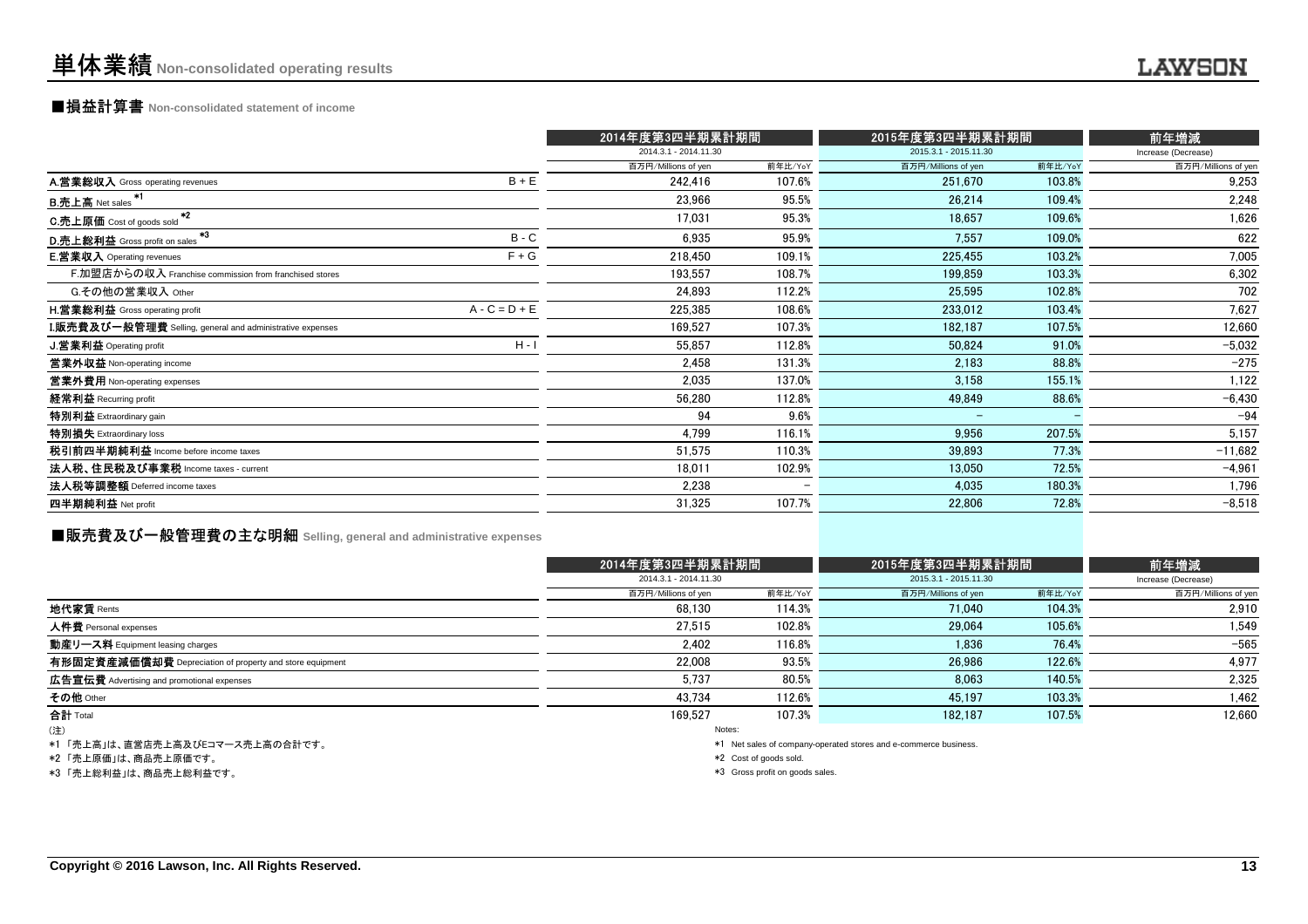### ■損益計算書 **Non-consolidated statement of income**

|                                                           |                 | 2014年度第3四半期累計期間       |         | 2015年度第3四半期累計期間       |         | 前年増減                |
|-----------------------------------------------------------|-----------------|-----------------------|---------|-----------------------|---------|---------------------|
|                                                           |                 | 2014.3.1 - 2014.11.30 |         | 2015.3.1 - 2015.11.30 |         | Increase (Decrease) |
|                                                           |                 | 百万円/Millions of yen   | 前年比/YoY | 百万円/Millions of yen   | 前年比/YoY | 百万円/Millions of yen |
| A.営業総収入 Gross operating revenues                          | $B + E$         | 242,416               | 107.6%  | 251,670               | 103.8%  | 9,253               |
| B.売上高 Net sales <sup>*1</sup>                             |                 | 23,966                | 95.5%   | 26,214                | 109.4%  | 2,248               |
| C.売上原価 Cost of goods sold <sup>*2</sup>                   |                 | 17,031                | 95.3%   | 18,657                | 109.6%  | 1,626               |
| - 43<br>D.売上総利益 Gross profit on sales                     | $B - C$         | 6,935                 | 95.9%   | 7,557                 | 109.0%  | 622                 |
| <b>E.営業収入</b> Operating revenues                          | $F + G$         | 218,450               | 109.1%  | 225,455               | 103.2%  | 7,005               |
| F.加盟店からの収入 Franchise commission from franchised stores    |                 | 193,557               | 108.7%  | 199,859               | 103.3%  | 6,302               |
| G.その他の営業収入 Other                                          |                 | 24,893                | 112.2%  | 25,595                | 102.8%  | 702                 |
| <b>H.営業総利益</b> Gross operating profit                     | $A - C = D + E$ | 225,385               | 108.6%  | 233,012               | 103.4%  | 7,627               |
| I.販売費及び一般管理費 Selling, general and administrative expenses |                 | 169,527               | 107.3%  | 182,187               | 107.5%  | 12,660              |
| J.営業利益 Operating profit                                   | $H - I$         | 55,857                | 112.8%  | 50,824                | 91.0%   | $-5,032$            |
| 営業外収益 Non-operating income                                |                 | 2,458                 | 131.3%  | 2,183                 | 88.8%   | $-275$              |
| 営業外費用 Non-operating expenses                              |                 | 2,035                 | 137.0%  | 3,158                 | 155.1%  | 1,122               |
| 経常利益 Recurring profit                                     |                 | 56,280                | 112.8%  | 49,849                | 88.6%   | $-6,430$            |
| 特別利益 Extraordinary gain                                   |                 | 94                    | 9.6%    | $\equiv$              |         | $-94$               |
| 特別損失 Extraordinary loss                                   |                 | 4,799                 | 116.1%  | 9,956                 | 207.5%  | 5,157               |
| 税引前四半期純利益 Income before income taxes                      |                 | 51,575                | 110.3%  | 39,893                | 77.3%   | $-11,682$           |
| 法人税、住民税及び事業税 Income taxes - current                       |                 | 18,011                | 102.9%  | 13,050                | 72.5%   | $-4,961$            |
| 法人税等調整額 Deferred income taxes                             |                 | 2,238                 |         | 4,035                 | 180.3%  | 1,796               |
| 四半期純利益 Net profit                                         |                 | 31,325                | 107.7%  | 22,806                | 72.8%   | $-8,518$            |
|                                                           |                 |                       |         |                       |         |                     |

### **■販売費及び一般管理費の主な明細** Selling, general and administrative expenses

|                                                          |                     | 2014年度第3四半期累計期間       |                                                                 | 2015年度第3四半期累計期間       |                     |  |
|----------------------------------------------------------|---------------------|-----------------------|-----------------------------------------------------------------|-----------------------|---------------------|--|
|                                                          |                     | 2014.3.1 - 2014.11.30 |                                                                 | 2015.3.1 - 2015.11.30 |                     |  |
|                                                          | 百万円/Millions of yen | 前年比/YoY               | 百万円/Millions of yen                                             | 前年比/YoY               | 百万円/Millions of yen |  |
| 地代家賃 Rents                                               | 68.130              | 114.3%                | 71.040                                                          | 104.3%                | 2.910               |  |
| 人件費 Personal expenses                                    | 27.515              | 102.8%                | 29,064                                                          | 105.6%                | 1,549               |  |
| 動産リース料 Equipment leasing charges                         | 2,402               | 116.8%                | 1.836                                                           | 76.4%                 | $-565$              |  |
| 有形固定資産減価償却費 Depreciation of property and store equipment | 22.008              | 93.5%                 | 26.986                                                          | 122.6%                | 4.977               |  |
| 広告宣伝費 Advertising and promotional expenses               | 5.737               | 80.5%                 | 8.063                                                           | 140.5%                | 2.325               |  |
| その他 Other                                                | 43.734              | 112.6%                | 45.197                                                          | 103.3%                | 1.462               |  |
| 合計 Total                                                 | 169.527             | 107.3%                | 182.187                                                         | 107.5%                | 12,660              |  |
| (注)                                                      |                     | Notes:                |                                                                 |                       |                     |  |
| *1 「高上真」け 直覚庄吉上真及びロコマース吉上真の会計です                          |                     |                       | *1 Net sales of company operated stores and e-commerce business |                       |                     |  |

\*1 「売上高」は、直営店売上高及びEコマース売上高の合計です。

\*2 「売上原価」は、商品売上原価です。

\*3 「売上総利益」は、商品売上総利益です。

\*1 Net sales of company-operated stores and e-commerce business.

\*2 Cost of goods sold.

\*3 Gross profit on goods sales.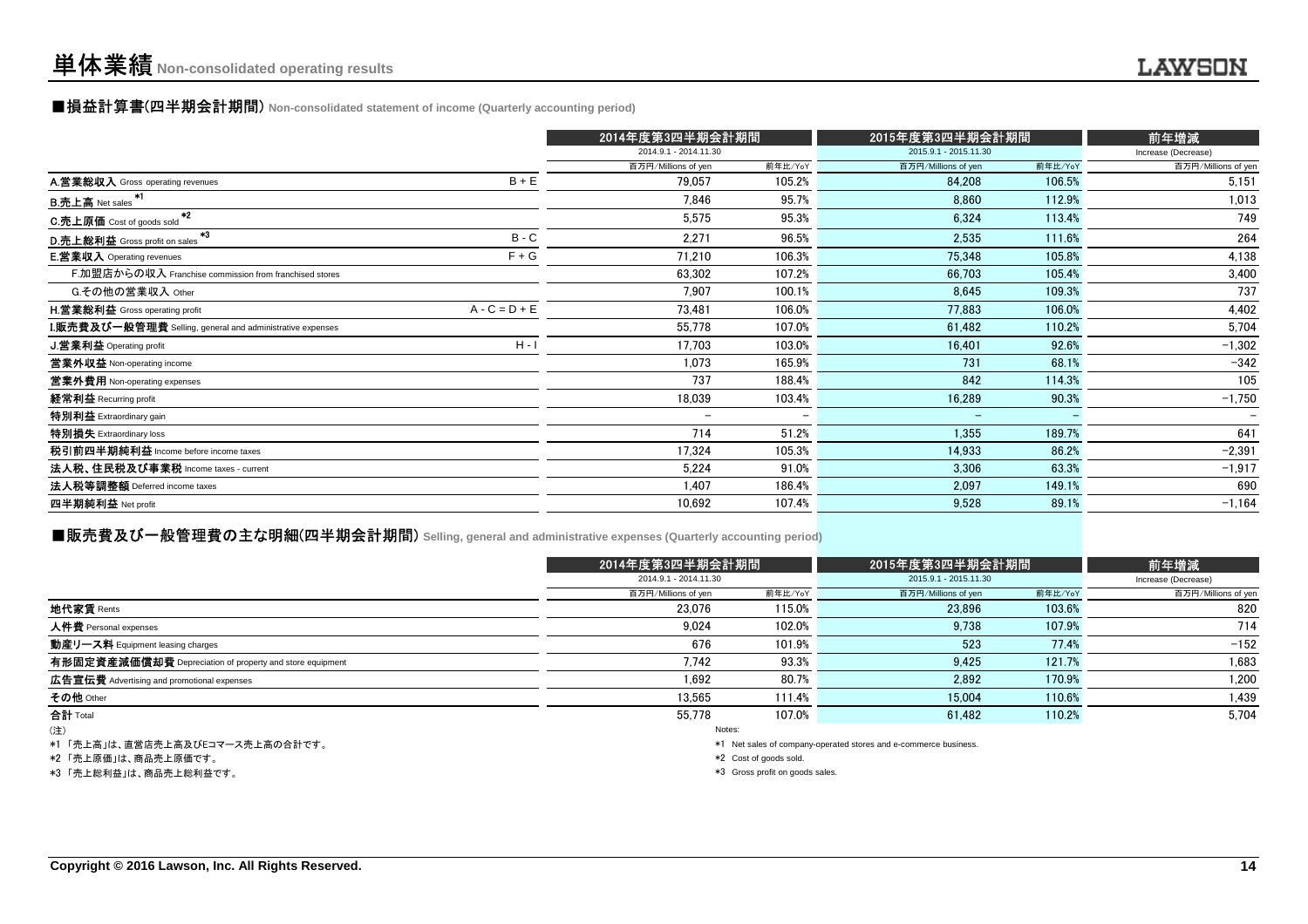#### ■損益計算書(四半期会計期間) **Non-consolidated statement of income (Quarterly accounting period)**

|                                                           |                 | 2014年度第3四半期会計期間          |                          | 2015年度第3四半期会計期間          |         | 前年増減                |
|-----------------------------------------------------------|-----------------|--------------------------|--------------------------|--------------------------|---------|---------------------|
|                                                           |                 | 2014.9.1 - 2014.11.30    |                          | 2015.9.1 - 2015.11.30    |         | Increase (Decrease) |
|                                                           |                 | 百万円/Millions of yen      | 前年比/YoY                  | 百万円/Millions of yen      | 前年比/YoY | 百万円/Millions of yen |
| A.営業総収入 Gross operating revenues                          | $B + E$         | 79.057                   | 105.2%                   | 84,208                   | 106.5%  | 5,151               |
| B.売上高 Net sales <sup>*1</sup>                             |                 | 7.846                    | 95.7%                    | 8,860                    | 112.9%  | 1,013               |
| -*2<br>C.売上原価 Cost of goods sold                          |                 | 5,575                    | 95.3%                    | 6,324                    | 113.4%  | 749                 |
| $+3$<br>D.売上総利益 Gross profit on sales                     | $B - C$         | 2,271                    | 96.5%                    | 2,535                    | 111.6%  | 264                 |
| <b>E.営業収入</b> Operating revenues                          | $F + G$         | 71,210                   | 106.3%                   | 75,348                   | 105.8%  | 4,138               |
| F.加盟店からの収入 Franchise commission from franchised stores    |                 | 63,302                   | 107.2%                   | 66,703                   | 105.4%  | 3,400               |
| G.その他の営業収入 Other                                          |                 | 7,907                    | 100.1%                   | 8,645                    | 109.3%  | 737                 |
| H.営業総利益 Gross operating profit                            | $A - C = D + E$ | 73.481                   | 106.0%                   | 77,883                   | 106.0%  | 4,402               |
| I.販売費及び一般管理費 Selling, general and administrative expenses |                 | 55,778                   | 107.0%                   | 61,482                   | 110.2%  | 5,704               |
| J.営業利益 Operating profit                                   | $H - I$         | 17,703                   | 103.0%                   | 16,401                   | 92.6%   | $-1,302$            |
| 営業外収益 Non-operating income                                |                 | 1,073                    | 165.9%                   | 731                      | 68.1%   | $-342$              |
| 當業外費用 Non-operating expenses                              |                 | 737                      | 188.4%                   | 842                      | 114.3%  | 105                 |
| 経常利益 Recurring profit                                     |                 | 18,039                   | 103.4%                   | 16,289                   | 90.3%   | $-1,750$            |
| 特別利益 Extraordinary gain                                   |                 | $\overline{\phantom{a}}$ | $\overline{\phantom{0}}$ | $\overline{\phantom{0}}$ |         |                     |
| 特別損失 Extraordinary loss                                   |                 | 714                      | 51.2%                    | 1,355                    | 189.7%  | 641                 |
| 税引前四半期純利益 Income before income taxes                      |                 | 17,324                   | 105.3%                   | 14,933                   | 86.2%   | $-2,391$            |
| 法人税、住民税及び事業税 Income taxes - current                       |                 | 5,224                    | 91.0%                    | 3,306                    | 63.3%   | $-1,917$            |
| 法人税等調整額 Deferred income taxes                             |                 | 1.407                    | 186.4%                   | 2,097                    | 149.1%  | 690                 |
| 四半期純利益 Net profit                                         |                 | 10,692                   | 107.4%                   | 9,528                    | 89.1%   | $-1,164$            |
|                                                           |                 |                          |                          |                          |         |                     |

#### ■販売費及び一般管理費の主な明細(四半期会計期間) **Selling, general and administrative expenses (Quarterly accounting period)**

|                                                                                                                                                                                                                               |                     | 2014年度第3四半期会計期間       |                     | 2015年度第3四半期会計期間       |                     |  |
|-------------------------------------------------------------------------------------------------------------------------------------------------------------------------------------------------------------------------------|---------------------|-----------------------|---------------------|-----------------------|---------------------|--|
|                                                                                                                                                                                                                               |                     | 2014.9.1 - 2014.11.30 |                     | 2015.9.1 - 2015.11.30 |                     |  |
|                                                                                                                                                                                                                               | 百万円/Millions of yen | 前年比/YoY               | 百万円/Millions of yen | 前年比/YoY               | 百万円/Millions of yen |  |
| 地代家賃 Rents                                                                                                                                                                                                                    | 23.076              | 115.0%                | 23.896              | 103.6%                | 820                 |  |
| 人件費 Personal expenses                                                                                                                                                                                                         | 9.024               | 102.0%                | 9.738               | 107.9%                | 714                 |  |
| 動産リース料 Equipment leasing charges                                                                                                                                                                                              | 676                 | 101.9%                | 523                 | 77.4%                 | $-152$              |  |
| 有形固定資産減価償却費 Depreciation of property and store equipment                                                                                                                                                                      | 7,742               | 93.3%                 | 9.425               | 121.7%                | 1,683               |  |
| 広告宣伝費 Advertising and promotional expenses                                                                                                                                                                                    | 1,692               | 80.7%                 | 2.892               | 170.9%                | 1,200               |  |
| その他 Other                                                                                                                                                                                                                     | 13.565              | 111.4%                | 15.004              | 110.6%                | 1,439               |  |
| 合計 Total                                                                                                                                                                                                                      | 55.778              | 107.0%                | 61.482              | 110.2%                | 5,704               |  |
| (注)                                                                                                                                                                                                                           |                     | Notes:                |                     |                       |                     |  |
| the company of the company of the company of the company of the company of the company of the company of the company of the company of the company of the company of the company of the company of the company of the company |                     |                       |                     |                       |                     |  |

\*1 「売上高」は、直営店売上高及びEコマース売上高の合計です。

\*2 「売上原価」は、商品売上原価です。

\*3 「売上総利益」は、商品売上総利益です。

\*1 Net sales of company-operated stores and e-commerce business.

 $*2$  Cost of goods sold.

\*3 Gross profit on goods sales.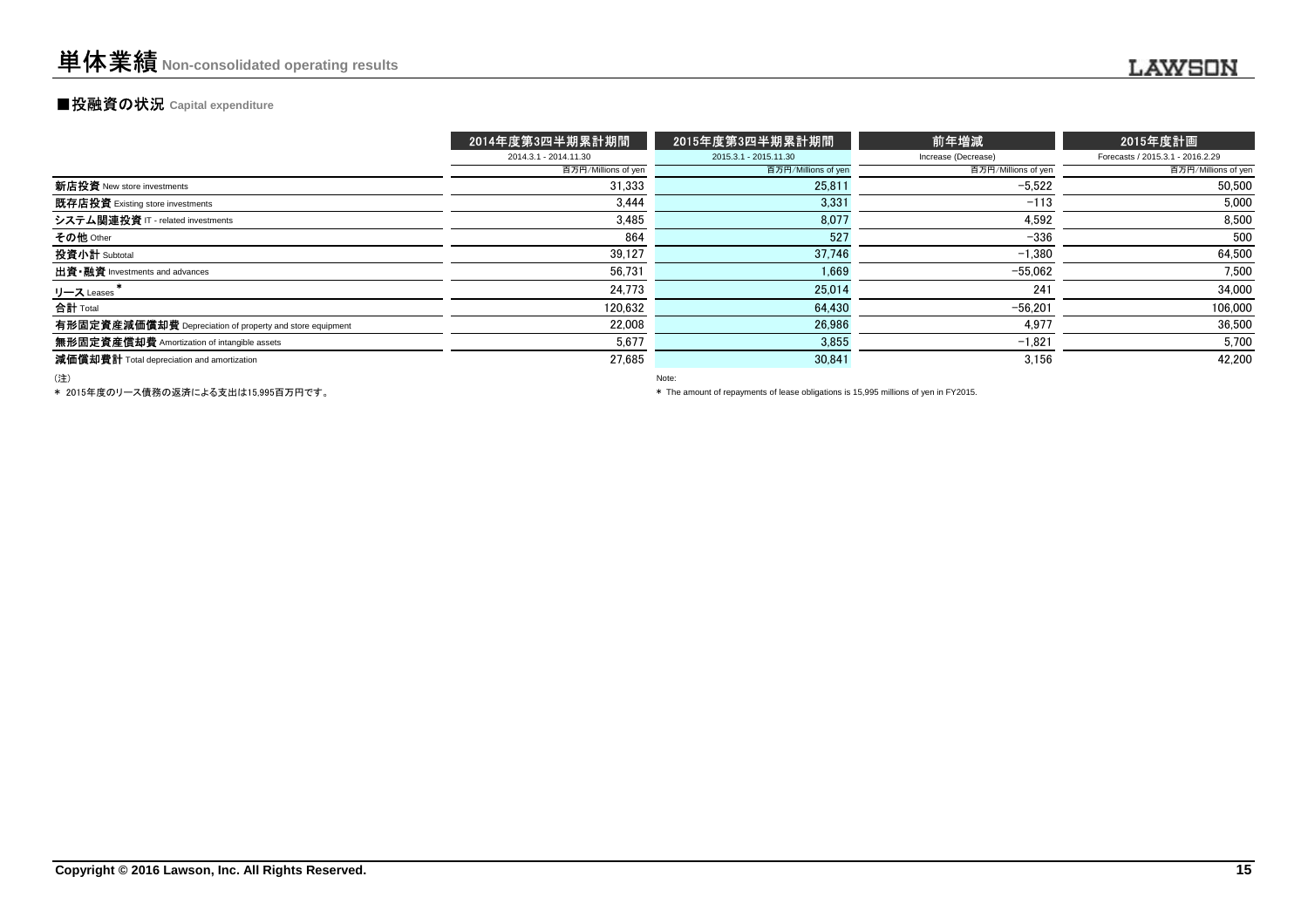### **■投融資の状況 Capital expenditure**

|                                                          | 2014年度第3四半期累計期間       | 2015年度第3四半期累計期間       | 前年増減                | 2015年度計画                         |
|----------------------------------------------------------|-----------------------|-----------------------|---------------------|----------------------------------|
|                                                          | 2014.3.1 - 2014.11.30 | 2015.3.1 - 2015.11.30 | Increase (Decrease) | Forecasts / 2015.3.1 - 2016.2.29 |
|                                                          | 百万円/Millions of yen   | 百万円/Millions of yen   | 百万円/Millions of yen | 百万円/Millions of yen              |
| 新店投資 New store investments                               | 31.333                | 25,811                | $-5.522$            | 50,500                           |
| 既存店投資 Existing store investments                         | 3.444                 | 3,331                 | $-113$              | 5,000                            |
| システム関連投資 IT - related investments                        | 3.485                 | 8,077                 | 4.592               | 8,500                            |
| その他 Other                                                | 864                   | 527                   | $-336$              | 500                              |
| 投資小計 Subtotal                                            | 39.127                | 37.746                | $-1.380$            | 64,500                           |
| 出資·融資 Investments and advances                           | 56.731                | 1,669                 | $-55.062$           | 7,500                            |
| リース Leases                                               | 24,773                | 25,014                | 241                 | 34,000                           |
| 合計 Total                                                 | 120.632               | 64.430                | $-56.201$           | 106,000                          |
| 有形固定資産減価償却費 Depreciation of property and store equipment | 22.008                | 26.986                | 4.977               | 36,500                           |
| 無形固定資産償却費 Amortization of intangible assets              | 5,677                 | 3,855                 | $-1,821$            | 5,700                            |
| 減価償却費計 Total depreciation and amortization               | 27.685                | 30,841                | 3.156               | 42,200                           |
|                                                          |                       |                       |                     |                                  |

(注)

Note:

\* 2015年度のリース債務の返済による支出は15,995百万円です。

\* The amount of repayments of lease obligations is 15,995 millions of yen in FY2015.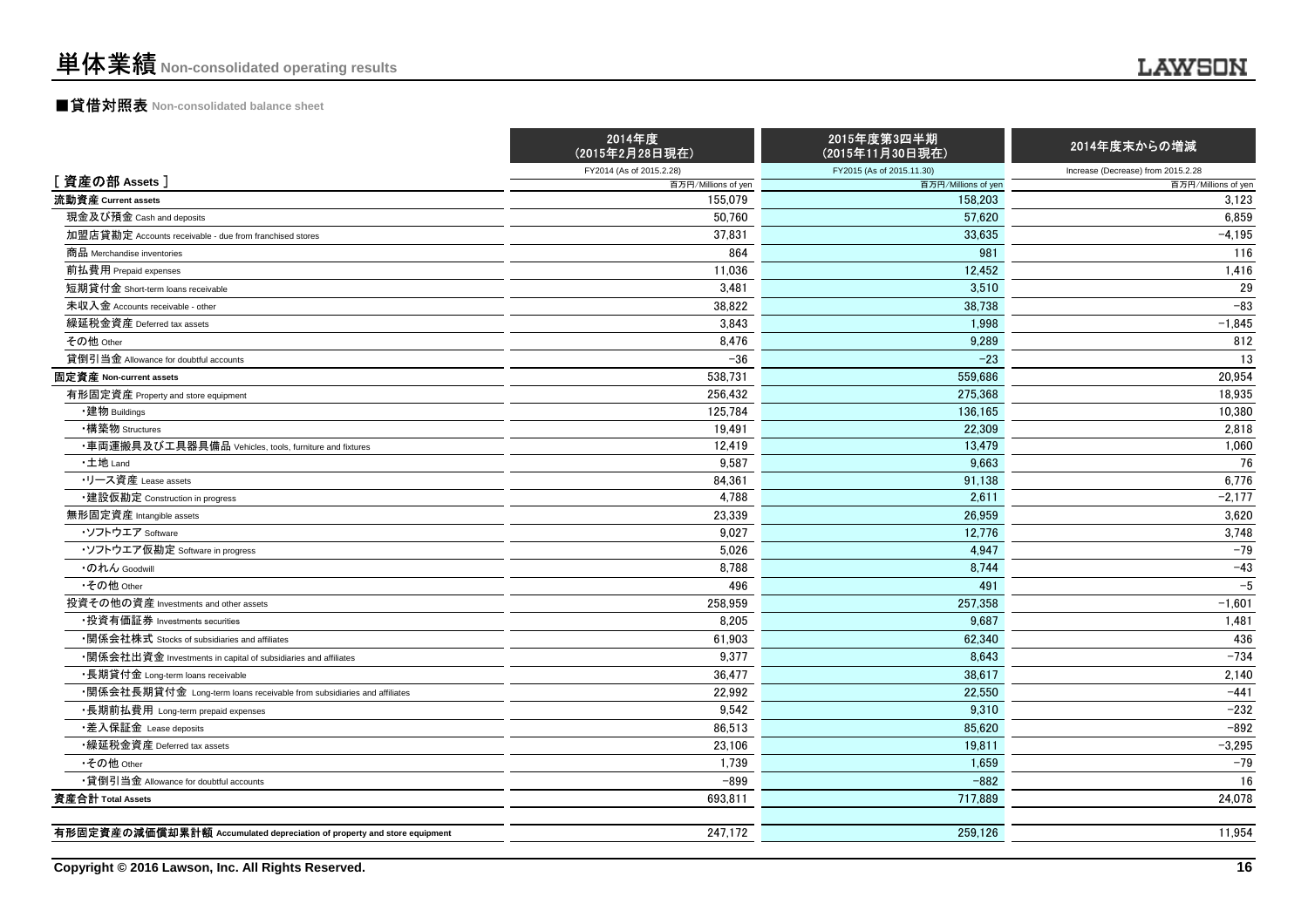### ■貸借対照表 **Non-consolidated balance sheet**

|                                                                         | 2014年度<br>(2015年2月28日現在) | 2015年度第3四半期<br>(2015年11月30日現在) | 2014年度末からの増減                       |
|-------------------------------------------------------------------------|--------------------------|--------------------------------|------------------------------------|
|                                                                         | FY2014 (As of 2015.2.28) | FY2015 (As of 2015.11.30)      | Increase (Decrease) from 2015.2.28 |
| [資産の部 Assets]                                                           | 百万円/Millions of yen      | 百万円/Millions of yen            | 百万円/Millions of yen                |
| 流動資産 Current assets                                                     | 155,079                  | 158,203                        | 3,123                              |
| 現金及び預金 Cash and deposits                                                | 50.760                   | 57.620                         | 6.859                              |
| 加盟店貸勘定 Accounts receivable - due from franchised stores                 | 37,831                   | 33,635                         | $-4,195$                           |
| 商品 Merchandise inventories                                              | 864                      | 981                            | 116                                |
| 前払費用 Prepaid expenses                                                   | 11,036                   | 12,452                         | 1,416                              |
| 短期貸付金 Short-term loans receivable                                       | 3,481                    | 3,510                          | 29                                 |
| 未収入金 Accounts receivable - other                                        | 38.822                   | 38.738                         | $-83$                              |
| 繰延税金資産 Deferred tax assets                                              | 3,843                    | 1,998                          | $-1,845$                           |
| その他 Other                                                               | 8,476                    | 9,289                          | 812                                |
| 貸倒引当金 Allowance for doubtful accounts                                   | $-36$                    | $-23$                          | 13                                 |
| 固定資産 Non-current assets                                                 | 538.731                  | 559,686                        | 20,954                             |
| 有形固定資産 Property and store equipment                                     | 256.432                  | 275.368                        | 18,935                             |
| ・建物 Buildings                                                           | 125,784                  | 136,165                        | 10,380                             |
| ・構築物 Structures                                                         | 19,491                   | 22,309                         | 2,818                              |
| ・車両運搬具及び工具器具備品 Vehicles, tools, furniture and fixtures                  | 12,419                   | 13,479                         | 1,060                              |
| ·土地 Land                                                                | 9,587                    | 9.663                          | 76                                 |
| ・リース資産 Lease assets                                                     | 84,361                   | 91,138                         | 6,776                              |
| ・建設仮勘定 Construction in progress                                         | 4,788                    | 2,611                          | $-2,177$                           |
| 無形固定資産 Intangible assets                                                | 23,339                   | 26,959                         | 3,620                              |
| ・ソフトウエア Software                                                        | 9.027                    | 12.776                         | 3,748                              |
| ・ソフトウエア仮勘定 Software in progress                                         | 5,026                    | 4,947                          | $-79$                              |
| ・のれん Goodwill                                                           | 8,788                    | 8,744                          | $-43$                              |
| •その他 Other                                                              | 496                      | 491                            | $-5$                               |
| 投資その他の資産 Investments and other assets                                   | 258,959                  | 257,358                        | $-1,601$                           |
| ▪投資有価証券 Investments securities                                          | 8,205                    | 9.687                          | 1,481                              |
| ・関係会社株式 Stocks of subsidiaries and affiliates                           | 61,903                   | 62,340                         | 436                                |
| •関係会社出資金 Investments in capital of subsidiaries and affiliates          | 9.377                    | 8.643                          | $-734$                             |
| ・長期貸付金 Long-term loans receivable                                       | 36,477                   | 38,617                         | 2,140                              |
| ・関係会社長期貸付金 Long-term loans receivable from subsidiaries and affiliates  | 22,992                   | 22,550                         | $-441$                             |
| ・長期前払費用 Long-term prepaid expenses                                      | 9,542                    | 9,310                          | $-232$                             |
| ・差入保証金 Lease deposits                                                   | 86,513                   | 85,620                         | $-892$                             |
| ・繰延税金資産 Deferred tax assets                                             | 23,106                   | 19.811                         | $-3,295$                           |
| •その他 Other                                                              | 1,739                    | 1,659                          | $-79$                              |
| •貸倒引当金 Allowance for doubtful accounts                                  | $-899$                   | $-882$                         | 16                                 |
| 資産合計 Total Assets                                                       | 693,811                  | 717,889                        | 24,078                             |
| 有形固定資産の減価償却累計額 Accumulated depreciation of property and store equipment |                          |                                |                                    |
|                                                                         | 247,172                  | 259,126                        | 11,954                             |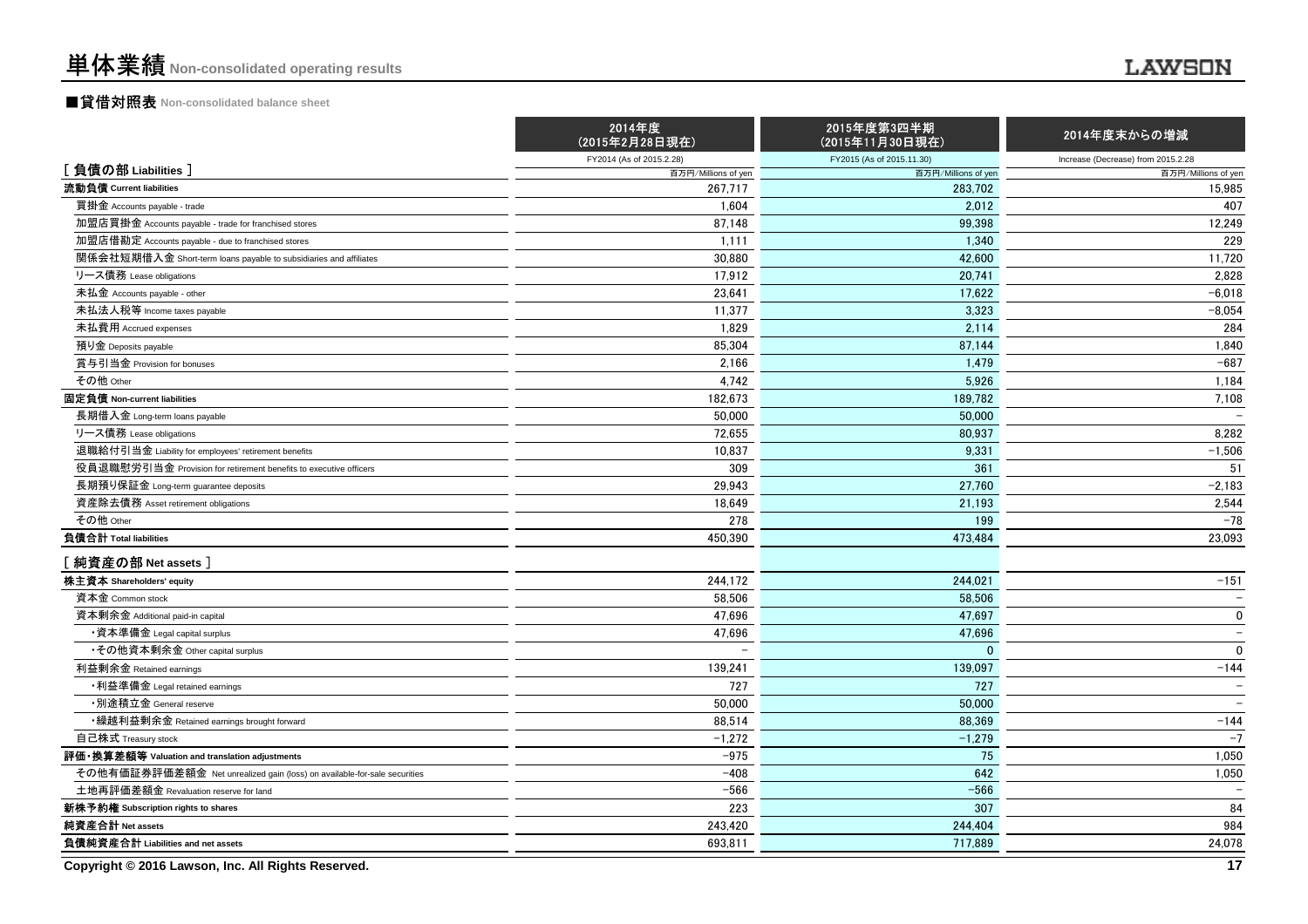### ■貸借対照表 **Non-consolidated balance sheet**

|                                                                          | 2014年度<br>(2015年2月28日現在) | 2015年度第3四半期<br>(2015年11月30日現在) | 2014年度末からの増減                       |
|--------------------------------------------------------------------------|--------------------------|--------------------------------|------------------------------------|
| [負債の部 Liabilities]                                                       | FY2014 (As of 2015.2.28) | FY2015 (As of 2015.11.30)      | Increase (Decrease) from 2015.2.28 |
|                                                                          | 百万円/Millions of yen      | 百万円/Millions of yen            | 百万円/Millions of yen                |
| 流動負債 Current liabilities                                                 | 267.717                  | 283.702                        | 15,985                             |
| 買掛金 Accounts payable - trade                                             | 1.604                    | 2.012                          | 407                                |
| 加盟店買掛金 Accounts payable - trade for franchised stores                    | 87,148                   | 99,398                         | 12,249                             |
| 加盟店借勘定 Accounts payable - due to franchised stores                       | 1.111                    | 1.340                          | 229                                |
| 関係会社短期借入金 Short-term loans payable to subsidiaries and affiliates        | 30,880                   | 42,600                         | 11,720                             |
| リース債務 Lease obligations                                                  | 17,912                   | 20.741                         | 2.828                              |
| 未払金 Accounts payable - other                                             | 23,641                   | 17,622                         | $-6,018$                           |
| 未払法人税等 Income taxes payable                                              | 11.377                   | 3.323                          | $-8.054$                           |
| 未払費用 Accrued expenses                                                    | 1,829                    | 2,114                          | 284                                |
| 預り金 Deposits payable                                                     | 85,304                   | 87,144                         | 1,840                              |
| 賞与引当金 Provision for bonuses                                              | 2,166                    | 1,479                          | $-687$                             |
| その他 Other                                                                | 4,742                    | 5,926                          | 1,184                              |
| 固定負債 Non-current liabilities                                             | 182,673                  | 189,782                        | 7,108                              |
| 長期借入金 Long-term loans payable                                            | 50.000                   | 50,000                         |                                    |
| リース債務 Lease obligations                                                  | 72,655                   | 80.937                         | 8,282                              |
| 退職給付引当金 Liability for employees' retirement benefits                     | 10.837                   | 9.331                          | $-1,506$                           |
| 役員退職慰労引当金 Provision for retirement benefits to executive officers        | 309                      | 361                            | 51                                 |
| 長期預り保証金 Long-term quarantee deposits                                     | 29.943                   | 27.760                         | $-2,183$                           |
| 資産除去債務 Asset retirement obligations                                      | 18,649                   | 21,193                         | 2,544                              |
| その他 Other                                                                | 278                      | 199                            | $-78$                              |
| 負債合計 Total liabilities                                                   | 450,390                  | 473,484                        | 23,093                             |
| [純資産の部 Net assets]                                                       |                          |                                |                                    |
| 株主資本 Shareholders' equity                                                | 244,172                  | 244,021                        | $-151$                             |
| 資本金 Common stock                                                         | 58,506                   | 58,506                         | $\overline{\phantom{a}}$           |
| 資本剰余金 Additional paid-in capital                                         | 47,696                   | 47,697                         | $\pmb{0}$                          |
| ・資本準備金 Legal capital surplus                                             | 47,696                   | 47,696                         | $\qquad \qquad -$                  |
| •その他資本剰余金 Other capital surplus                                          |                          | $\Omega$                       | $\mathbf 0$                        |
| 利益剰余金 Retained earnings                                                  | 139,241                  | 139.097                        | $-144$                             |
| • 利益準備金 Legal retained earnings                                          | 727                      | 727                            | $\overline{\phantom{0}}$           |
| ・別途積立金 General reserve                                                   | 50.000                   | 50,000                         | $\overline{\phantom{a}}$           |
| •繰越利益剰余金 Retained earnings brought forward                               | 88,514                   | 88,369                         | $-144$                             |
| 自己株式 Treasury stock                                                      | $-1,272$                 | $-1,279$                       | $-7$                               |
| 評価・換算差額等 Valuation and translation adjustments                           | $-975$                   | 75                             | 1,050                              |
| その他有価証券評価差額金 Net unrealized gain (loss) on available-for-sale securities | $-408$                   | 642                            | 1,050                              |
| 土地再評価差額金 Revaluation reserve for land                                    | $-566$                   | $-566$                         | $\overline{\phantom{a}}$           |
| 新株予約権 Subscription rights to shares                                      | 223                      | 307                            | 84                                 |
| 純資産合計 Net assets                                                         | 243,420                  | 244,404                        | 984                                |
| 負債純資産合計 Liabilities and net assets                                       | 693.811                  | 717.889                        | 24.078                             |

**Copyright © 2016 Lawson, Inc. All Rights Reserved.**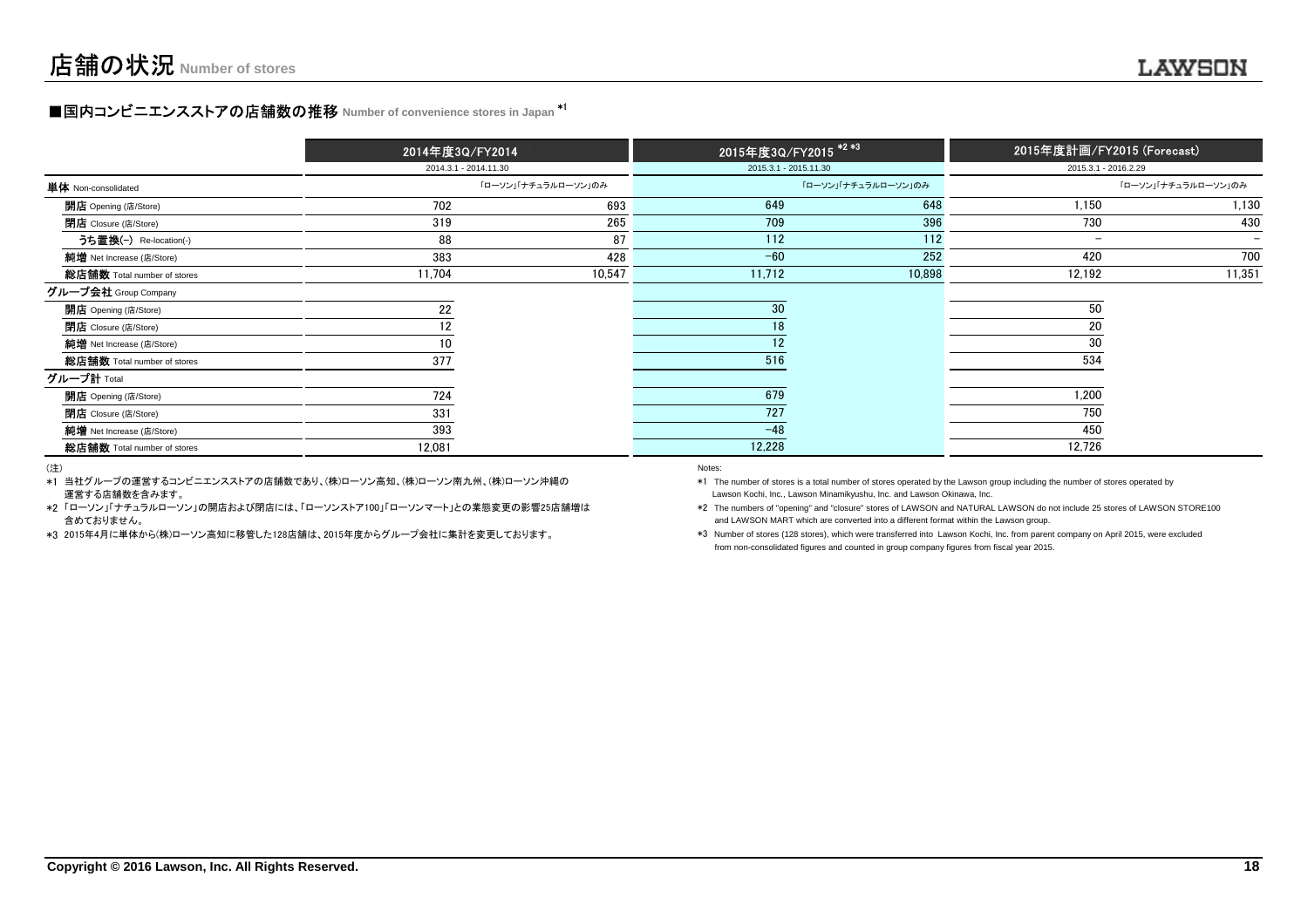# **■国内コンビニエンスストアの店舗数の推移** Number of convenience stores in Japan <sup>\*1</sup>

|                             | 2014年度3Q/FY2014 |                       | 2015年度3Q/FY2015 <sup>*2*3</sup> |                       | 2015年度計画/FY2015 (Forecast) |                          |
|-----------------------------|-----------------|-----------------------|---------------------------------|-----------------------|----------------------------|--------------------------|
|                             |                 | 2014.3.1 - 2014.11.30 |                                 | 2015.3.1 - 2015.11.30 | 2015.3.1 - 2016.2.29       |                          |
| 単体 Non-consolidated         |                 | 「ローソン」「ナチュラルローソン」のみ   |                                 | 「ローソン」「ナチュラルローソン」のみ   |                            | 「ローソン」「ナチュラルローソン」のみ      |
| <b>開店</b> Opening (店/Store) | 702             | 693                   | 649                             | 648                   | 1,150                      | 1,130                    |
| <b>閉店</b> Closure (店/Store) | 319             | 265                   | 709                             | 396                   | 730                        | 430                      |
| うち置換(-) Re-location(-)      | 88              | 87                    | 112                             | 112                   | $\overline{\phantom{a}}$   | $\overline{\phantom{0}}$ |
| 純增 Net Increase (店/Store)   | 383             | 428                   | $-60$                           | 252                   | 420                        | 700                      |
| 総店舗数 Total number of stores | 11,704          | 10,547                | 11,712                          | 10,898                | 12,192                     | 11,351                   |
| グループ会社 Group Company        |                 |                       |                                 |                       |                            |                          |
| 開店 Opening (店/Store)        | 22              |                       | 30                              |                       | 50                         |                          |
| <b>閉店</b> Closure (店/Store) | 12              |                       | 18                              |                       | 20                         |                          |
| 純增 Net Increase (店/Store)   | 10              |                       | 12                              |                       | 30                         |                          |
| 総店舗数 Total number of stores | 377             |                       | 516                             |                       | 534                        |                          |
| グループ計 Total                 |                 |                       |                                 |                       |                            |                          |
| 開店 Opening (店/Store)        | 724             |                       | 679                             |                       | 1,200                      |                          |
| 閉店 Closure (店/Store)        | 331             |                       | 727                             |                       | 750                        |                          |
| 純增 Net Increase (店/Store)   | 393             |                       | $-48$                           |                       | 450                        |                          |
| 総店舗数 Total number of stores | 12,081          |                       | 12,228                          |                       | 12,726                     |                          |

(注)

\*1当社グループの運営するコンビニエンスストアの店舗数であり、(株)ローソン高知、(株)ローソン南九州、(株)ローソン沖縄の運営する店舗数を含みます。

\*2「ローソン」「ナチュラルローソン」の開店および閉店には、「ローソンストア100」「ローソンマート」との業態変更の影響25店舗増は 含めておりません。

\*3 2015年4月に単体から(株)ローソン高知に移管した128店舗は、2015年度からグループ会社に集計を変更しております。

#### entropy of the control of the control of the control of the control of the control of the control of the control of the control of the control of the control of the control of the control of the control of the control of t

Lawson Kochi, Inc., Lawson Minamikyushu, Inc. and Lawson Okinawa, Inc.\*1 The number of stores is a total number of stores operated by the Lawson group including the number of stores operated by

\*2 The numbers of "opening" and "closure" stores of LAWSON and NATURAL LAWSON do not include 25 stores of LAWSON STORE100and LAWSON MART which are converted into a different format within the Lawson group.

\*3 Number of stores (128 stores), which were transferred into Lawson Kochi, Inc. from parent company on April 2015, were excludedfrom non-consolidated figures and counted in group company figures from fiscal year 2015.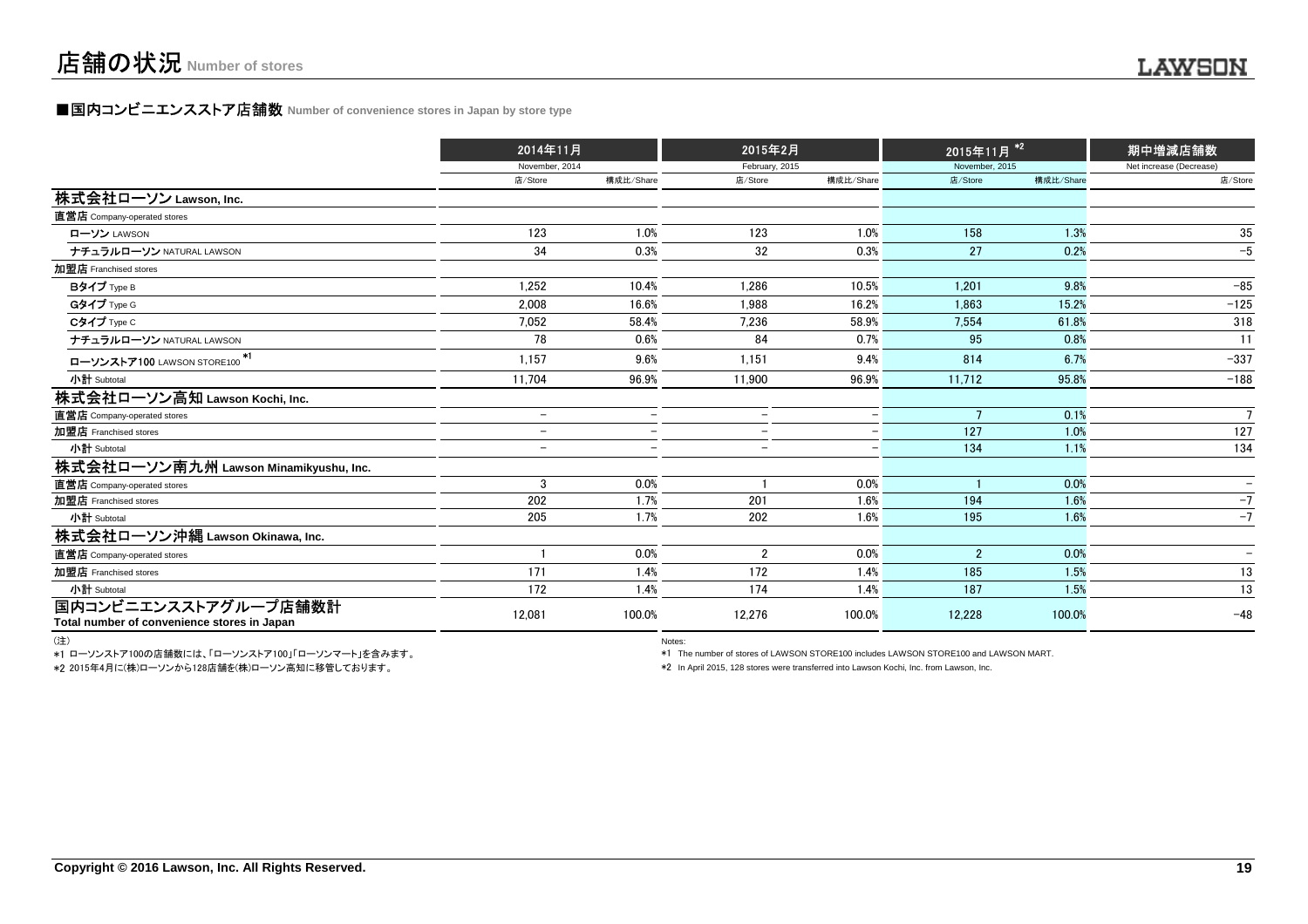### **■国内コンビニエンスストア店舗数 Number of convenience stores in Japan by store type**

|                                                                     | 2014年11月                 |                          | 2015年2月                  |           | 2015年11月 <sup>*2</sup> |           | 期中増減店舗数                  |  |
|---------------------------------------------------------------------|--------------------------|--------------------------|--------------------------|-----------|------------------------|-----------|--------------------------|--|
|                                                                     | November, 2014           |                          | February, 2015           |           | November, 2015         |           | Net increase (Decrease)  |  |
|                                                                     | 店/Store                  | 構成比/Share                | 店/Store                  | 構成比/Share | 店/Store                | 構成比/Share | 店/Store                  |  |
| 株式会社ローソン Lawson, Inc.                                               |                          |                          |                          |           |                        |           |                          |  |
| 直営店 Company-operated stores                                         |                          |                          |                          |           |                        |           |                          |  |
| ローソン LAWSON                                                         | 123                      | 1.0%                     | 123                      | 1.0%      | 158                    | 1.3%      | 35                       |  |
| ナチュラルローソン NATURAL LAWSON                                            | 34                       | 0.3%                     | 32                       | 0.3%      | 27                     | 0.2%      | $-5$                     |  |
| 加盟店 Franchised stores                                               |                          |                          |                          |           |                        |           |                          |  |
| Bタイプ Type B                                                         | 1.252                    | 10.4%                    | 1.286                    | 10.5%     | 1.201                  | 9.8%      | $-85$                    |  |
| Gタイプ Type G                                                         | 2,008                    | 16.6%                    | 1,988                    | 16.2%     | 1.863                  | 15.2%     | $-125$                   |  |
| Cタイプ Type C                                                         | 7,052                    | 58.4%                    | 7,236                    | 58.9%     | 7,554                  | 61.8%     | 318                      |  |
| ナチュラルローソン NATURAL LAWSON                                            | 78                       | 0.6%                     | 84                       | 0.7%      | 95                     | 0.8%      | 11                       |  |
| ローソンストア100 LAWSON STORE100 <sup>*1</sup>                            | 1,157                    | 9.6%                     | 1,151                    | 9.4%      | 814                    | 6.7%      | $-337$                   |  |
| 小計 Subtotal                                                         | 11.704                   | 96.9%                    | 11,900                   | 96.9%     | 11,712                 | 95.8%     | $-188$                   |  |
| 株式会社ローソン高知 Lawson Kochi, Inc.                                       |                          |                          |                          |           |                        |           |                          |  |
| 直営店 Company-operated stores                                         | $\overline{a}$           |                          | $\overline{\phantom{0}}$ |           | $\overline{7}$         | 0.1%      | $\overline{7}$           |  |
| 加盟店 Franchised stores                                               | $\overline{\phantom{m}}$ | $\overline{\phantom{0}}$ | $-$                      |           | 127                    | 1.0%      | 127                      |  |
| 小計 Subtotal                                                         | $\overline{\phantom{0}}$ |                          | $\overline{\phantom{0}}$ |           | 134                    | 1.1%      | 134                      |  |
| 株式会社ローソン南九州 Lawson Minamikyushu, Inc.                               |                          |                          |                          |           |                        |           |                          |  |
| 直営店 Company-operated stores                                         | 3                        | 0.0%                     |                          | 0.0%      |                        | 0.0%      | $\qquad \qquad -$        |  |
| 加盟店 Franchised stores                                               | 202                      | 1.7%                     | 201                      | 1.6%      | 194                    | 1.6%      | $-7$                     |  |
| 小計 Subtotal                                                         | 205                      | 1.7%                     | 202                      | 1.6%      | 195                    | 1.6%      | $-7$                     |  |
| 株式会社ローソン沖縄 Lawson Okinawa, Inc.                                     |                          |                          |                          |           |                        |           |                          |  |
| 直営店 Company-operated stores                                         |                          | 0.0%                     | $\overline{2}$           | 0.0%      | $\overline{2}$         | 0.0%      | $\overline{\phantom{a}}$ |  |
| 加盟店 Franchised stores                                               | 171                      | 1.4%                     | 172                      | 1.4%      | 185                    | 1.5%      | 13                       |  |
| 小計 Subtotal                                                         | 172                      | 1.4%                     | 174                      | 1.4%      | 187                    | 1.5%      | 13                       |  |
| 国内コンビニエンスストアグループ店舗数計<br>Total number of convenience stores in Japan | 12,081                   | 100.0%                   | 12,276                   | 100.0%    | 12,228                 | 100.0%    | $-48$                    |  |

(注)

\*1 ローソンストア100の店舗数には、「ローソンストア100」「ローソンマート」を含みます。\*2 2015年4月に(株)ローソンから128店舗を(株)ローソン高知に移管しております。

entration of the contract of the contract of the contract of the contract of the contract of the contract of the contract of the contract of the contract of the contract of the contract of the contract of the contract of t

\*1 The number of stores of LAWSON STORE100 includes LAWSON STORE100 and LAWSON MART.

\*2 In April 2015, 128 stores were transferred into Lawson Kochi, Inc. from Lawson, Inc.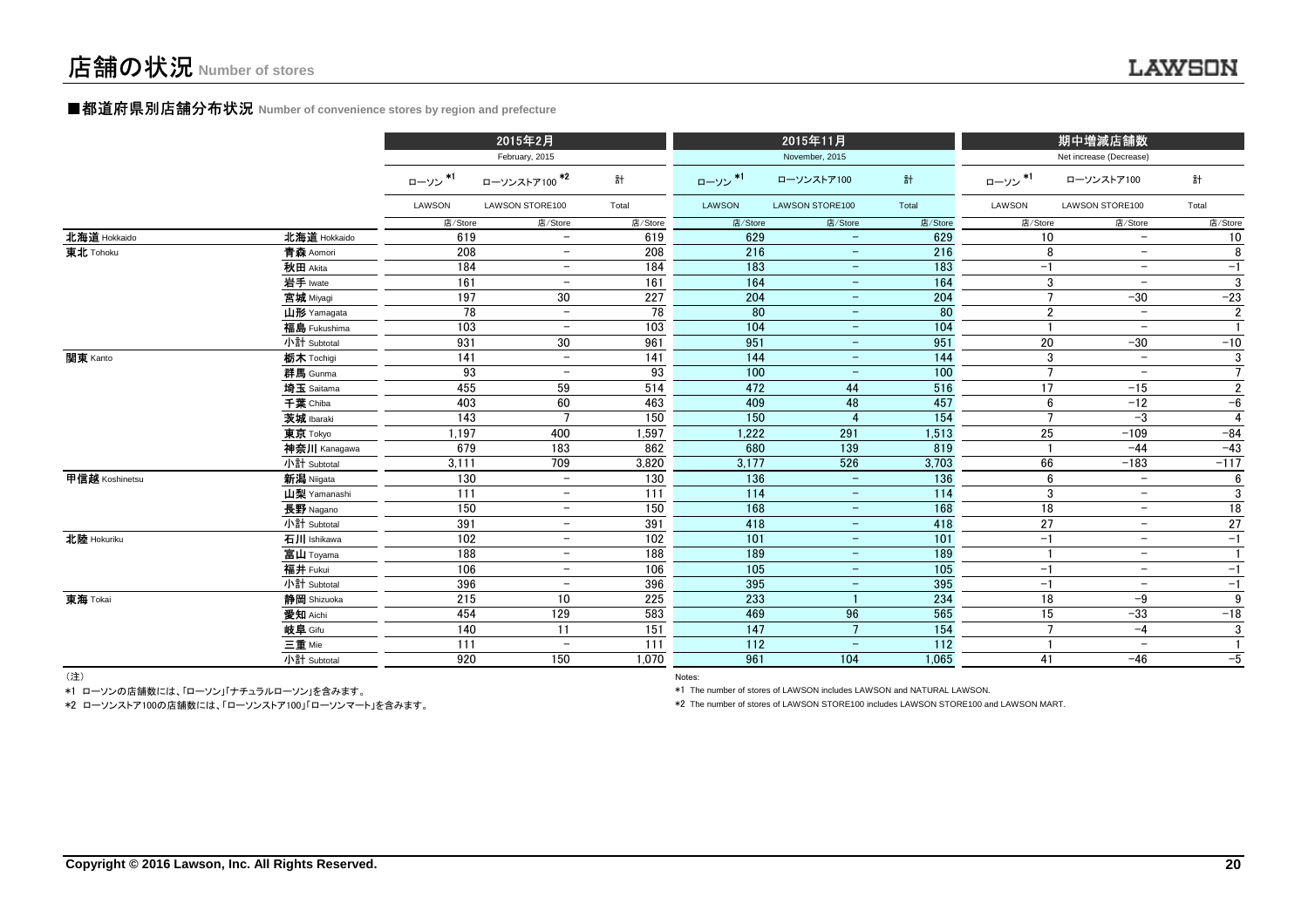#### **■都道府県別店舗分布状況** Number of convenience stores by region and prefecture

|                |              |         | 2015年2月                  |         |         | 2015年11月                 |                   |                 | 期中増減店舗数                  |                |
|----------------|--------------|---------|--------------------------|---------|---------|--------------------------|-------------------|-----------------|--------------------------|----------------|
|                |              |         | February, 2015           |         |         | November, 2015           |                   |                 | Net increase (Decrease)  |                |
|                |              | ローソン*1  | ローソンストア100 <sup>*2</sup> | 計       | ローソン*1  | ローソンストア100               | 計                 | ローソン*1          | ローソンストア100               | 計              |
|                |              | LAWSON  | LAWSON STORE100          | Total   | LAWSON  | LAWSON STORE100          | Total             | LAWSON          | LAWSON STORE100          | Total          |
|                |              | 店/Store | 店/Store                  | 店/Store | 店/Store | 店/Store                  | 店/Store           | 店/Store         | 店/Store                  | 店/Store        |
| 北海道 Hokkaido   | 北海道 Hokkaido | 619     | $\overline{\phantom{0}}$ | 619     | 629     | $\overline{\phantom{0}}$ | 629               | 10              | $\overline{\phantom{a}}$ | 10             |
| 東北 Tohoku      | 青森 Aomori    | 208     | $\overline{\phantom{0}}$ | 208     | 216     | $\overline{\phantom{m}}$ | 216               | 8               | $\qquad \qquad -$        | 8              |
|                | 秋田 Akita     | 184     | $\overline{\phantom{m}}$ | 184     | 183     | $\qquad \qquad =$        | 183               | $-1$            | $\overline{\phantom{m}}$ | $-1$           |
|                | 岩手 Iwate     | 161     | $\overline{\phantom{0}}$ | 161     | 164     | $\overline{\phantom{m}}$ | 164               | 3               | $\overline{\phantom{m}}$ | 3              |
|                | 宮城 Miyagi    | 197     | 30                       | 227     | 204     | $-$                      | 204               | $\overline{7}$  | $-30$                    | $-23$          |
|                | 山形 Yamagata  | 78      | $\overline{\phantom{m}}$ | 78      | 80      | $\overline{\phantom{a}}$ | 80                | $\overline{2}$  | $\overline{\phantom{m}}$ | $\overline{2}$ |
|                | 福島 Fukushima | 103     | $\overline{\phantom{m}}$ | 103     | 104     | $\equiv$                 | 104               |                 | $\overline{\phantom{m}}$ | $\mathbf{1}$   |
|                | 小計 Subtotal  | 931     | 30                       | 961     | 951     | $\equiv$                 | 951               | 20              | $-30$                    | $-10$          |
| 関東 Kanto       | 栃木 Tochigi   | 141     | $\overline{\phantom{a}}$ | 141     | 144     | $-$                      | 144               | 3               | $\overline{\phantom{a}}$ | 3              |
|                | 群馬 Gunma     | 93      | $\overline{\phantom{m}}$ | 93      | 100     | $\overline{\phantom{a}}$ | 100               | $\overline{7}$  | $\overline{\phantom{m}}$ | $\overline{7}$ |
|                | 埼玉 Saitama   | 455     | 59                       | 514     | 472     | 44                       | 516               | 17              | $-15$                    | $\overline{2}$ |
|                | 千葉 Chiba     | 403     | 60                       | 463     | 409     | 48                       | 457               | 6               | $-12$                    | $-6$           |
|                | 茨城 Ibaraki   | 143     | 7                        | 150     | 150     |                          | 154               | $\overline{7}$  | $-3$                     | 4              |
|                | 東京 Tokyo     | 1.197   | 400                      | 1,597   | 1,222   | 291                      | 1,513             | 25              | $-109$                   | $-84$          |
|                | 神奈川 Kanagawa | 679     | 183                      | 862     | 680     | 139                      | 819               |                 | $-44$                    | $-43$          |
|                | 小計 Subtotal  | 3,111   | 709                      | 3,820   | 3,177   | 526                      | 3,703             | 66              | $-183$                   | $-117$         |
| 甲信越 Koshinetsu | 新潟 Niigata   | 130     | $\overline{\phantom{0}}$ | 130     | 136     | $\equiv$                 | 136               | 6               | $\overline{\phantom{m}}$ | 6              |
|                | 山梨 Yamanashi | 111     | $\overline{\phantom{0}}$ | 111     | 114     | $\overline{\phantom{m}}$ | $\frac{114}{114}$ | 3               | $\overline{\phantom{m}}$ | 3              |
|                | 長野 Nagano    | 150     | $\overline{\phantom{m}}$ | 150     | 168     | $\overline{\phantom{a}}$ | 168               | 18              | $\overline{\phantom{m}}$ | 18             |
|                | 小計 Subtotal  | 391     | $\overline{\phantom{m}}$ | 391     | 418     | $\overline{\phantom{m}}$ | 418               | $\overline{27}$ | $\overline{\phantom{m}}$ | 27             |
| 北陸 Hokuriku    | 石川 Ishikawa  | 102     | $\overline{\phantom{a}}$ | 102     | 101     | $\overline{\phantom{m}}$ | 101               | $-1$            | $-$                      | $-1$           |
|                | 富山 Toyama    | 188     | $\overline{\phantom{a}}$ | 188     | 189     | $\overline{\phantom{m}}$ | 189               |                 | $\overline{\phantom{m}}$ | $\mathbf{1}$   |
|                | 福井 Fukui     | 106     | $-$                      | 106     | 105     | $\overline{\phantom{m}}$ | 105               | $-1$            | $\overline{\phantom{a}}$ | $-1$           |
|                | 小計 Subtotal  | 396     | $\overline{\phantom{m}}$ | 396     | 395     | $\overline{\phantom{m}}$ | 395               | $-1$            | $\overline{\phantom{m}}$ | $-1$           |
| 東海 Tokai       | 静岡 Shizuoka  | 215     | 10                       | 225     | 233     |                          | 234               | 18              | $-9$                     | 9              |
|                | 愛知 Aichi     | 454     | 129                      | 583     | 469     | 96                       | 565               | 15              | $-33$                    | $-18$          |
|                | 岐阜 Gifu      | 140     | 11                       | 151     | 147     | $7\overline{ }$          | 154               | $\overline{7}$  | $-4$                     | 3              |
|                | 三重 Mie       | 111     | $\qquad \qquad -$        | 111     | 112     | $\equiv$                 | 112               |                 | $\overline{\phantom{0}}$ | $\mathbf{1}$   |
|                | 小計 Subtotal  | 920     | 150                      | 1.070   | 961     | 104                      | 1,065             | 41              | $-46$                    | $-5$           |
| $(3+1)$        |              |         |                          |         |         |                          |                   |                 |                          |                |

(注)

Notes: Notes: Notes: Notes: Notes: Notes: Notes: Notes: Notes: Notes: Notes: Notes: Notes: Notes: Notes: Notes: Notes: Notes: Notes: Notes: Notes: Notes: Notes: Notes: Notes: Notes: Notes: Notes: Notes: Notes: Notes: Notes \*1 ローソンの店舗数には、「ローソン」「ナチュラルローソン」を含みます。

\*2 ローソンストア100の店舗数には、「ローソンストア100」「ローソンマート」を含みます。

\*1 The number of stores of LAWSON includes LAWSON and NATURAL LAWSON.

\*2 The number of stores of LAWSON STORE100 includes LAWSON STORE100 and LAWSON MART.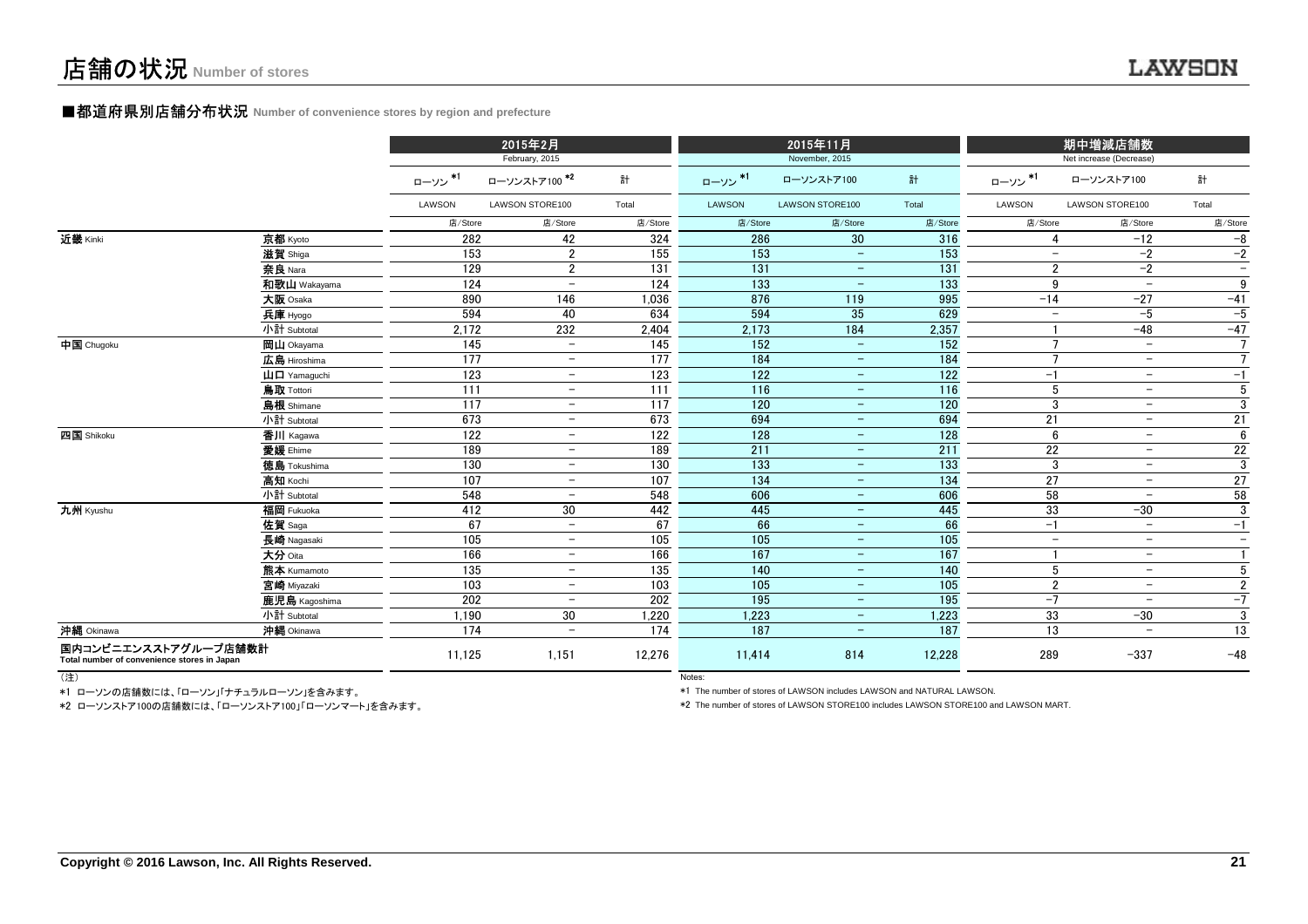#### ■都道府県別店舗分布状況 **Number of convenience stores by region and prefecture**

|                                                                     |                                       |         | 2015年2月                  |                  |         | 2015年11月                 |                  |                          | 期中増減店舗数                  |                          |
|---------------------------------------------------------------------|---------------------------------------|---------|--------------------------|------------------|---------|--------------------------|------------------|--------------------------|--------------------------|--------------------------|
|                                                                     |                                       |         | February, 2015           |                  |         | November, 2015           |                  |                          | Net increase (Decrease)  |                          |
|                                                                     |                                       | ローソン*1  | ローソンストア100 <sup>*2</sup> | 計                | ローソン*1  | ローソンストア100               | 計                | ローソン*1                   | ローソンストア100               | 計                        |
|                                                                     |                                       | LAWSON  | LAWSON STORE100          | Total            | LAWSON  | LAWSON STORE100          | Total            | LAWSON                   | LAWSON STORE100          | Total                    |
|                                                                     |                                       | 店/Store | 店/Store                  | 店/Store          | 店/Store | 店/Store                  | 店/Store          | 店/Store                  | 店/Store                  | 店/Store                  |
| 近畿 Kinki                                                            | 京都 Kyoto                              | 282     | 42                       | 324              | 286     | 30                       | 316              | 4                        | $-12$                    | $-8$                     |
|                                                                     | 滋賀 Shiga                              | 153     | $\overline{2}$           | 155              | 153     | $\overline{\phantom{m}}$ | 153              | $\overline{\phantom{0}}$ | $-2$                     | $-2$                     |
|                                                                     | 奈良 Nara                               | 129     | $\overline{2}$           | 131              | 131     | $\qquad \qquad -$        | 131              | $\overline{2}$           | $-2$                     | $\overline{\phantom{m}}$ |
|                                                                     | 和歌山 Wakayama                          | 124     | $\qquad \qquad -$        | 124              | 133     | $\overline{\phantom{m}}$ | 133              | 9                        | $\overline{\phantom{m}}$ | 9                        |
|                                                                     | 大阪 Osaka                              | 890     | 146                      | 1,036            | 876     | 119                      | 995              | $-14$                    | $-27$                    | $-41$                    |
|                                                                     | 兵庫 Hyogo                              | 594     | 40                       | 634              | 594     | 35                       | 629              | $\overline{\phantom{0}}$ | $-5$                     | $-5$                     |
|                                                                     | 小計 Subtotal                           | 2.172   | 232                      | 2,404            | 2,173   | 184                      | 2,357            |                          | $-48$                    | $-47$                    |
| 中国 Chugoku                                                          | 岡山 Okayama                            | 145     | $\equiv$                 | $\frac{145}{2}$  | 152     | $\equiv$                 | 152              | $\overline{7}$           | $-$                      | $\overline{7}$           |
|                                                                     | 広島 Hiroshima                          | 177     | $-$                      | 177              | 184     | $\overline{\phantom{m}}$ | 184              | $\overline{7}$           | $\overline{\phantom{m}}$ | $\overline{7}$           |
|                                                                     | $\mathbf{H}$ $\mathbf{\Pi}$ Yamaquchi | 123     | $\equiv$                 | 123              | 122     | $\qquad \qquad -$        | 122              | $-1$                     | $\overline{\phantom{m}}$ | $-1$                     |
|                                                                     | 鳥取 Tottori                            | 111     | $\overline{\phantom{a}}$ | 111              | 116     | $\qquad \qquad -$        | 116              | 5                        | $\overline{\phantom{m}}$ | $\sqrt{5}$               |
|                                                                     | 島根 Shimane                            | 117     | $-$                      | 117              | 120     | $\overline{\phantom{a}}$ | 120              | 3                        | $\overline{\phantom{a}}$ | $\overline{3}$           |
|                                                                     | 小計 Subtotal                           | 673     | $-$                      | 673              | 694     | $\qquad \qquad -$        | 694              | 21                       | $\overline{\phantom{m}}$ | $\overline{21}$          |
| 四国 Shikoku                                                          | 香川 Kagawa                             | 122     | $\overline{\phantom{a}}$ | $\overline{122}$ | 128     | $\overline{\phantom{m}}$ | $\overline{128}$ | 6                        | $\overline{\phantom{a}}$ | 6                        |
|                                                                     | 愛媛 Ehime                              | 189     | $\equiv$                 | 189              | 211     | $\equiv$                 | 211              | 22                       | $\overline{\phantom{m}}$ | $22\,$                   |
|                                                                     | <b>徳島</b> Tokushima                   | 130     | $\equiv$                 | 130              | 133     | $\overline{\phantom{m}}$ | 133              | 3                        | $\overline{\phantom{m}}$ | $\overline{3}$           |
|                                                                     | 高知 Kochi                              | 107     | $-$                      | 107              | 134     | $\overline{\phantom{a}}$ | 134              | 27                       | $\overline{\phantom{a}}$ | $27\,$                   |
|                                                                     | 小計 Subtotal                           | 548     | $-$                      | 548              | 606     | $\equiv$                 | 606              | 58                       | $\overline{\phantom{a}}$ | 58                       |
| 九州 Kyushu                                                           | 福岡 Fukuoka                            | 412     | 30 <sup>°</sup>          | 442              | 445     | $\sim$                   | 445              | 33                       | $-30$                    | 3                        |
|                                                                     | 佐賀 Saga                               | 67      | $\equiv$                 | 67               | 66      | $\equiv$                 | 66               | $-1$                     | $\qquad \qquad -$        | $-1$                     |
|                                                                     | 長崎 Nagasaki                           | 105     | $\equiv$                 | 105              | 105     | $\qquad \qquad -$        | 105              | $\overline{\phantom{0}}$ | $\overline{\phantom{a}}$ | $\equiv$                 |
|                                                                     | 大分 Oita                               | 166     | $-$                      | 166              | 167     | $\overline{\phantom{a}}$ | 167              |                          | $\overline{\phantom{a}}$ | $\mathbf{1}$             |
|                                                                     | 熊本 Kumamoto                           | 135     | $-$                      | 135              | 140     | $\overline{\phantom{m}}$ | 140              | 5                        | $\overline{\phantom{m}}$ | $5\phantom{.0}$          |
|                                                                     | 宮崎 Miyazaki                           | 103     | $\overline{\phantom{a}}$ | 103              | 105     | $\qquad \qquad -$        | 105              | $\overline{2}$           | $\overline{\phantom{a}}$ | $\overline{2}$           |
|                                                                     | 鹿児島 Kagoshima                         | 202     | $-$                      | 202              | 195     | $\qquad \qquad -$        | 195              | $-7$                     | $\overline{\phantom{a}}$ | $-7$                     |
|                                                                     | 小計 Subtotal                           | 1,190   | 30                       | 1,220            | 1,223   | $\overline{\phantom{a}}$ | 1,223            | 33                       | $-30$                    | 3                        |
| 沖縄 Okinawa                                                          | 沖縄 Okinawa                            | 174     | $\overline{\phantom{0}}$ | 174              | 187     | $\equiv$                 | 187              | 13                       | $\overline{\phantom{a}}$ | 13                       |
| 国内コンビニエンスストアグループ店舗数計<br>Total number of convenience stores in Japan |                                       | 11,125  | 1,151                    | 12,276           | 11,414  | 814                      | 12,228           | 289                      | $-337$                   | $-48$                    |

(注)

Notes: and the contract of the contract of the contract of the contract of the contract of the contract of the contract of the contract of the contract of the contract of the contract of the contract of the contract of the \*1 ローソンの店舗数には、「ローソン」「ナチュラルローソン」を含みます。

\*2 ローソンストア100の店舗数には、「ローソンストア100」「ローソンマート」を含みます。

\*1 The number of stores of LAWSON includes LAWSON and NATURAL LAWSON.

\*2 The number of stores of LAWSON STORE100 includes LAWSON STORE100 and LAWSON MART.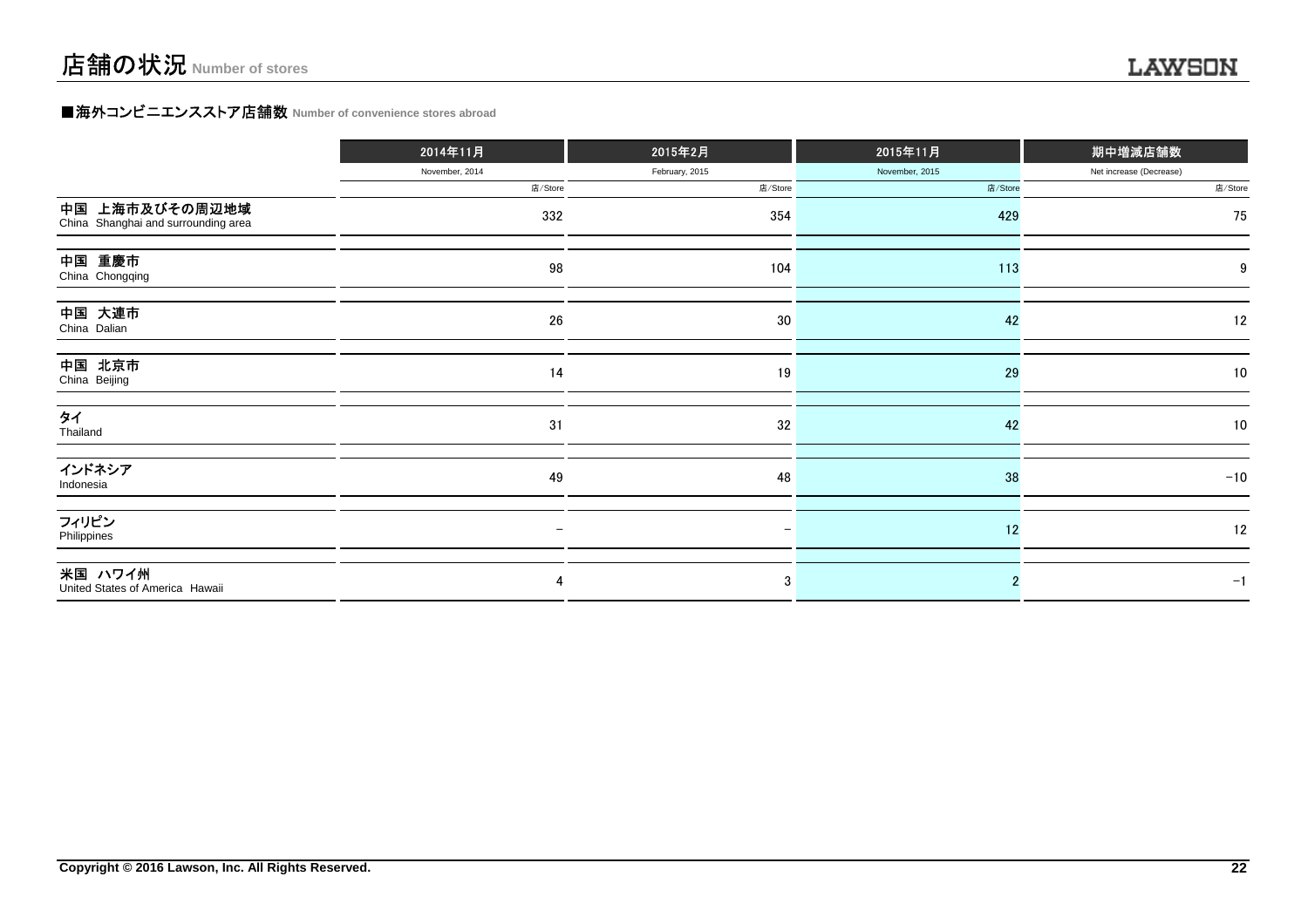### **■海外コンビニエンスストア店舗数 Number of convenience stores abroad**

|                                                       | 2014年11月       | 2015年2月        | 2015年11月       | 期中増減店舗数                 |
|-------------------------------------------------------|----------------|----------------|----------------|-------------------------|
|                                                       | November, 2014 | February, 2015 | November, 2015 | Net increase (Decrease) |
|                                                       | 店/Store        | 店/Store        | 店/Store        | 店/Store                 |
| 中国 上海市及びその周辺地域<br>China Shanghai and surrounding area | 332            | 354            | 429            | 75                      |
| 中国 重慶市<br>China Chongqing                             | 98             | 104            | 113            |                         |
| 中国 大連市<br>China Dalian                                | ${\bf 26}$     | 30             | 42             | 12                      |
| 中国 北京市<br>China Beijing                               | 14             | 19             | 29             | 10                      |
| タイ<br>Thailand                                        | 31             | 32             | 42             | 10                      |
| インドネシア<br>Indonesia                                   | 49             | 48             | 38             | $-10$                   |
| フィリピン<br>Philippines                                  |                |                | 12             | 12                      |
| 米国 ハワイ州<br>United States of America Hawaii            | 4              | 3              |                | $-1$                    |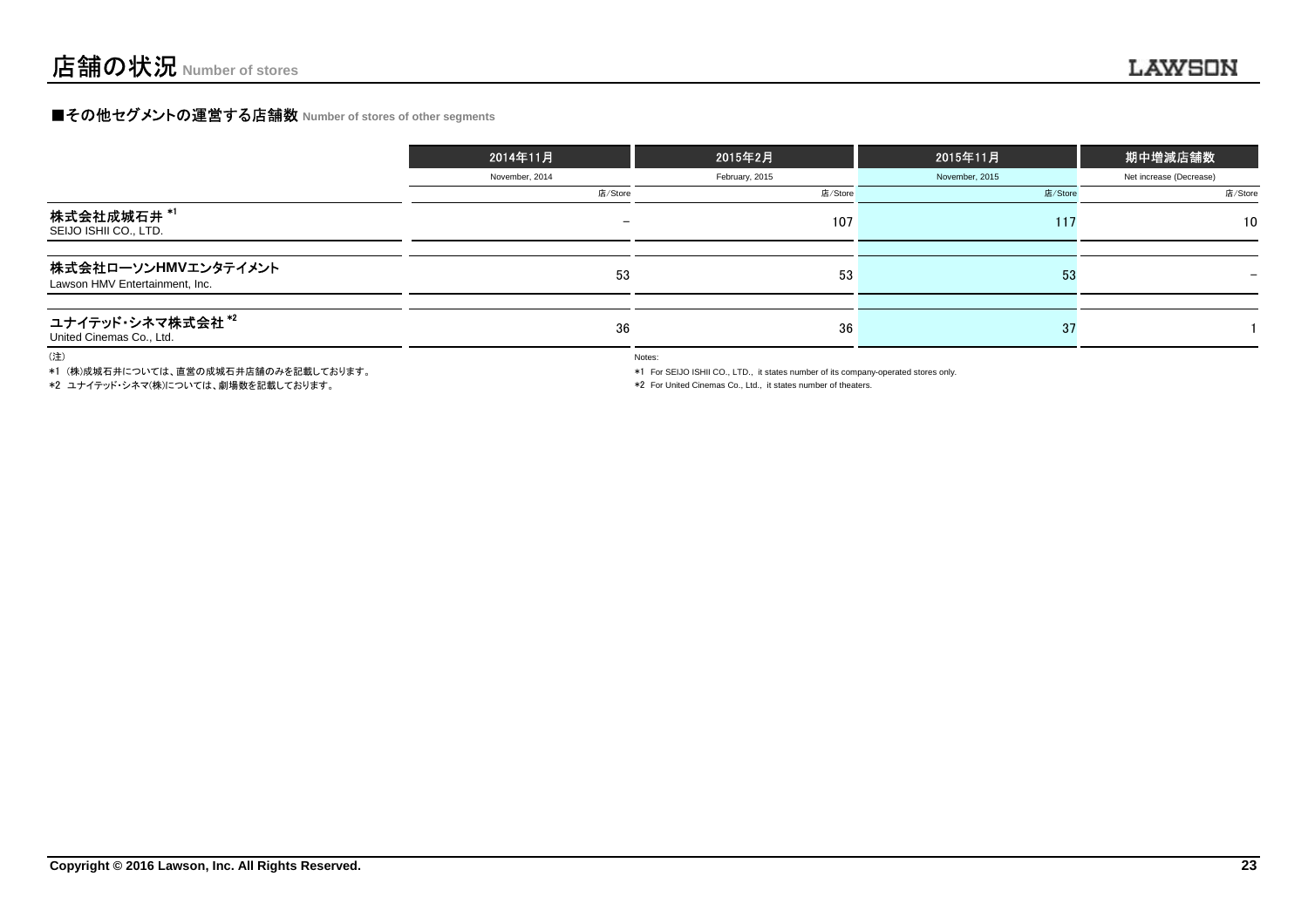### **■その他セグメントの運営する店舗数 Number of stores of other segments**

|                                                       | 2014年11月                 | 2015年2月        | 2015年11月       | 期中増減店舗数                  |
|-------------------------------------------------------|--------------------------|----------------|----------------|--------------------------|
|                                                       | November, 2014           | February, 2015 | November, 2015 | Net increase (Decrease)  |
|                                                       | 店/Store                  | 店/Store        | 店/Store        | 店/Store                  |
| 株式会社成城石井 <sup>*1</sup><br>SEIJO ISHII CO., LTD.       | $\overline{\phantom{0}}$ | 107            | 117            | 10 <sup>°</sup>          |
| 株式会社ローソンHMVエンタテイメント<br>Lawson HMV Entertainment, Inc. | 53                       | 53             | 53             | $\overline{\phantom{0}}$ |
| ユナイテッド・シネマ株式会社*2<br>United Cinemas Co., Ltd.          | 36                       | 36             | 37             |                          |

(注)

\*1 (株)成城石井については、直営の成城石井店舗のみを記載しております。

\*2 ユナイテッド・シネマ(株)については、劇場数を記載しております。

Notes:

\*1 For SEIJO ISHII CO., LTD., it states number of its company-operated stores only.

\*2 For United Cinemas Co., Ltd., it states number of theaters.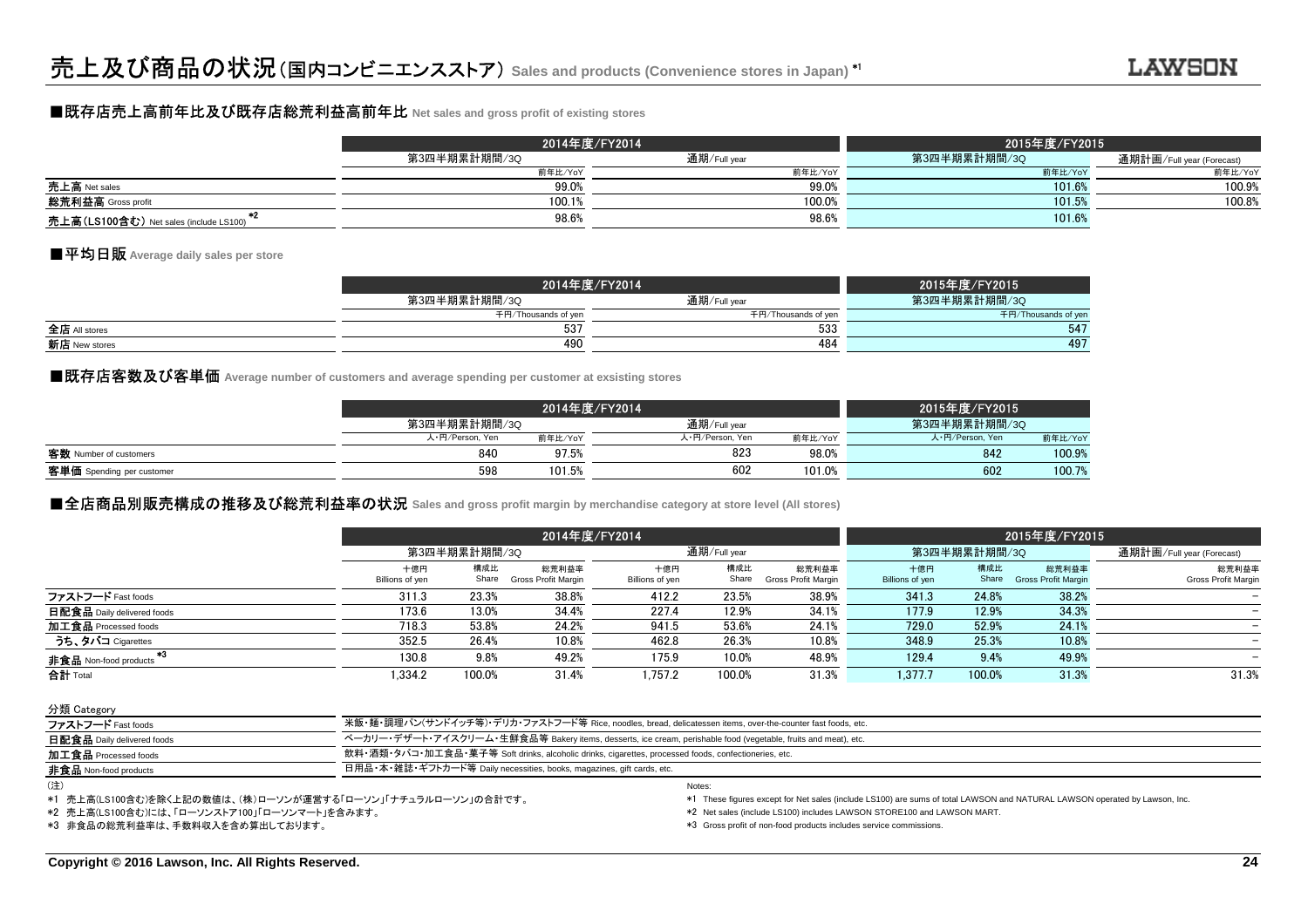### ■既存店売上高前年比及び既存店総荒利益高前年比 **Net sales and gross profit of existing stores**

|                                               |              | 2014年度/FY2014 | 2015年度/FY2015 |                           |
|-----------------------------------------------|--------------|---------------|---------------|---------------------------|
|                                               | 第3四半期累計期間/3Q | 通期/Full year  | 第3四半期累計期間/3Q  | 通期計画/Full year (Forecast) |
|                                               | 前年比/YoY      | 前年比/YoY       | 前年比/YoY       | 前年比/YoY                   |
| 売上高 Net sales                                 | 99.0%        | 99.0%         | 101.6%        | 100.9%                    |
| <b>総荒利益高</b> Gross profit                     | 100.1%       | 100.0%        | 101.5%        | 100.8%                    |
| <b>売上高(LS100含む)</b> Net sales (include LS100) | 98.6%        | 98.6%         | 101.6%        |                           |

### ■平均日販 **Average daily sales per store**

|               | 2014年度/FY2014       |                     | 2015年度/FY2015       |
|---------------|---------------------|---------------------|---------------------|
|               | 第3四半期累計期間/3Q        | 通期/Full year        | 第3四半期累計期間/3Q        |
|               | 千円/Thousands of yen | 千円/Thousands of yen | 千円/Thousands of yer |
| 全店 All stores | 537                 | 533                 | 547                 |
| 新店 New stores | 490                 | 484                 | 497                 |
|               |                     |                     |                     |

### ■既存店客数及び客単価 Average number of customers and average spending per customer at exsisting stores<br>│

|                           |                 |         | 2014年度/FY2014   |         | 2015年度/FY2015   |         |
|---------------------------|-----------------|---------|-----------------|---------|-----------------|---------|
|                           | 第3四半期累計期間/3Q    |         | 通期/Full vear    |         | 第3四半期累計期間/3Q    |         |
|                           | 人·円/Person, Yen | 前年比/YoY | 人·円/Person, Yen | 前年比/YoY | 人·円/Person, Yen | 前年比/YoY |
| 客数 Number of customers    | 840             | 97.5%   | 823             | 98.0%   | 842             | 100.9%  |
| 客単価 Spending per customer | 598             | 101.5%  | 602             | 101.0%  | 602             | 100.7%  |
|                           |                 |         |                 |         |                 |         |

### **■全店商品別販売構成の推移及び総荒利益率の状況 Sales** and gross profit margin by merchandise category at store level (All stores)<br>→

|                            |                        | 2014年度/FY2014 |                              |                        |              |                              | 2015年度/FY2015          |              |                                     |                                     |
|----------------------------|------------------------|---------------|------------------------------|------------------------|--------------|------------------------------|------------------------|--------------|-------------------------------------|-------------------------------------|
|                            |                        | 第3四半期累計期間/3Q  |                              |                        | 通期/Full year |                              |                        | 第3四半期累計期間/3Q | 通期計画/Full year (Forecast)           |                                     |
|                            | 十億円<br>Billions of yen | 構成比<br>Share  | 総荒利益率<br>Gross Profit Margin | 十億円<br>Billions of yen | 構成比<br>Share | 総荒利益率<br>Gross Profit Margin | 十億円<br>Billions of yen | 構成比<br>Share | 総荒利益率<br><b>Gross Profit Margin</b> | 総荒利益率<br><b>Gross Profit Margin</b> |
| ファストフード Fast foods         | 311.3                  | 23.3%         | 38.8%                        | 412.2                  | 23.5%        | 38.9%                        | 341.3                  | 24.8%        | 38.2%                               |                                     |
| 日配食品 Daily delivered foods | 173.6                  | 13.0%         | 34.4%                        | 227.4                  | 12.9%        | 34.1%                        | 177.9                  | 12.9%        | 34.3%                               |                                     |
| 加工食品 Processed foods       | 718.3                  | 53.8%         | 24.2%                        | 941.5                  | 53.6%        | 24.1%                        | 729.0                  | 52.9%        | 24.1%                               | $-$                                 |
| うち、タバコ Cigarettes          | 352.5                  | 26.4%         | 10.8%                        | 462.8                  | 26.3%        | 10.8%                        | 348.9                  | 25.3%        | 10.8%                               |                                     |
| 非食品 Non-food products      | 130.8                  | 9.8%          | 49.2%                        | 175.9                  | 10.0%        | 48.9%                        | 129.4                  | 9.4%         | 49.9%                               |                                     |
| 合計 Total                   | 1.334.2                | 100.0%        | 31.4%                        | 1.757.2                | 100.0%       | 31.3%                        | 1,377.7                | 100.0%       | 31.3%                               | 31.3%                               |

分類 Category

| ファストフード Fast foods           | 米飯・麺・調理パン(サンドイッチ等)・デリカ・ファストフード等 Rice, noodles, bread, delicatessen items, over-the-counter fast foods, etc.    |
|------------------------------|----------------------------------------------------------------------------------------------------------------|
| 日配食品 Daily delivered foods   | ベーカリー・デザート・アイスクリーム・生鮮食品等 Bakery items, desserts, ice cream, perishable food (vegetable, fruits and meat), etc. |
| 加工食品 Processed foods         | 飲料・酒類・タバコ・加工食品・菓子等 Soft drinks, alcoholic drinks, cigarettes, processed foods, confectioneries, etc.           |
| <b>非食品</b> Non-food products | 日用品・本・雑誌・ギフトカード等 Daily necessities, books, magazines, gift cards, etc.                                         |
|                              | Notes:                                                                                                         |

<sup>(</sup>注)

\*1 売上高(LS100含む)を除く上記の数値は、(株)ローソンが運営する「ローソン」「ナチュラルローソン」の合計です。

\*2 売上高(LS100含む)には、「ローソンストア100」「ローソンマート」を含みます。

\*3 非食品の総荒利益率は、手数料収入を含め算出しております。

\*1 These figures except for Net sales (include LS100) are sums of total LAWSON and NATURAL LAWSON operated by Lawson, Inc.

\*2 Net sales (include LS100) includes LAWSON STORE100 and LAWSON MART.

\*3 Gross profit of non-food products includes service commissions.